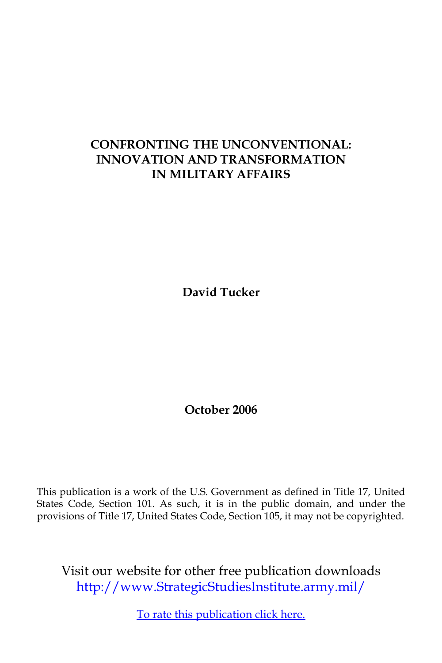## **CONFRONTING THE UNCONVENTIONAL: INNOVATION AND TRANSFORMATION IN MILITARY AFFAIRS**

**David Tucker**

**October 2006**

This publication is a work of the U.S. Government as defined in Title 17, United States Code, Section 101. As such, it is in the public domain, and under the provisions of Title 17, United States Code, Section 105, it may not be copyrighted.

Visit our website for other free publication downloads <http://www.StrategicStudiesInstitute.army.mil>/

[To rate this publication click here.](http://www.strategicstudiesinstitute.army.mil/pubs/display.cfm?pubID=729)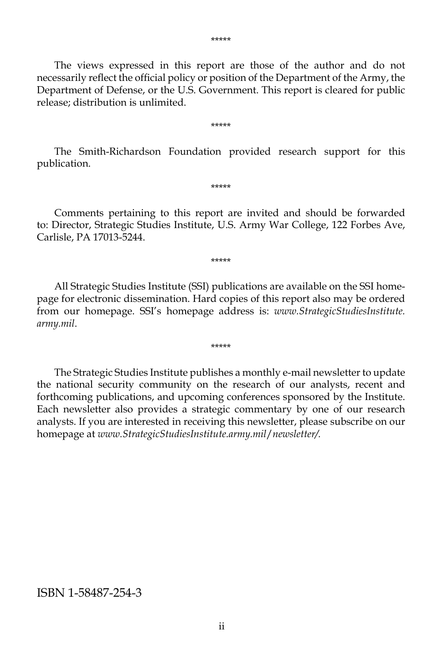The views expressed in this report are those of the author and do not necessarily reflect the official policy or position of the Department of the Army, the Department of Defense, or the U.S. Government. This report is cleared for public release; distribution is unlimited.

\*\*\*\*\*

The Smith-Richardson Foundation provided research support for this publication.

\*\*\*\*\*

Comments pertaining to this report are invited and should be forwarded to: Director, Strategic Studies Institute, U.S. Army War College, 122 Forbes Ave, Carlisle, PA 17013-5244.

\*\*\*\*\*

All Strategic Studies Institute (SSI) publications are available on the SSI homepage for electronic dissemination. Hard copies of this report also may be ordered from our homepage. SSI's homepage address is: *www.StrategicStudiesInstitute. army.mil*.

\*\*\*\*\*

The Strategic Studies Institute publishes a monthly e-mail newsletter to update the national security community on the research of our analysts, recent and forthcoming publications, and upcoming conferences sponsored by the Institute. Each newsletter also provides a strategic commentary by one of our research analysts. If you are interested in receiving this newsletter, please subscribe on our homepage at *www.StrategicStudiesInstitute.army.mil*/*newsletter/.*

#### ISBN 1-58487-254-3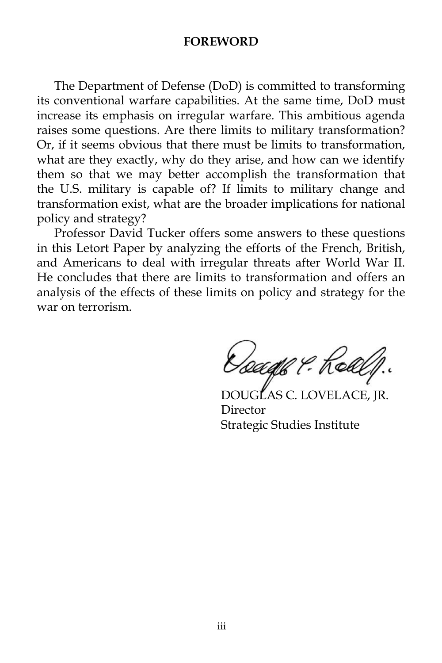#### **FOREWORD**

The Department of Defense (DoD) is committed to transforming its conventional warfare capabilities. At the same time, DoD must increase its emphasis on irregular warfare. This ambitious agenda raises some questions. Are there limits to military transformation? Or, if it seems obvious that there must be limits to transformation, what are they exactly, why do they arise, and how can we identify them so that we may better accomplish the transformation that the U.S. military is capable of? If limits to military change and transformation exist, what are the broader implications for national policy and strategy?

Professor David Tucker offers some answers to these questions in this Letort Paper by analyzing the efforts of the French, British, and Americans to deal with irregular threats after World War II. He concludes that there are limits to transformation and offers an analysis of the effects of these limits on policy and strategy for the war on terrorism.

*Oceaph ?* : Kell

GLAS C. LOVELACE, IR. Director Strategic Studies Institute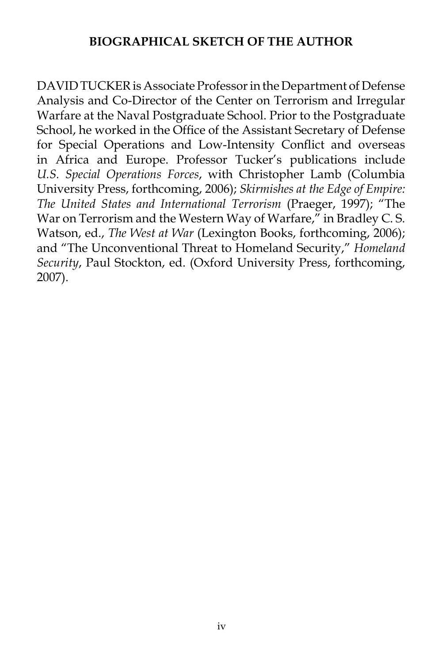## **BIOGRAPHICAL SKETCH OF THE AUTHOR**

DAVID TUCKER is Associate Professor in the Department of Defense Analysis and Co-Director of the Center on Terrorism and Irregular Warfare at the Naval Postgraduate School. Prior to the Postgraduate School, he worked in the Office of the Assistant Secretary of Defense for Special Operations and Low-Intensity Conflict and overseas in Africa and Europe. Professor Tucker's publications include *U.S. Special Operations Forces*, with Christopher Lamb (Columbia University Press, forthcoming, 2006); *Skirmishes at the Edge of Empire: The United States and International Terrorism* (Praeger, 1997); "The War on Terrorism and the Western Way of Warfare," in Bradley C.S. Watson, ed., *The West at War* (Lexington Books, forthcoming, 2006); and "The Unconventional Threat to Homeland Security," *Homeland Security*, Paul Stockton, ed. (Oxford University Press, forthcoming, 2007).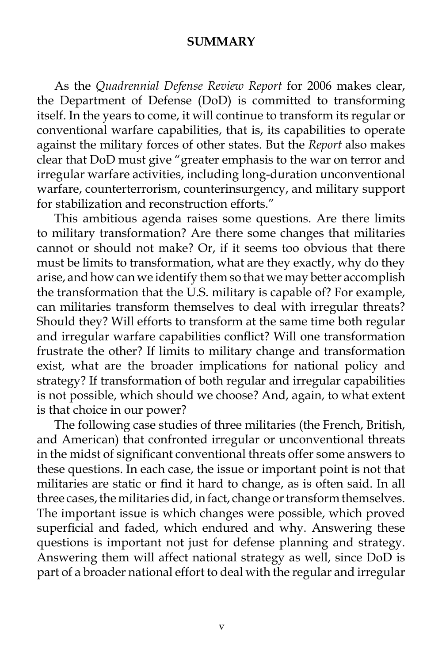#### **SUMMARY**

As the *Quadrennial Defense Review Report* for 2006 makes clear, the Department of Defense (DoD) is committed to transforming itself. In the years to come, it will continue to transform its regular or conventional warfare capabilities, that is, its capabilities to operate against the military forces of other states. But the *Report* also makes clear that DoD must give "greater emphasis to the war on terror and irregular warfare activities, including long-duration unconventional warfare, counterterrorism, counterinsurgency, and military support for stabilization and reconstruction efforts."

This ambitious agenda raises some questions. Are there limits to military transformation? Are there some changes that militaries cannot or should not make? Or, if it seems too obvious that there must be limits to transformation, what are they exactly, why do they arise, and how can we identify them so that we may better accomplish the transformation that the U.S. military is capable of? For example, can militaries transform themselves to deal with irregular threats? Should they? Will efforts to transform at the same time both regular and irregular warfare capabilities conflict? Will one transformation frustrate the other? If limits to military change and transformation exist, what are the broader implications for national policy and strategy? If transformation of both regular and irregular capabilities is not possible, which should we choose? And, again, to what extent is that choice in our power?

The following case studies of three militaries (the French, British, and American) that confronted irregular or unconventional threats in the midst of significant conventional threats offer some answers to these questions. In each case, the issue or important point is not that militaries are static or find it hard to change, as is often said. In all three cases, the militaries did, in fact, change or transform themselves. The important issue is which changes were possible, which proved superficial and faded, which endured and why. Answering these questions is important not just for defense planning and strategy. Answering them will affect national strategy as well, since DoD is part of a broader national effort to deal with the regular and irregular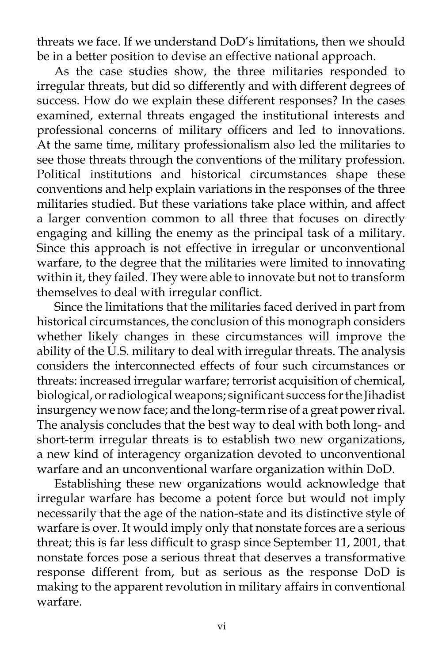threats we face. If we understand DoD's limitations, then we should be in a better position to devise an effective national approach.

As the case studies show, the three militaries responded to irregular threats, but did so differently and with different degrees of success. How do we explain these different responses? In the cases examined, external threats engaged the institutional interests and professional concerns of military officers and led to innovations. At the same time, military professionalism also led the militaries to see those threats through the conventions of the military profession. Political institutions and historical circumstances shape these conventions and help explain variations in the responses of the three militaries studied. But these variations take place within, and affect a larger convention common to all three that focuses on directly engaging and killing the enemy as the principal task of a military. Since this approach is not effective in irregular or unconventional warfare, to the degree that the militaries were limited to innovating within it, they failed. They were able to innovate but not to transform themselves to deal with irregular conflict.

Since the limitations that the militaries faced derived in part from historical circumstances, the conclusion of this monograph considers whether likely changes in these circumstances will improve the ability of the U.S. military to deal with irregular threats. The analysis considers the interconnected effects of four such circumstances or threats: increased irregular warfare; terrorist acquisition of chemical, biological, or radiological weapons; significant success for the Jihadist insurgency we now face; and the long-term rise of a great power rival. The analysis concludes that the best way to deal with both long- and short-term irregular threats is to establish two new organizations, a new kind of interagency organization devoted to unconventional warfare and an unconventional warfare organization within DoD.

Establishing these new organizations would acknowledge that irregular warfare has become a potent force but would not imply necessarily that the age of the nation-state and its distinctive style of warfare is over. It would imply only that nonstate forces are a serious threat; this is far less difficult to grasp since September 11, 2001, that nonstate forces pose a serious threat that deserves a transformative response different from, but as serious as the response DoD is making to the apparent revolution in military affairs in conventional warfare.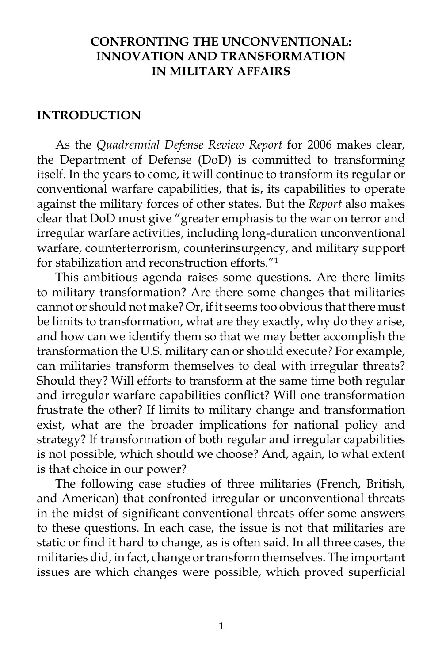## **CONFRONTING THE UNCONVENTIONAL: INNOVATION AND TRANSFORMATION IN MILITARY AFFAIRS**

#### **INTRODUCTION**

As the *Quadrennial Defense Review Report* for 2006 makes clear, the Department of Defense (DoD) is committed to transforming itself. In the years to come, it will continue to transform its regular or conventional warfare capabilities, that is, its capabilities to operate against the military forces of other states. But the *Report* also makes clear that DoD must give "greater emphasis to the war on terror and irregular warfare activities, including long-duration unconventional warfare, counterterrorism, counterinsurgency, and military support for stabilization and reconstruction efforts."<sup>1</sup>

This ambitious agenda raises some questions. Are there limits to military transformation? Are there some changes that militaries cannot or should not make? Or, if it seems too obvious that there must be limits to transformation, what are they exactly, why do they arise, and how can we identify them so that we may better accomplish the transformation the U.S. military can or should execute? For example, can militaries transform themselves to deal with irregular threats? Should they? Will efforts to transform at the same time both regular and irregular warfare capabilities conflict? Will one transformation frustrate the other? If limits to military change and transformation exist, what are the broader implications for national policy and strategy? If transformation of both regular and irregular capabilities is not possible, which should we choose? And, again, to what extent is that choice in our power?

The following case studies of three militaries (French, British, and American) that confronted irregular or unconventional threats in the midst of significant conventional threats offer some answers to these questions. In each case, the issue is not that militaries are static or find it hard to change, as is often said. In all three cases, the militaries did, in fact, change or transform themselves. The important issues are which changes were possible, which proved superficial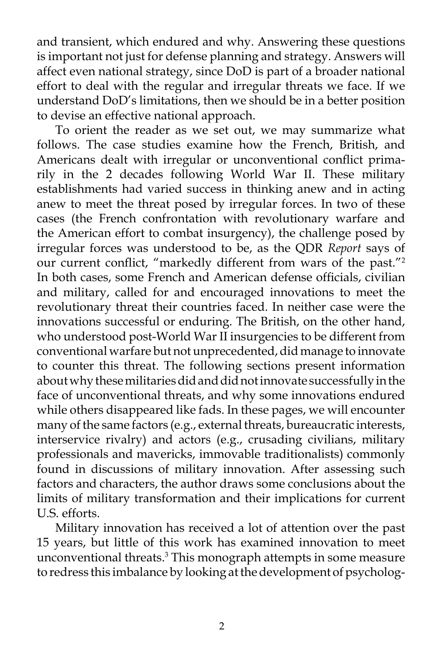and transient, which endured and why. Answering these questions is important not just for defense planning and strategy. Answers will affect even national strategy, since DoD is part of a broader national effort to deal with the regular and irregular threats we face. If we understand DoD's limitations, then we should be in a better position to devise an effective national approach.

To orient the reader as we set out, we may summarize what follows. The case studies examine how the French, British, and Americans dealt with irregular or unconventional conflict primarily in the 2 decades following World War II. These military establishments had varied success in thinking anew and in acting anew to meet the threat posed by irregular forces. In two of these cases (the French confrontation with revolutionary warfare and the American effort to combat insurgency), the challenge posed by irregular forces was understood to be, as the QDR *Report* says of our current conflict, "markedly different from wars of the past."2 In both cases, some French and American defense officials, civilian and military, called for and encouraged innovations to meet the revolutionary threat their countries faced. In neither case were the innovations successful or enduring. The British, on the other hand, who understood post-World War II insurgencies to be different from conventional warfare but not unprecedented, did manage to innovate to counter this threat. The following sections present information about why these militaries did and did not innovate successfully in the face of unconventional threats, and why some innovations endured while others disappeared like fads. In these pages, we will encounter many of the same factors (e.g., external threats, bureaucratic interests, interservice rivalry) and actors (e.g., crusading civilians, military professionals and mavericks, immovable traditionalists) commonly found in discussions of military innovation. After assessing such factors and characters, the author draws some conclusions about the limits of military transformation and their implications for current U.S. efforts.

Military innovation has received a lot of attention over the past 15 years, but little of this work has examined innovation to meet unconventional threats.<sup>3</sup> This monograph attempts in some measure to redress this imbalance by looking at the development of psycholog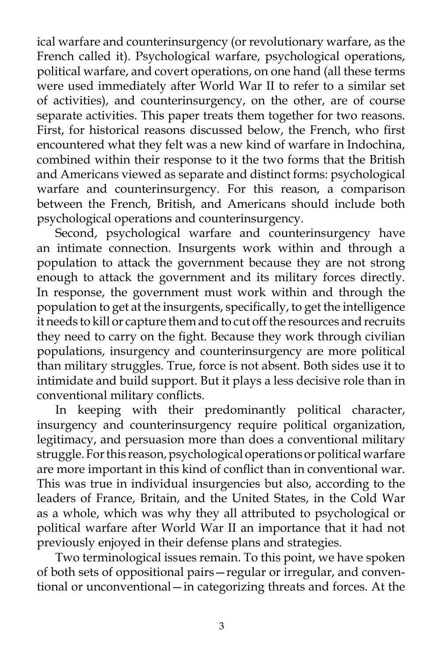ical warfare and counterinsurgency (or revolutionary warfare, as the French called it). Psychological warfare, psychological operations, political warfare, and covert operations, on one hand (all these terms were used immediately after World War II to refer to a similar set of activities), and counterinsurgency, on the other, are of course separate activities. This paper treats them together for two reasons. First, for historical reasons discussed below, the French, who first encountered what they felt was a new kind of warfare in Indochina, combined within their response to it the two forms that the British and Americans viewed as separate and distinct forms: psychological warfare and counterinsurgency. For this reason, a comparison between the French, British, and Americans should include both psychological operations and counterinsurgency.

Second, psychological warfare and counterinsurgency have an intimate connection. Insurgents work within and through a population to attack the government because they are not strong enough to attack the government and its military forces directly. In response, the government must work within and through the population to get at the insurgents, specifically, to get the intelligence it needs to kill or capture them and to cut off the resources and recruits they need to carry on the fight. Because they work through civilian populations, insurgency and counterinsurgency are more political than military struggles. True, force is not absent. Both sides use it to intimidate and build support. But it plays a less decisive role than in conventional military conflicts.

In keeping with their predominantly political character, insurgency and counterinsurgency require political organization, legitimacy, and persuasion more than does a conventional military struggle. For this reason, psychological operations or political warfare are more important in this kind of conflict than in conventional war. This was true in individual insurgencies but also, according to the leaders of France, Britain, and the United States, in the Cold War as a whole, which was why they all attributed to psychological or political warfare after World War II an importance that it had not previously enjoyed in their defense plans and strategies.

Two terminological issues remain. To this point, we have spoken of both sets of oppositional pairs—regular or irregular, and conventional or unconventional—in categorizing threats and forces. At the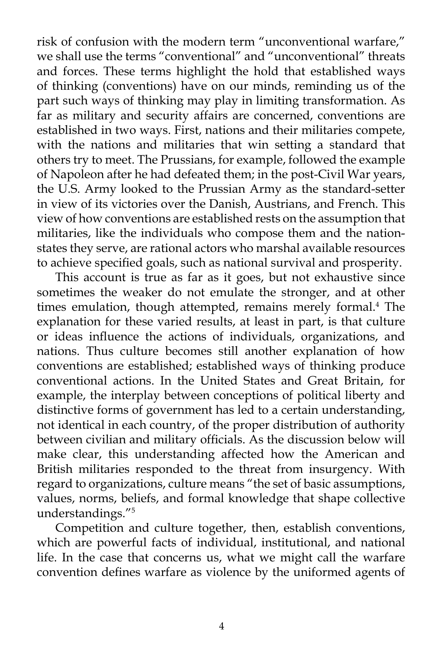risk of confusion with the modern term "unconventional warfare," we shall use the terms "conventional" and "unconventional" threats and forces. These terms highlight the hold that established ways of thinking (conventions) have on our minds, reminding us of the part such ways of thinking may play in limiting transformation. As far as military and security affairs are concerned, conventions are established in two ways. First, nations and their militaries compete, with the nations and militaries that win setting a standard that others try to meet. The Prussians, for example, followed the example of Napoleon after he had defeated them; in the post-Civil War years, the U.S. Army looked to the Prussian Army as the standard-setter in view of its victories over the Danish, Austrians, and French. This view of how conventions are established rests on the assumption that militaries, like the individuals who compose them and the nationstates they serve, are rational actors who marshal available resources to achieve specified goals, such as national survival and prosperity.

This account is true as far as it goes, but not exhaustive since sometimes the weaker do not emulate the stronger, and at other times emulation, though attempted, remains merely formal.<sup>4</sup> The explanation for these varied results, at least in part, is that culture or ideas influence the actions of individuals, organizations, and nations. Thus culture becomes still another explanation of how conventions are established; established ways of thinking produce conventional actions. In the United States and Great Britain, for example, the interplay between conceptions of political liberty and distinctive forms of government has led to a certain understanding, not identical in each country, of the proper distribution of authority between civilian and military officials. As the discussion below will make clear, this understanding affected how the American and British militaries responded to the threat from insurgency. With regard to organizations, culture means "the set of basic assumptions, values, norms, beliefs, and formal knowledge that shape collective understandings."5

Competition and culture together, then, establish conventions, which are powerful facts of individual, institutional, and national life. In the case that concerns us, what we might call the warfare convention defines warfare as violence by the uniformed agents of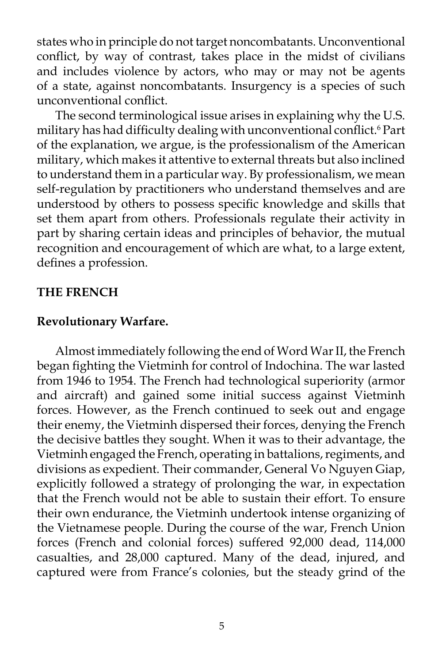states who in principle do not target noncombatants. Unconventional conflict, by way of contrast, takes place in the midst of civilians and includes violence by actors, who may or may not be agents of a state, against noncombatants. Insurgency is a species of such unconventional conflict.

The second terminological issue arises in explaining why the U.S. military has had difficulty dealing with unconventional conflict.<sup>6</sup> Part of the explanation, we argue, is the professionalism of the American military, which makes it attentive to external threats but also inclined to understand them in a particular way. By professionalism, we mean self-regulation by practitioners who understand themselves and are understood by others to possess specific knowledge and skills that set them apart from others. Professionals regulate their activity in part by sharing certain ideas and principles of behavior, the mutual recognition and encouragement of which are what, to a large extent, defines a profession.

## **THE FRENCH**

## **Revolutionary Warfare.**

Almost immediately following the end of Word War II, the French began fighting the Vietminh for control of Indochina. The war lasted from 1946 to 1954. The French had technological superiority (armor and aircraft) and gained some initial success against Vietminh forces. However, as the French continued to seek out and engage their enemy, the Vietminh dispersed their forces, denying the French the decisive battles they sought. When it was to their advantage, the Vietminh engaged the French, operating in battalions, regiments, and divisions as expedient. Their commander, General Vo Nguyen Giap, explicitly followed a strategy of prolonging the war, in expectation that the French would not be able to sustain their effort. To ensure their own endurance, the Vietminh undertook intense organizing of the Vietnamese people. During the course of the war, French Union forces (French and colonial forces) suffered 92,000 dead, 114,000 casualties, and 28,000 captured. Many of the dead, injured, and captured were from France's colonies, but the steady grind of the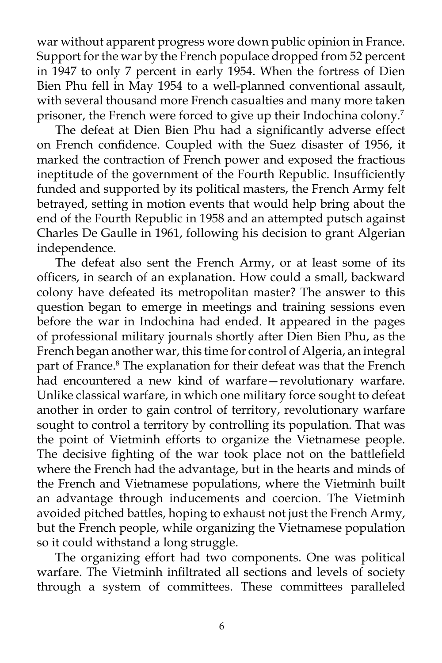war without apparent progress wore down public opinion in France. Support for the war by the French populace dropped from 52 percent in 1947 to only 7 percent in early 1954. When the fortress of Dien Bien Phu fell in May 1954 to a well-planned conventional assault, with several thousand more French casualties and many more taken prisoner, the French were forced to give up their Indochina colony.<sup>7</sup>

The defeat at Dien Bien Phu had a significantly adverse effect on French confidence. Coupled with the Suez disaster of 1956, it marked the contraction of French power and exposed the fractious ineptitude of the government of the Fourth Republic. Insufficiently funded and supported by its political masters, the French Army felt betrayed, setting in motion events that would help bring about the end of the Fourth Republic in 1958 and an attempted putsch against Charles De Gaulle in 1961, following his decision to grant Algerian independence.

The defeat also sent the French Army, or at least some of its officers, in search of an explanation. How could a small, backward colony have defeated its metropolitan master? The answer to this question began to emerge in meetings and training sessions even before the war in Indochina had ended. It appeared in the pages of professional military journals shortly after Dien Bien Phu, as the French began another war, this time for control of Algeria, an integral part of France.<sup>8</sup> The explanation for their defeat was that the French had encountered a new kind of warfare—revolutionary warfare. Unlike classical warfare, in which one military force sought to defeat another in order to gain control of territory, revolutionary warfare sought to control a territory by controlling its population. That was the point of Vietminh efforts to organize the Vietnamese people. The decisive fighting of the war took place not on the battlefield where the French had the advantage, but in the hearts and minds of the French and Vietnamese populations, where the Vietminh built an advantage through inducements and coercion. The Vietminh avoided pitched battles, hoping to exhaust not just the French Army, but the French people, while organizing the Vietnamese population so it could withstand a long struggle.

The organizing effort had two components. One was political warfare. The Vietminh infiltrated all sections and levels of society through a system of committees. These committees paralleled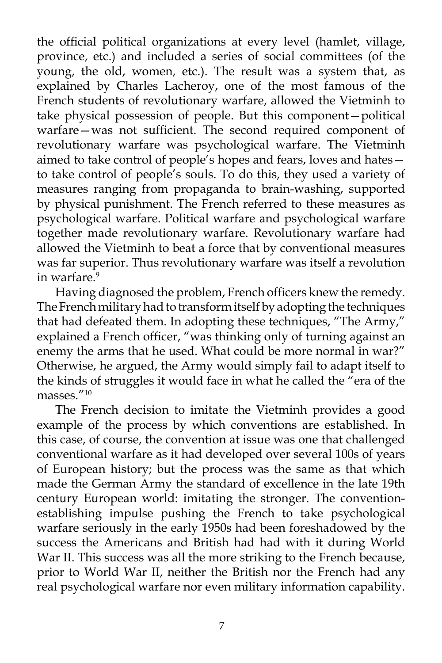the official political organizations at every level (hamlet, village, province, etc.) and included a series of social committees (of the young, the old, women, etc.). The result was a system that, as explained by Charles Lacheroy, one of the most famous of the French students of revolutionary warfare, allowed the Vietminh to take physical possession of people. But this component—political warfare—was not sufficient. The second required component of revolutionary warfare was psychological warfare. The Vietminh aimed to take control of people's hopes and fears, loves and hates to take control of people's souls. To do this, they used a variety of measures ranging from propaganda to brain-washing, supported by physical punishment. The French referred to these measures as psychological warfare. Political warfare and psychological warfare together made revolutionary warfare. Revolutionary warfare had allowed the Vietminh to beat a force that by conventional measures was far superior. Thus revolutionary warfare was itself a revolution in warfare.<sup>9</sup>

Having diagnosed the problem, French officers knew the remedy. The French military had to transform itself by adopting the techniques that had defeated them. In adopting these techniques, "The Army," explained a French officer, "was thinking only of turning against an enemy the arms that he used. What could be more normal in war?" Otherwise, he argued, the Army would simply fail to adapt itself to the kinds of struggles it would face in what he called the "era of the masses."10

The French decision to imitate the Vietminh provides a good example of the process by which conventions are established. In this case, of course, the convention at issue was one that challenged conventional warfare as it had developed over several 100s of years of European history; but the process was the same as that which made the German Army the standard of excellence in the late 19th century European world: imitating the stronger. The conventionestablishing impulse pushing the French to take psychological warfare seriously in the early 1950s had been foreshadowed by the success the Americans and British had had with it during World War II. This success was all the more striking to the French because, prior to World War II, neither the British nor the French had any real psychological warfare nor even military information capability.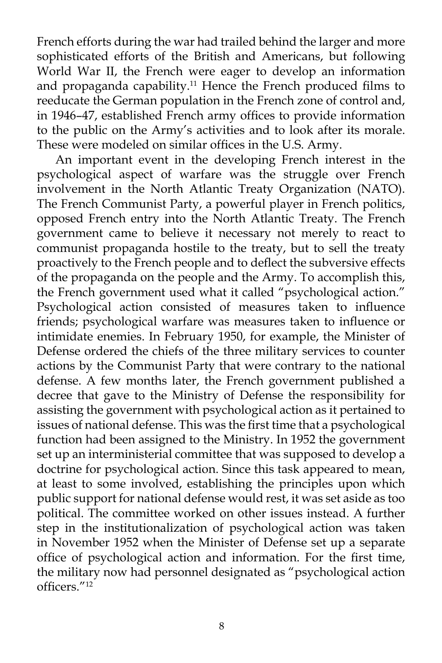French efforts during the war had trailed behind the larger and more sophisticated efforts of the British and Americans, but following World War II, the French were eager to develop an information and propaganda capability.<sup>11</sup> Hence the French produced films to reeducate the German population in the French zone of control and, in 1946–47, established French army offices to provide information to the public on the Army's activities and to look after its morale. These were modeled on similar offices in the U.S. Army.

An important event in the developing French interest in the psychological aspect of warfare was the struggle over French involvement in the North Atlantic Treaty Organization (NATO). The French Communist Party, a powerful player in French politics, opposed French entry into the North Atlantic Treaty. The French government came to believe it necessary not merely to react to communist propaganda hostile to the treaty, but to sell the treaty proactively to the French people and to deflect the subversive effects of the propaganda on the people and the Army. To accomplish this, the French government used what it called "psychological action." Psychological action consisted of measures taken to influence friends; psychological warfare was measures taken to influence or intimidate enemies. In February 1950, for example, the Minister of Defense ordered the chiefs of the three military services to counter actions by the Communist Party that were contrary to the national defense. A few months later, the French government published a decree that gave to the Ministry of Defense the responsibility for assisting the government with psychological action as it pertained to issues of national defense. This was the first time that a psychological function had been assigned to the Ministry. In 1952 the government set up an interministerial committee that was supposed to develop a doctrine for psychological action. Since this task appeared to mean, at least to some involved, establishing the principles upon which public support for national defense would rest, it was set aside as too political. The committee worked on other issues instead. A further step in the institutionalization of psychological action was taken in November 1952 when the Minister of Defense set up a separate office of psychological action and information. For the first time, the military now had personnel designated as "psychological action officers."12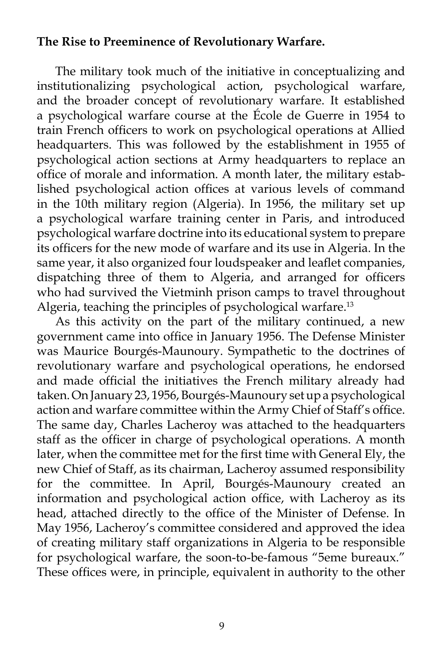## **The Rise to Preeminence of Revolutionary Warfare.**

The military took much of the initiative in conceptualizing and institutionalizing psychological action, psychological warfare, and the broader concept of revolutionary warfare. It established a psychological warfare course at the École de Guerre in 1954 to train French officers to work on psychological operations at Allied headquarters. This was followed by the establishment in 1955 of psychological action sections at Army headquarters to replace an office of morale and information. A month later, the military established psychological action offices at various levels of command in the 10th military region (Algeria). In 1956, the military set up a psychological warfare training center in Paris, and introduced psychological warfare doctrine into its educational system to prepare its officers for the new mode of warfare and its use in Algeria. In the same year, it also organized four loudspeaker and leaflet companies, dispatching three of them to Algeria, and arranged for officers who had survived the Vietminh prison camps to travel throughout Algeria, teaching the principles of psychological warfare.<sup>13</sup>

As this activity on the part of the military continued, a new government came into office in January 1956. The Defense Minister was Maurice Bourgés-Maunoury. Sympathetic to the doctrines of revolutionary warfare and psychological operations, he endorsed and made official the initiatives the French military already had taken. On January 23, 1956, Bourgés-Maunoury set up a psychological action and warfare committee within the Army Chief of Staff's office. The same day, Charles Lacheroy was attached to the headquarters staff as the officer in charge of psychological operations. A month later, when the committee met for the first time with General Ely, the new Chief of Staff, as its chairman, Lacheroy assumed responsibility for the committee. In April, Bourgés-Maunoury created an information and psychological action office, with Lacheroy as its head, attached directly to the office of the Minister of Defense. In May 1956, Lacheroy's committee considered and approved the idea of creating military staff organizations in Algeria to be responsible for psychological warfare, the soon-to-be-famous "5eme bureaux." These offices were, in principle, equivalent in authority to the other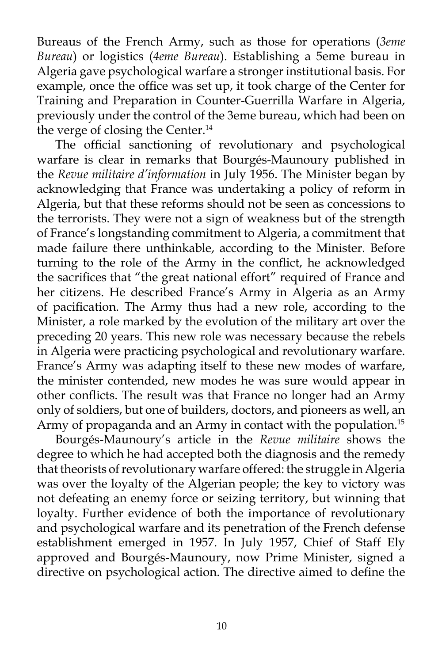Bureaus of the French Army, such as those for operations (*3eme Bureau*) or logistics (*4eme Bureau*). Establishing a 5eme bureau in Algeria gave psychological warfare a stronger institutional basis. For example, once the office was set up, it took charge of the Center for Training and Preparation in Counter-Guerrilla Warfare in Algeria, previously under the control of the 3eme bureau, which had been on the verge of closing the Center.<sup>14</sup>

The official sanctioning of revolutionary and psychological warfare is clear in remarks that Bourgés-Maunoury published in the *Revue militaire d'information* in July 1956. The Minister began by acknowledging that France was undertaking a policy of reform in Algeria, but that these reforms should not be seen as concessions to the terrorists. They were not a sign of weakness but of the strength of France's longstanding commitment to Algeria, a commitment that made failure there unthinkable, according to the Minister. Before turning to the role of the Army in the conflict, he acknowledged the sacrifices that "the great national effort" required of France and her citizens. He described France's Army in Algeria as an Army of pacification. The Army thus had a new role, according to the Minister, a role marked by the evolution of the military art over the preceding 20 years. This new role was necessary because the rebels in Algeria were practicing psychological and revolutionary warfare. France's Army was adapting itself to these new modes of warfare, the minister contended, new modes he was sure would appear in other conflicts. The result was that France no longer had an Army only of soldiers, but one of builders, doctors, and pioneers as well, an Army of propaganda and an Army in contact with the population.<sup>15</sup>

Bourgés-Maunoury's article in the *Revue militaire* shows the degree to which he had accepted both the diagnosis and the remedy that theorists of revolutionary warfare offered: the struggle in Algeria was over the loyalty of the Algerian people; the key to victory was not defeating an enemy force or seizing territory, but winning that loyalty. Further evidence of both the importance of revolutionary and psychological warfare and its penetration of the French defense establishment emerged in 1957. In July 1957, Chief of Staff Ely approved and Bourgés-Maunoury, now Prime Minister, signed a directive on psychological action. The directive aimed to define the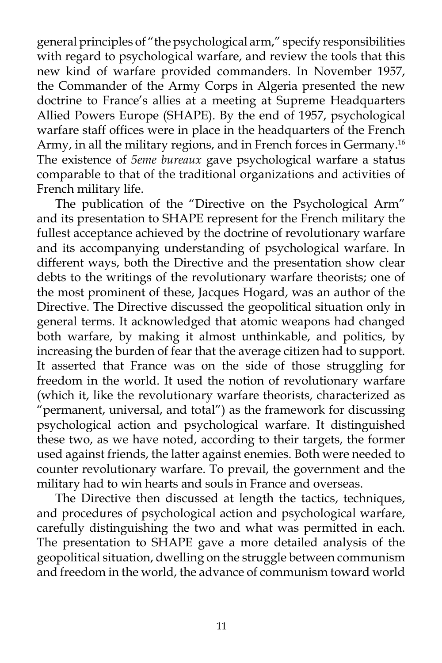general principles of "the psychological arm," specify responsibilities with regard to psychological warfare, and review the tools that this new kind of warfare provided commanders. In November 1957, the Commander of the Army Corps in Algeria presented the new doctrine to France's allies at a meeting at Supreme Headquarters Allied Powers Europe (SHAPE). By the end of 1957, psychological warfare staff offices were in place in the headquarters of the French Army, in all the military regions, and in French forces in Germany.<sup>16</sup> The existence of *5eme bureaux* gave psychological warfare a status comparable to that of the traditional organizations and activities of French military life.

The publication of the "Directive on the Psychological Arm" and its presentation to SHAPE represent for the French military the fullest acceptance achieved by the doctrine of revolutionary warfare and its accompanying understanding of psychological warfare. In different ways, both the Directive and the presentation show clear debts to the writings of the revolutionary warfare theorists; one of the most prominent of these, Jacques Hogard, was an author of the Directive. The Directive discussed the geopolitical situation only in general terms. It acknowledged that atomic weapons had changed both warfare, by making it almost unthinkable, and politics, by increasing the burden of fear that the average citizen had to support. It asserted that France was on the side of those struggling for freedom in the world. It used the notion of revolutionary warfare (which it, like the revolutionary warfare theorists, characterized as "permanent, universal, and total") as the framework for discussing psychological action and psychological warfare. It distinguished these two, as we have noted, according to their targets, the former used against friends, the latter against enemies. Both were needed to counter revolutionary warfare. To prevail, the government and the military had to win hearts and souls in France and overseas.

The Directive then discussed at length the tactics, techniques, and procedures of psychological action and psychological warfare, carefully distinguishing the two and what was permitted in each. The presentation to SHAPE gave a more detailed analysis of the geopolitical situation, dwelling on the struggle between communism and freedom in the world, the advance of communism toward world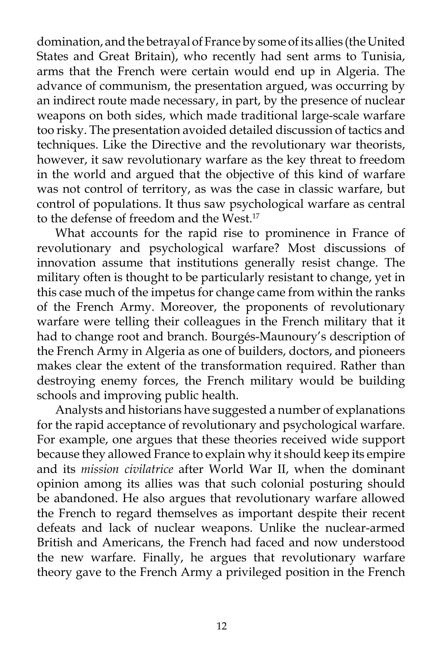domination, and the betrayal of France by some of its allies (the United States and Great Britain), who recently had sent arms to Tunisia, arms that the French were certain would end up in Algeria. The advance of communism, the presentation argued, was occurring by an indirect route made necessary, in part, by the presence of nuclear weapons on both sides, which made traditional large-scale warfare too risky. The presentation avoided detailed discussion of tactics and techniques. Like the Directive and the revolutionary war theorists, however, it saw revolutionary warfare as the key threat to freedom in the world and argued that the objective of this kind of warfare was not control of territory, as was the case in classic warfare, but control of populations. It thus saw psychological warfare as central to the defense of freedom and the West.<sup>17</sup>

What accounts for the rapid rise to prominence in France of revolutionary and psychological warfare? Most discussions of innovation assume that institutions generally resist change. The military often is thought to be particularly resistant to change, yet in this case much of the impetus for change came from within the ranks of the French Army. Moreover, the proponents of revolutionary warfare were telling their colleagues in the French military that it had to change root and branch. Bourgés-Maunoury's description of the French Army in Algeria as one of builders, doctors, and pioneers makes clear the extent of the transformation required. Rather than destroying enemy forces, the French military would be building schools and improving public health.

Analysts and historians have suggested a number of explanations for the rapid acceptance of revolutionary and psychological warfare. For example, one argues that these theories received wide support because they allowed France to explain why it should keep its empire and its *mission civilatrice* after World War II, when the dominant opinion among its allies was that such colonial posturing should be abandoned. He also argues that revolutionary warfare allowed the French to regard themselves as important despite their recent defeats and lack of nuclear weapons. Unlike the nuclear-armed British and Americans, the French had faced and now understood the new warfare. Finally, he argues that revolutionary warfare theory gave to the French Army a privileged position in the French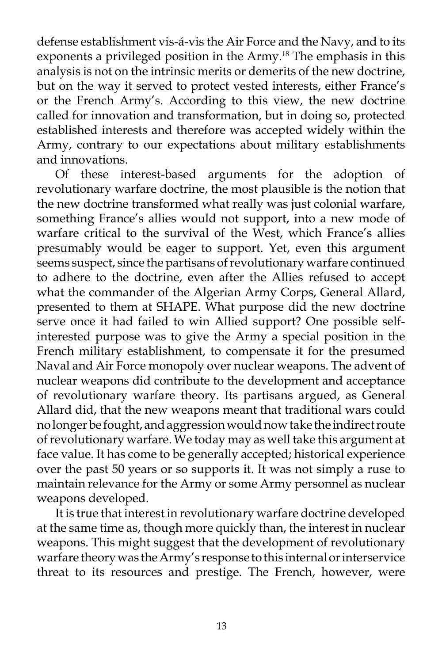defense establishment vis-á-vis the Air Force and the Navy, and to its exponents a privileged position in the Army.<sup>18</sup> The emphasis in this analysis is not on the intrinsic merits or demerits of the new doctrine, but on the way it served to protect vested interests, either France's or the French Army's. According to this view, the new doctrine called for innovation and transformation, but in doing so, protected established interests and therefore was accepted widely within the Army, contrary to our expectations about military establishments and innovations.

Of these interest-based arguments for the adoption of revolutionary warfare doctrine, the most plausible is the notion that the new doctrine transformed what really was just colonial warfare, something France's allies would not support, into a new mode of warfare critical to the survival of the West, which France's allies presumably would be eager to support. Yet, even this argument seems suspect, since the partisans of revolutionary warfare continued to adhere to the doctrine, even after the Allies refused to accept what the commander of the Algerian Army Corps, General Allard, presented to them at SHAPE. What purpose did the new doctrine serve once it had failed to win Allied support? One possible selfinterested purpose was to give the Army a special position in the French military establishment, to compensate it for the presumed Naval and Air Force monopoly over nuclear weapons. The advent of nuclear weapons did contribute to the development and acceptance of revolutionary warfare theory. Its partisans argued, as General Allard did, that the new weapons meant that traditional wars could no longer be fought, and aggression would now take the indirect route of revolutionary warfare. We today may as well take this argument at face value. It has come to be generally accepted; historical experience over the past 50 years or so supports it. It was not simply a ruse to maintain relevance for the Army or some Army personnel as nuclear weapons developed.

It is true that interest in revolutionary warfare doctrine developed at the same time as, though more quickly than, the interest in nuclear weapons. This might suggest that the development of revolutionary warfare theory was the Army's response to this internal or interservice threat to its resources and prestige. The French, however, were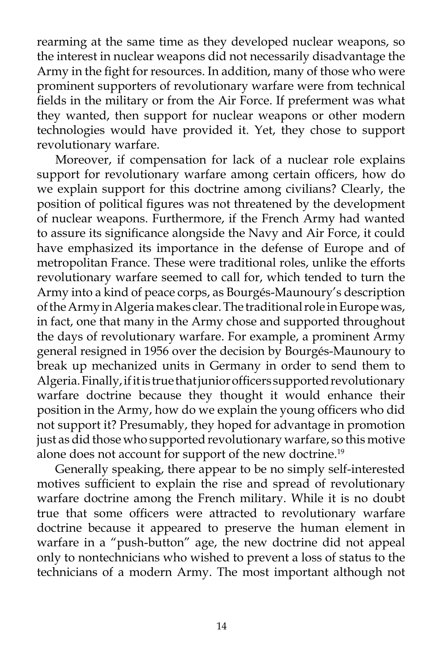rearming at the same time as they developed nuclear weapons, so the interest in nuclear weapons did not necessarily disadvantage the Army in the fight for resources. In addition, many of those who were prominent supporters of revolutionary warfare were from technical fields in the military or from the Air Force. If preferment was what they wanted, then support for nuclear weapons or other modern technologies would have provided it. Yet, they chose to support revolutionary warfare.

Moreover, if compensation for lack of a nuclear role explains support for revolutionary warfare among certain officers, how do we explain support for this doctrine among civilians? Clearly, the position of political figures was not threatened by the development of nuclear weapons. Furthermore, if the French Army had wanted to assure its significance alongside the Navy and Air Force, it could have emphasized its importance in the defense of Europe and of metropolitan France. These were traditional roles, unlike the efforts revolutionary warfare seemed to call for, which tended to turn the Army into a kind of peace corps, as Bourgés-Maunoury's description of the Army in Algeria makes clear. The traditional role in Europe was, in fact, one that many in the Army chose and supported throughout the days of revolutionary warfare. For example, a prominent Army general resigned in 1956 over the decision by Bourgés-Maunoury to break up mechanized units in Germany in order to send them to Algeria. Finally, if it is true that junior officers supported revolutionary warfare doctrine because they thought it would enhance their position in the Army, how do we explain the young officers who did not support it? Presumably, they hoped for advantage in promotion just as did those who supported revolutionary warfare, so this motive alone does not account for support of the new doctrine.<sup>19</sup>

Generally speaking, there appear to be no simply self-interested motives sufficient to explain the rise and spread of revolutionary warfare doctrine among the French military. While it is no doubt true that some officers were attracted to revolutionary warfare doctrine because it appeared to preserve the human element in warfare in a "push-button" age, the new doctrine did not appeal only to nontechnicians who wished to prevent a loss of status to the technicians of a modern Army. The most important although not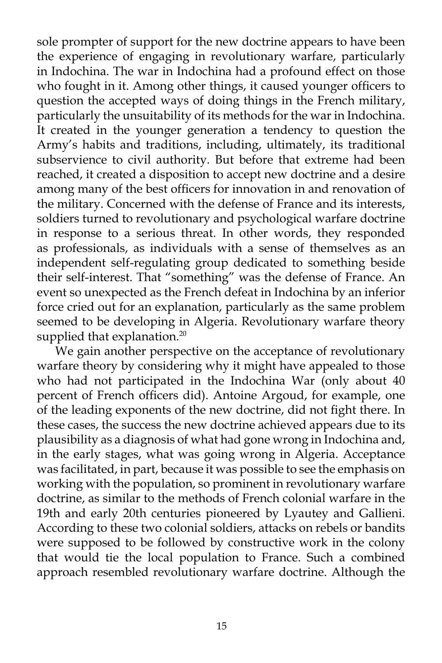sole prompter of support for the new doctrine appears to have been the experience of engaging in revolutionary warfare, particularly in Indochina. The war in Indochina had a profound effect on those who fought in it. Among other things, it caused younger officers to question the accepted ways of doing things in the French military, particularly the unsuitability of its methods for the war in Indochina. It created in the younger generation a tendency to question the Army's habits and traditions, including, ultimately, its traditional subservience to civil authority. But before that extreme had been reached, it created a disposition to accept new doctrine and a desire among many of the best officers for innovation in and renovation of the military. Concerned with the defense of France and its interests, soldiers turned to revolutionary and psychological warfare doctrine in response to a serious threat. In other words, they responded as professionals, as individuals with a sense of themselves as an independent self-regulating group dedicated to something beside their self-interest. That "something" was the defense of France. An event so unexpected as the French defeat in Indochina by an inferior force cried out for an explanation, particularly as the same problem seemed to be developing in Algeria. Revolutionary warfare theory supplied that explanation.<sup>20</sup>

We gain another perspective on the acceptance of revolutionary warfare theory by considering why it might have appealed to those who had not participated in the Indochina War (only about 40 percent of French officers did). Antoine Argoud, for example, one of the leading exponents of the new doctrine, did not fight there. In these cases, the success the new doctrine achieved appears due to its plausibility as a diagnosis of what had gone wrong in Indochina and, in the early stages, what was going wrong in Algeria. Acceptance was facilitated, in part, because it was possible to see the emphasis on working with the population, so prominent in revolutionary warfare doctrine, as similar to the methods of French colonial warfare in the 19th and early 20th centuries pioneered by Lyautey and Gallieni. According to these two colonial soldiers, attacks on rebels or bandits were supposed to be followed by constructive work in the colony that would tie the local population to France. Such a combined approach resembled revolutionary warfare doctrine. Although the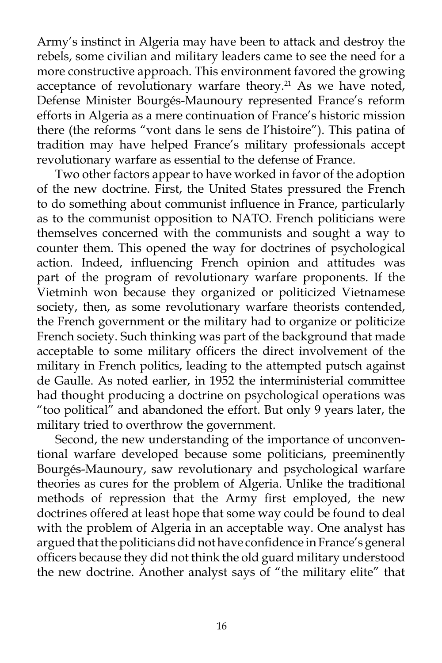Army's instinct in Algeria may have been to attack and destroy the rebels, some civilian and military leaders came to see the need for a more constructive approach. This environment favored the growing acceptance of revolutionary warfare theory.<sup>21</sup> As we have noted, Defense Minister Bourgés-Maunoury represented France's reform efforts in Algeria as a mere continuation of France's historic mission there (the reforms "vont dans le sens de l'histoire"). This patina of tradition may have helped France's military professionals accept revolutionary warfare as essential to the defense of France.

Two other factors appear to have worked in favor of the adoption of the new doctrine. First, the United States pressured the French to do something about communist influence in France, particularly as to the communist opposition to NATO. French politicians were themselves concerned with the communists and sought a way to counter them. This opened the way for doctrines of psychological action. Indeed, influencing French opinion and attitudes was part of the program of revolutionary warfare proponents. If the Vietminh won because they organized or politicized Vietnamese society, then, as some revolutionary warfare theorists contended, the French government or the military had to organize or politicize French society. Such thinking was part of the background that made acceptable to some military officers the direct involvement of the military in French politics, leading to the attempted putsch against de Gaulle. As noted earlier, in 1952 the interministerial committee had thought producing a doctrine on psychological operations was "too political" and abandoned the effort. But only 9 years later, the military tried to overthrow the government.

Second, the new understanding of the importance of unconventional warfare developed because some politicians, preeminently Bourgés-Maunoury, saw revolutionary and psychological warfare theories as cures for the problem of Algeria. Unlike the traditional methods of repression that the Army first employed, the new doctrines offered at least hope that some way could be found to deal with the problem of Algeria in an acceptable way. One analyst has argued that the politicians did not have confidence in France's general officers because they did not think the old guard military understood the new doctrine. Another analyst says of "the military elite" that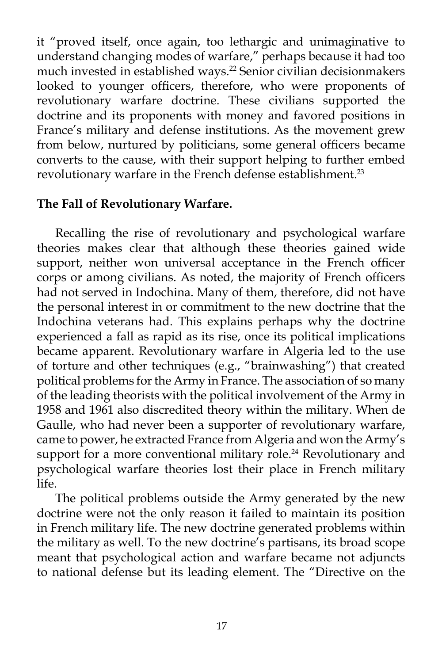it "proved itself, once again, too lethargic and unimaginative to understand changing modes of warfare," perhaps because it had too much invested in established ways.<sup>22</sup> Senior civilian decisionmakers looked to younger officers, therefore, who were proponents of revolutionary warfare doctrine. These civilians supported the doctrine and its proponents with money and favored positions in France's military and defense institutions. As the movement grew from below, nurtured by politicians, some general officers became converts to the cause, with their support helping to further embed revolutionary warfare in the French defense establishment.<sup>23</sup>

## **The Fall of Revolutionary Warfare.**

Recalling the rise of revolutionary and psychological warfare theories makes clear that although these theories gained wide support, neither won universal acceptance in the French officer corps or among civilians. As noted, the majority of French officers had not served in Indochina. Many of them, therefore, did not have the personal interest in or commitment to the new doctrine that the Indochina veterans had. This explains perhaps why the doctrine experienced a fall as rapid as its rise, once its political implications became apparent. Revolutionary warfare in Algeria led to the use of torture and other techniques (e.g., "brainwashing") that created political problems for the Army in France. The association of so many of the leading theorists with the political involvement of the Army in 1958 and 1961 also discredited theory within the military. When de Gaulle, who had never been a supporter of revolutionary warfare, came to power, he extracted France from Algeria and won the Army's support for a more conventional military role.<sup>24</sup> Revolutionary and psychological warfare theories lost their place in French military life.

The political problems outside the Army generated by the new doctrine were not the only reason it failed to maintain its position in French military life. The new doctrine generated problems within the military as well. To the new doctrine's partisans, its broad scope meant that psychological action and warfare became not adjuncts to national defense but its leading element. The "Directive on the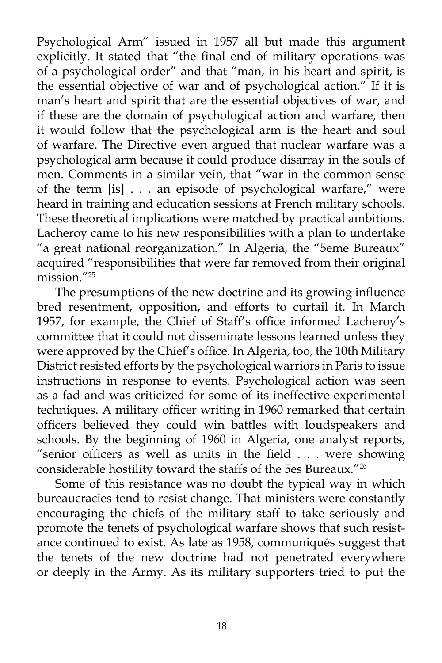Psychological Arm" issued in 1957 all but made this argument explicitly. It stated that "the final end of military operations was of a psychological order" and that "man, in his heart and spirit, is the essential objective of war and of psychological action." If it is man's heart and spirit that are the essential objectives of war, and if these are the domain of psychological action and warfare, then it would follow that the psychological arm is the heart and soul of warfare. The Directive even argued that nuclear warfare was a psychological arm because it could produce disarray in the souls of men. Comments in a similar vein, that "war in the common sense of the term [is] . . . an episode of psychological warfare," were heard in training and education sessions at French military schools. These theoretical implications were matched by practical ambitions. Lacheroy came to his new responsibilities with a plan to undertake "a great national reorganization." In Algeria, the "5eme Bureaux" acquired "responsibilities that were far removed from their original  $mission$ <sup> $"25$ </sup>

The presumptions of the new doctrine and its growing influence bred resentment, opposition, and efforts to curtail it. In March 1957, for example, the Chief of Staff's office informed Lacheroy's committee that it could not disseminate lessons learned unless they were approved by the Chief's office. In Algeria, too, the 10th Military District resisted efforts by the psychological warriors in Paris to issue instructions in response to events. Psychological action was seen as a fad and was criticized for some of its ineffective experimental techniques. A military officer writing in 1960 remarked that certain officers believed they could win battles with loudspeakers and schools. By the beginning of 1960 in Algeria, one analyst reports, "senior officers as well as units in the field . . . were showing considerable hostility toward the staffs of the 5es Bureaux."26

Some of this resistance was no doubt the typical way in which bureaucracies tend to resist change. That ministers were constantly encouraging the chiefs of the military staff to take seriously and promote the tenets of psychological warfare shows that such resistance continued to exist. As late as 1958, communiqués suggest that the tenets of the new doctrine had not penetrated everywhere or deeply in the Army. As its military supporters tried to put the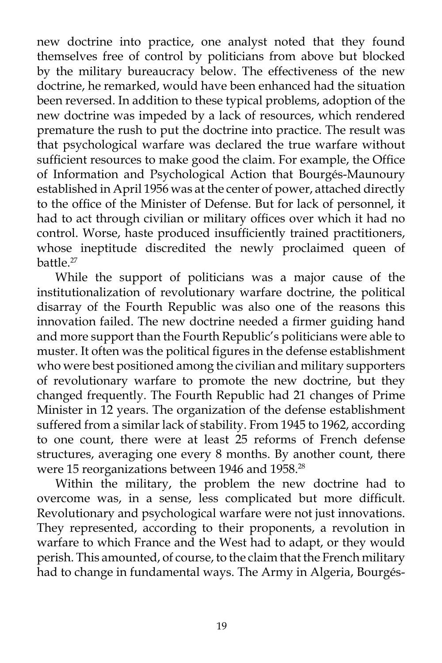new doctrine into practice, one analyst noted that they found themselves free of control by politicians from above but blocked by the military bureaucracy below. The effectiveness of the new doctrine, he remarked, would have been enhanced had the situation been reversed. In addition to these typical problems, adoption of the new doctrine was impeded by a lack of resources, which rendered premature the rush to put the doctrine into practice. The result was that psychological warfare was declared the true warfare without sufficient resources to make good the claim. For example, the Office of Information and Psychological Action that Bourgés-Maunoury established in April 1956 was at the center of power, attached directly to the office of the Minister of Defense. But for lack of personnel, it had to act through civilian or military offices over which it had no control. Worse, haste produced insufficiently trained practitioners, whose ineptitude discredited the newly proclaimed queen of battle.<sup>27</sup>

While the support of politicians was a major cause of the institutionalization of revolutionary warfare doctrine, the political disarray of the Fourth Republic was also one of the reasons this innovation failed. The new doctrine needed a firmer guiding hand and more support than the Fourth Republic's politicians were able to muster. It often was the political figures in the defense establishment who were best positioned among the civilian and military supporters of revolutionary warfare to promote the new doctrine, but they changed frequently. The Fourth Republic had 21 changes of Prime Minister in 12 years. The organization of the defense establishment suffered from a similar lack of stability. From 1945 to 1962, according to one count, there were at least 25 reforms of French defense structures, averaging one every 8 months. By another count, there were 15 reorganizations between 1946 and 1958.<sup>28</sup>

Within the military, the problem the new doctrine had to overcome was, in a sense, less complicated but more difficult. Revolutionary and psychological warfare were not just innovations. They represented, according to their proponents, a revolution in warfare to which France and the West had to adapt, or they would perish. This amounted, of course, to the claim that the French military had to change in fundamental ways. The Army in Algeria, Bourgés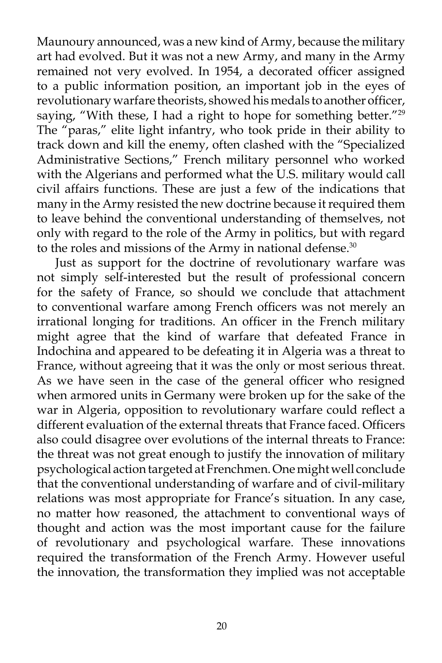Maunoury announced, was a new kind of Army, because the military art had evolved. But it was not a new Army, and many in the Army remained not very evolved. In 1954, a decorated officer assigned to a public information position, an important job in the eyes of revolutionary warfare theorists, showed his medals to another officer, saying, "With these, I had a right to hope for something better."<sup>29</sup> The "paras," elite light infantry, who took pride in their ability to track down and kill the enemy, often clashed with the "Specialized Administrative Sections," French military personnel who worked with the Algerians and performed what the U.S. military would call civil affairs functions. These are just a few of the indications that many in the Army resisted the new doctrine because it required them to leave behind the conventional understanding of themselves, not only with regard to the role of the Army in politics, but with regard to the roles and missions of the Army in national defense.<sup>30</sup>

Just as support for the doctrine of revolutionary warfare was not simply self-interested but the result of professional concern for the safety of France, so should we conclude that attachment to conventional warfare among French officers was not merely an irrational longing for traditions. An officer in the French military might agree that the kind of warfare that defeated France in Indochina and appeared to be defeating it in Algeria was a threat to France, without agreeing that it was the only or most serious threat. As we have seen in the case of the general officer who resigned when armored units in Germany were broken up for the sake of the war in Algeria, opposition to revolutionary warfare could reflect a different evaluation of the external threats that France faced. Officers also could disagree over evolutions of the internal threats to France: the threat was not great enough to justify the innovation of military psychological action targeted at Frenchmen. One might well conclude that the conventional understanding of warfare and of civil-military relations was most appropriate for France's situation. In any case, no matter how reasoned, the attachment to conventional ways of thought and action was the most important cause for the failure of revolutionary and psychological warfare. These innovations required the transformation of the French Army. However useful the innovation, the transformation they implied was not acceptable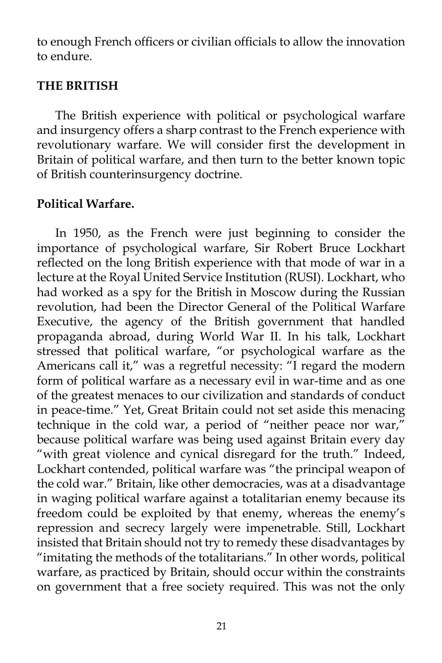to enough French officers or civilian officials to allow the innovation to endure.

#### **THE BRITISH**

The British experience with political or psychological warfare and insurgency offers a sharp contrast to the French experience with revolutionary warfare. We will consider first the development in Britain of political warfare, and then turn to the better known topic of British counterinsurgency doctrine.

## **Political Warfare.**

In 1950, as the French were just beginning to consider the importance of psychological warfare, Sir Robert Bruce Lockhart reflected on the long British experience with that mode of war in a lecture at the Royal United Service Institution (RUSI). Lockhart, who had worked as a spy for the British in Moscow during the Russian revolution, had been the Director General of the Political Warfare Executive, the agency of the British government that handled propaganda abroad, during World War II. In his talk, Lockhart stressed that political warfare, "or psychological warfare as the Americans call it," was a regretful necessity: "I regard the modern form of political warfare as a necessary evil in war-time and as one of the greatest menaces to our civilization and standards of conduct in peace-time." Yet, Great Britain could not set aside this menacing technique in the cold war, a period of "neither peace nor war," because political warfare was being used against Britain every day "with great violence and cynical disregard for the truth." Indeed, Lockhart contended, political warfare was "the principal weapon of the cold war." Britain, like other democracies, was at a disadvantage in waging political warfare against a totalitarian enemy because its freedom could be exploited by that enemy, whereas the enemy's repression and secrecy largely were impenetrable. Still, Lockhart insisted that Britain should not try to remedy these disadvantages by "imitating the methods of the totalitarians." In other words, political warfare, as practiced by Britain, should occur within the constraints on government that a free society required. This was not the only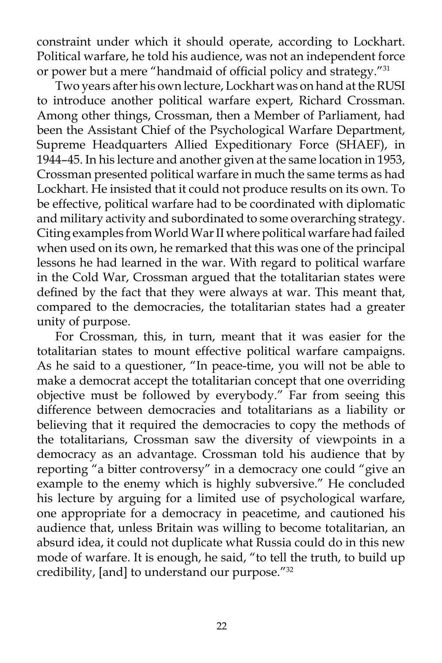constraint under which it should operate, according to Lockhart. Political warfare, he told his audience, was not an independent force or power but a mere "handmaid of official policy and strategy."31

Two years after his own lecture, Lockhart was on hand at the RUSI to introduce another political warfare expert, Richard Crossman. Among other things, Crossman, then a Member of Parliament, had been the Assistant Chief of the Psychological Warfare Department, Supreme Headquarters Allied Expeditionary Force (SHAEF), in 1944–45. In his lecture and another given at the same location in 1953, Crossman presented political warfare in much the same terms as had Lockhart. He insisted that it could not produce results on its own. To be effective, political warfare had to be coordinated with diplomatic and military activity and subordinated to some overarching strategy. Citing examples from World War II where political warfare had failed when used on its own, he remarked that this was one of the principal lessons he had learned in the war. With regard to political warfare in the Cold War, Crossman argued that the totalitarian states were defined by the fact that they were always at war. This meant that, compared to the democracies, the totalitarian states had a greater unity of purpose.

For Crossman, this, in turn, meant that it was easier for the totalitarian states to mount effective political warfare campaigns. As he said to a questioner, "In peace-time, you will not be able to make a democrat accept the totalitarian concept that one overriding objective must be followed by everybody." Far from seeing this difference between democracies and totalitarians as a liability or believing that it required the democracies to copy the methods of the totalitarians, Crossman saw the diversity of viewpoints in a democracy as an advantage. Crossman told his audience that by reporting "a bitter controversy" in a democracy one could "give an example to the enemy which is highly subversive." He concluded his lecture by arguing for a limited use of psychological warfare, one appropriate for a democracy in peacetime, and cautioned his audience that, unless Britain was willing to become totalitarian, an absurd idea, it could not duplicate what Russia could do in this new mode of warfare. It is enough, he said, "to tell the truth, to build up credibility, [and] to understand our purpose."32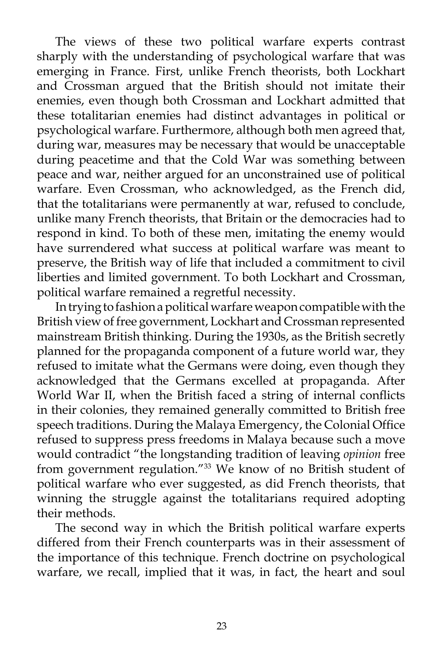The views of these two political warfare experts contrast sharply with the understanding of psychological warfare that was emerging in France. First, unlike French theorists, both Lockhart and Crossman argued that the British should not imitate their enemies, even though both Crossman and Lockhart admitted that these totalitarian enemies had distinct advantages in political or psychological warfare. Furthermore, although both men agreed that, during war, measures may be necessary that would be unacceptable during peacetime and that the Cold War was something between peace and war, neither argued for an unconstrained use of political warfare. Even Crossman, who acknowledged, as the French did, that the totalitarians were permanently at war, refused to conclude, unlike many French theorists, that Britain or the democracies had to respond in kind. To both of these men, imitating the enemy would have surrendered what success at political warfare was meant to preserve, the British way of life that included a commitment to civil liberties and limited government. To both Lockhart and Crossman, political warfare remained a regretful necessity.

In trying to fashion a political warfare weapon compatible with the British view of free government, Lockhart and Crossman represented mainstream British thinking. During the 1930s, as the British secretly planned for the propaganda component of a future world war, they refused to imitate what the Germans were doing, even though they acknowledged that the Germans excelled at propaganda. After World War II, when the British faced a string of internal conflicts in their colonies, they remained generally committed to British free speech traditions. During the Malaya Emergency, the Colonial Office refused to suppress press freedoms in Malaya because such a move would contradict "the longstanding tradition of leaving *opinion* free from government regulation."33 We know of no British student of political warfare who ever suggested, as did French theorists, that winning the struggle against the totalitarians required adopting their methods.

The second way in which the British political warfare experts differed from their French counterparts was in their assessment of the importance of this technique. French doctrine on psychological warfare, we recall, implied that it was, in fact, the heart and soul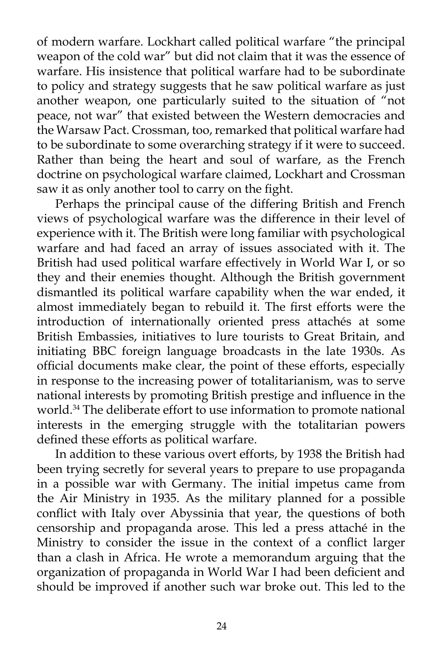of modern warfare. Lockhart called political warfare "the principal weapon of the cold war" but did not claim that it was the essence of warfare. His insistence that political warfare had to be subordinate to policy and strategy suggests that he saw political warfare as just another weapon, one particularly suited to the situation of "not peace, not war" that existed between the Western democracies and the Warsaw Pact. Crossman, too, remarked that political warfare had to be subordinate to some overarching strategy if it were to succeed. Rather than being the heart and soul of warfare, as the French doctrine on psychological warfare claimed, Lockhart and Crossman saw it as only another tool to carry on the fight.

Perhaps the principal cause of the differing British and French views of psychological warfare was the difference in their level of experience with it. The British were long familiar with psychological warfare and had faced an array of issues associated with it. The British had used political warfare effectively in World War I, or so they and their enemies thought. Although the British government dismantled its political warfare capability when the war ended, it almost immediately began to rebuild it. The first efforts were the introduction of internationally oriented press attachés at some British Embassies, initiatives to lure tourists to Great Britain, and initiating BBC foreign language broadcasts in the late 1930s. As official documents make clear, the point of these efforts, especially in response to the increasing power of totalitarianism, was to serve national interests by promoting British prestige and influence in the world.<sup>34</sup> The deliberate effort to use information to promote national interests in the emerging struggle with the totalitarian powers defined these efforts as political warfare.

In addition to these various overt efforts, by 1938 the British had been trying secretly for several years to prepare to use propaganda in a possible war with Germany. The initial impetus came from the Air Ministry in 1935. As the military planned for a possible conflict with Italy over Abyssinia that year, the questions of both censorship and propaganda arose. This led a press attaché in the Ministry to consider the issue in the context of a conflict larger than a clash in Africa. He wrote a memorandum arguing that the organization of propaganda in World War I had been deficient and should be improved if another such war broke out. This led to the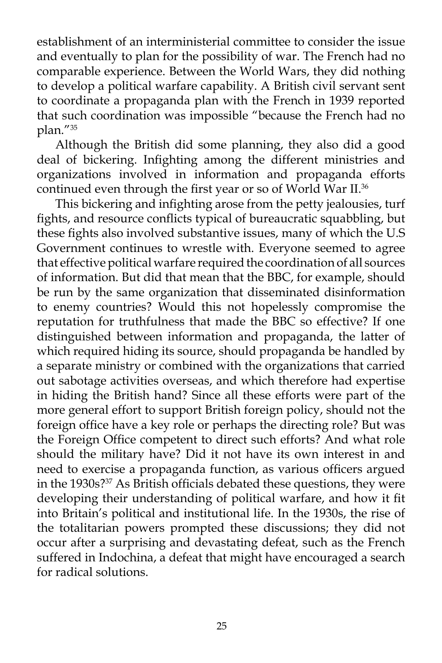establishment of an interministerial committee to consider the issue and eventually to plan for the possibility of war. The French had no comparable experience. Between the World Wars, they did nothing to develop a political warfare capability. A British civil servant sent to coordinate a propaganda plan with the French in 1939 reported that such coordination was impossible "because the French had no plan."35

Although the British did some planning, they also did a good deal of bickering. Infighting among the different ministries and organizations involved in information and propaganda efforts continued even through the first year or so of World War II.<sup>36</sup>

This bickering and infighting arose from the petty jealousies, turf fights, and resource conflicts typical of bureaucratic squabbling, but these fights also involved substantive issues, many of which the U.S Government continues to wrestle with. Everyone seemed to agree that effective political warfare required the coordination of all sources of information. But did that mean that the BBC, for example, should be run by the same organization that disseminated disinformation to enemy countries? Would this not hopelessly compromise the reputation for truthfulness that made the BBC so effective? If one distinguished between information and propaganda, the latter of which required hiding its source, should propaganda be handled by a separate ministry or combined with the organizations that carried out sabotage activities overseas, and which therefore had expertise in hiding the British hand? Since all these efforts were part of the more general effort to support British foreign policy, should not the foreign office have a key role or perhaps the directing role? But was the Foreign Office competent to direct such efforts? And what role should the military have? Did it not have its own interest in and need to exercise a propaganda function, as various officers argued in the 1930s?37 As British officials debated these questions, they were developing their understanding of political warfare, and how it fit into Britain's political and institutional life. In the 1930s, the rise of the totalitarian powers prompted these discussions; they did not occur after a surprising and devastating defeat, such as the French suffered in Indochina, a defeat that might have encouraged a search for radical solutions.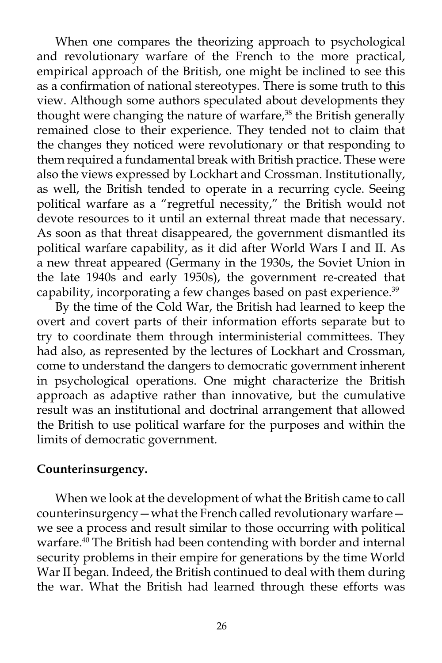When one compares the theorizing approach to psychological and revolutionary warfare of the French to the more practical, empirical approach of the British, one might be inclined to see this as a confirmation of national stereotypes. There is some truth to this view. Although some authors speculated about developments they thought were changing the nature of warfare,<sup>38</sup> the British generally remained close to their experience. They tended not to claim that the changes they noticed were revolutionary or that responding to them required a fundamental break with British practice. These were also the views expressed by Lockhart and Crossman. Institutionally, as well, the British tended to operate in a recurring cycle. Seeing political warfare as a "regretful necessity," the British would not devote resources to it until an external threat made that necessary. As soon as that threat disappeared, the government dismantled its political warfare capability, as it did after World Wars I and II. As a new threat appeared (Germany in the 1930s, the Soviet Union in the late 1940s and early 1950s), the government re-created that capability, incorporating a few changes based on past experience.<sup>39</sup>

By the time of the Cold War, the British had learned to keep the overt and covert parts of their information efforts separate but to try to coordinate them through interministerial committees. They had also, as represented by the lectures of Lockhart and Crossman, come to understand the dangers to democratic government inherent in psychological operations. One might characterize the British approach as adaptive rather than innovative, but the cumulative result was an institutional and doctrinal arrangement that allowed the British to use political warfare for the purposes and within the limits of democratic government.

## **Counterinsurgency.**

When we look at the development of what the British came to call counterinsurgency—what the French called revolutionary warfare we see a process and result similar to those occurring with political warfare.<sup>40</sup> The British had been contending with border and internal security problems in their empire for generations by the time World War II began. Indeed, the British continued to deal with them during the war. What the British had learned through these efforts was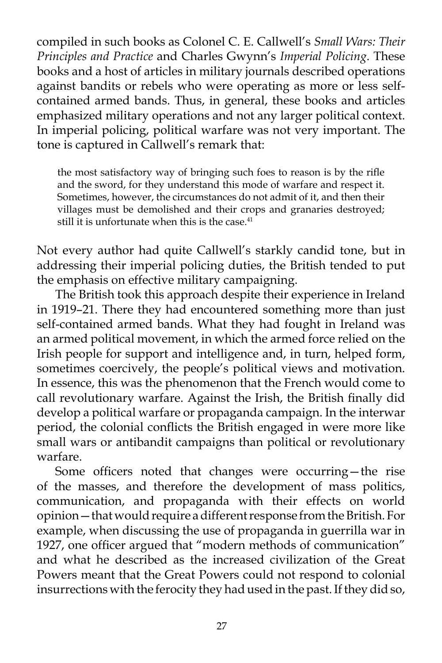compiled in such books as Colonel C. E. Callwell's *Small Wars: Their Principles and Practice* and Charles Gwynn's *Imperial Policing*. These books and a host of articles in military journals described operations against bandits or rebels who were operating as more or less selfcontained armed bands. Thus, in general, these books and articles emphasized military operations and not any larger political context. In imperial policing, political warfare was not very important. The tone is captured in Callwell's remark that:

the most satisfactory way of bringing such foes to reason is by the rifle and the sword, for they understand this mode of warfare and respect it. Sometimes, however, the circumstances do not admit of it, and then their villages must be demolished and their crops and granaries destroyed; still it is unfortunate when this is the case. $41$ 

Not every author had quite Callwell's starkly candid tone, but in addressing their imperial policing duties, the British tended to put the emphasis on effective military campaigning.

The British took this approach despite their experience in Ireland in 1919–21. There they had encountered something more than just self-contained armed bands. What they had fought in Ireland was an armed political movement, in which the armed force relied on the Irish people for support and intelligence and, in turn, helped form, sometimes coercively, the people's political views and motivation. In essence, this was the phenomenon that the French would come to call revolutionary warfare. Against the Irish, the British finally did develop a political warfare or propaganda campaign. In the interwar period, the colonial conflicts the British engaged in were more like small wars or antibandit campaigns than political or revolutionary warfare.

Some officers noted that changes were occurring—the rise of the masses, and therefore the development of mass politics, communication, and propaganda with their effects on world opinion—that would require a different response from the British. For example, when discussing the use of propaganda in guerrilla war in 1927, one officer argued that "modern methods of communication" and what he described as the increased civilization of the Great Powers meant that the Great Powers could not respond to colonial insurrections with the ferocity they had used in the past. If they did so,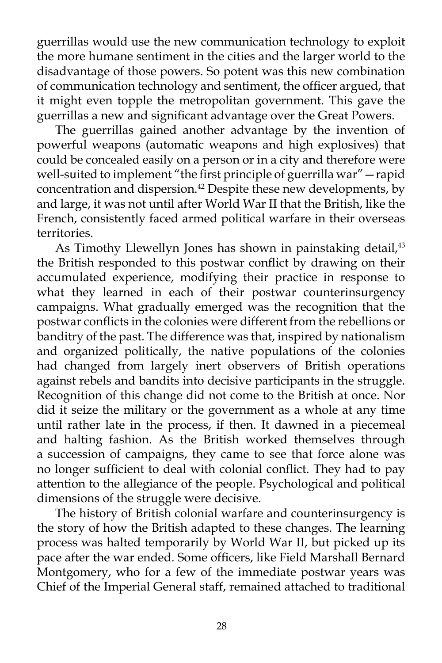guerrillas would use the new communication technology to exploit the more humane sentiment in the cities and the larger world to the disadvantage of those powers. So potent was this new combination of communication technology and sentiment, the officer argued, that it might even topple the metropolitan government. This gave the guerrillas a new and significant advantage over the Great Powers.

The guerrillas gained another advantage by the invention of powerful weapons (automatic weapons and high explosives) that could be concealed easily on a person or in a city and therefore were well-suited to implement "the first principle of guerrilla war"—rapid concentration and dispersion.42 Despite these new developments, by and large, it was not until after World War II that the British, like the French, consistently faced armed political warfare in their overseas territories.

As Timothy Llewellyn Jones has shown in painstaking detail,<sup>43</sup> the British responded to this postwar conflict by drawing on their accumulated experience, modifying their practice in response to what they learned in each of their postwar counterinsurgency campaigns. What gradually emerged was the recognition that the postwar conflicts in the colonies were different from the rebellions or banditry of the past. The difference was that, inspired by nationalism and organized politically, the native populations of the colonies had changed from largely inert observers of British operations against rebels and bandits into decisive participants in the struggle. Recognition of this change did not come to the British at once. Nor did it seize the military or the government as a whole at any time until rather late in the process, if then. It dawned in a piecemeal and halting fashion. As the British worked themselves through a succession of campaigns, they came to see that force alone was no longer sufficient to deal with colonial conflict. They had to pay attention to the allegiance of the people. Psychological and political dimensions of the struggle were decisive.

The history of British colonial warfare and counterinsurgency is the story of how the British adapted to these changes. The learning process was halted temporarily by World War II, but picked up its pace after the war ended. Some officers, like Field Marshall Bernard Montgomery, who for a few of the immediate postwar years was Chief of the Imperial General staff, remained attached to traditional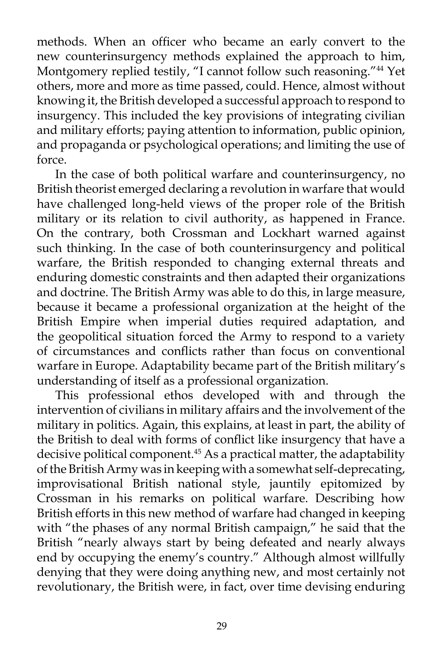methods. When an officer who became an early convert to the new counterinsurgency methods explained the approach to him, Montgomery replied testily, "I cannot follow such reasoning."44 Yet others, more and more as time passed, could. Hence, almost without knowing it, the British developed a successful approach to respond to insurgency. This included the key provisions of integrating civilian and military efforts; paying attention to information, public opinion, and propaganda or psychological operations; and limiting the use of force.

In the case of both political warfare and counterinsurgency, no British theorist emerged declaring a revolution in warfare that would have challenged long-held views of the proper role of the British military or its relation to civil authority, as happened in France. On the contrary, both Crossman and Lockhart warned against such thinking. In the case of both counterinsurgency and political warfare, the British responded to changing external threats and enduring domestic constraints and then adapted their organizations and doctrine. The British Army was able to do this, in large measure, because it became a professional organization at the height of the British Empire when imperial duties required adaptation, and the geopolitical situation forced the Army to respond to a variety of circumstances and conflicts rather than focus on conventional warfare in Europe. Adaptability became part of the British military's understanding of itself as a professional organization.

This professional ethos developed with and through the intervention of civilians in military affairs and the involvement of the military in politics. Again, this explains, at least in part, the ability of the British to deal with forms of conflict like insurgency that have a decisive political component.<sup>45</sup> As a practical matter, the adaptability of the British Army was in keeping with a somewhat self-deprecating, improvisational British national style, jauntily epitomized by Crossman in his remarks on political warfare. Describing how British efforts in this new method of warfare had changed in keeping with "the phases of any normal British campaign," he said that the British "nearly always start by being defeated and nearly always end by occupying the enemy's country." Although almost willfully denying that they were doing anything new, and most certainly not revolutionary, the British were, in fact, over time devising enduring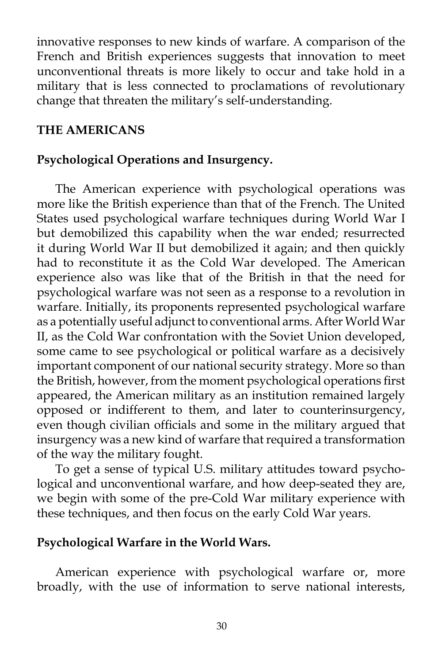innovative responses to new kinds of warfare. A comparison of the French and British experiences suggests that innovation to meet unconventional threats is more likely to occur and take hold in a military that is less connected to proclamations of revolutionary change that threaten the military's self-understanding.

## **THE AMERICANS**

# **Psychological Operations and Insurgency.**

The American experience with psychological operations was more like the British experience than that of the French. The United States used psychological warfare techniques during World War I but demobilized this capability when the war ended; resurrected it during World War II but demobilized it again; and then quickly had to reconstitute it as the Cold War developed. The American experience also was like that of the British in that the need for psychological warfare was not seen as a response to a revolution in warfare. Initially, its proponents represented psychological warfare as a potentially useful adjunct to conventional arms. After World War II, as the Cold War confrontation with the Soviet Union developed, some came to see psychological or political warfare as a decisively important component of our national security strategy. More so than the British, however, from the moment psychological operations first appeared, the American military as an institution remained largely opposed or indifferent to them, and later to counterinsurgency, even though civilian officials and some in the military argued that insurgency was a new kind of warfare that required a transformation of the way the military fought.

To get a sense of typical U.S. military attitudes toward psychological and unconventional warfare, and how deep-seated they are, we begin with some of the pre-Cold War military experience with these techniques, and then focus on the early Cold War years.

## **Psychological Warfare in the World Wars.**

American experience with psychological warfare or, more broadly, with the use of information to serve national interests,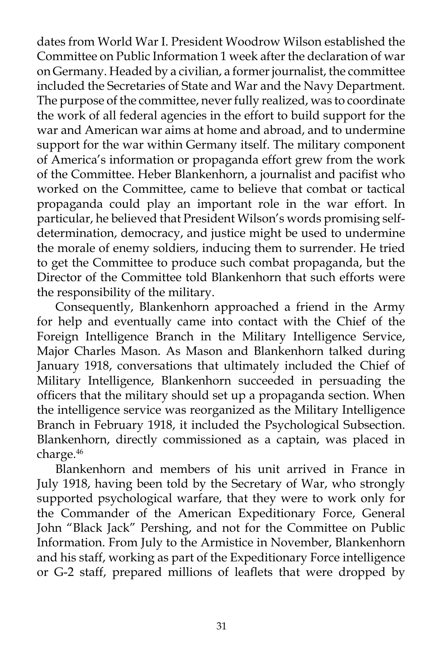dates from World War I. President Woodrow Wilson established the Committee on Public Information 1 week after the declaration of war on Germany. Headed by a civilian, a former journalist, the committee included the Secretaries of State and War and the Navy Department. The purpose of the committee, never fully realized, was to coordinate the work of all federal agencies in the effort to build support for the war and American war aims at home and abroad, and to undermine support for the war within Germany itself. The military component of America's information or propaganda effort grew from the work of the Committee. Heber Blankenhorn, a journalist and pacifist who worked on the Committee, came to believe that combat or tactical propaganda could play an important role in the war effort. In particular, he believed that President Wilson's words promising selfdetermination, democracy, and justice might be used to undermine the morale of enemy soldiers, inducing them to surrender. He tried to get the Committee to produce such combat propaganda, but the Director of the Committee told Blankenhorn that such efforts were the responsibility of the military.

Consequently, Blankenhorn approached a friend in the Army for help and eventually came into contact with the Chief of the Foreign Intelligence Branch in the Military Intelligence Service, Major Charles Mason. As Mason and Blankenhorn talked during January 1918, conversations that ultimately included the Chief of Military Intelligence, Blankenhorn succeeded in persuading the officers that the military should set up a propaganda section. When the intelligence service was reorganized as the Military Intelligence Branch in February 1918, it included the Psychological Subsection. Blankenhorn, directly commissioned as a captain, was placed in charge.46

Blankenhorn and members of his unit arrived in France in July 1918, having been told by the Secretary of War, who strongly supported psychological warfare, that they were to work only for the Commander of the American Expeditionary Force, General John "Black Jack" Pershing, and not for the Committee on Public Information. From July to the Armistice in November, Blankenhorn and his staff, working as part of the Expeditionary Force intelligence or G-2 staff, prepared millions of leaflets that were dropped by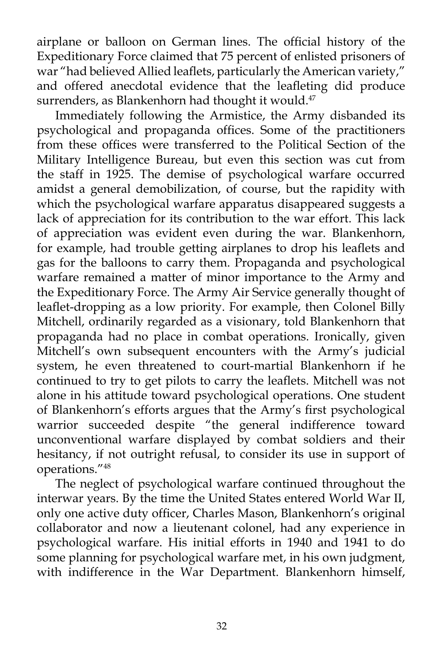airplane or balloon on German lines. The official history of the Expeditionary Force claimed that 75 percent of enlisted prisoners of war "had believed Allied leaflets, particularly the American variety," and offered anecdotal evidence that the leafleting did produce surrenders, as Blankenhorn had thought it would. $47$ 

Immediately following the Armistice, the Army disbanded its psychological and propaganda offices. Some of the practitioners from these offices were transferred to the Political Section of the Military Intelligence Bureau, but even this section was cut from the staff in 1925. The demise of psychological warfare occurred amidst a general demobilization, of course, but the rapidity with which the psychological warfare apparatus disappeared suggests a lack of appreciation for its contribution to the war effort. This lack of appreciation was evident even during the war. Blankenhorn, for example, had trouble getting airplanes to drop his leaflets and gas for the balloons to carry them. Propaganda and psychological warfare remained a matter of minor importance to the Army and the Expeditionary Force. The Army Air Service generally thought of leaflet-dropping as a low priority. For example, then Colonel Billy Mitchell, ordinarily regarded as a visionary, told Blankenhorn that propaganda had no place in combat operations. Ironically, given Mitchell's own subsequent encounters with the Army's judicial system, he even threatened to court-martial Blankenhorn if he continued to try to get pilots to carry the leaflets. Mitchell was not alone in his attitude toward psychological operations. One student of Blankenhorn's efforts argues that the Army's first psychological warrior succeeded despite "the general indifference toward unconventional warfare displayed by combat soldiers and their hesitancy, if not outright refusal, to consider its use in support of operations."48

The neglect of psychological warfare continued throughout the interwar years. By the time the United States entered World War II, only one active duty officer, Charles Mason, Blankenhorn's original collaborator and now a lieutenant colonel, had any experience in psychological warfare. His initial efforts in 1940 and 1941 to do some planning for psychological warfare met, in his own judgment, with indifference in the War Department. Blankenhorn himself,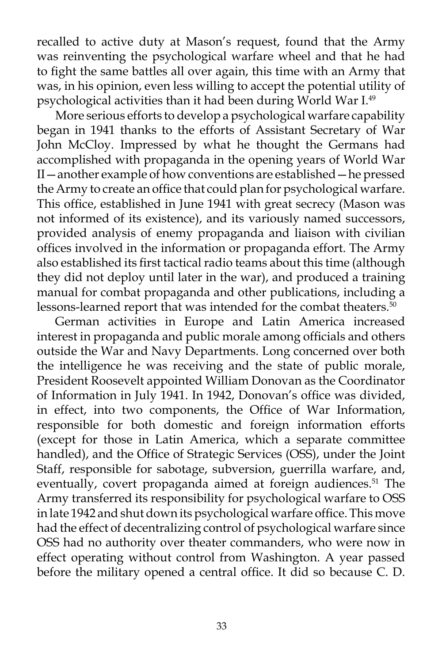recalled to active duty at Mason's request, found that the Army was reinventing the psychological warfare wheel and that he had to fight the same battles all over again, this time with an Army that was, in his opinion, even less willing to accept the potential utility of psychological activities than it had been during World War I.49

More serious efforts to develop a psychological warfare capability began in 1941 thanks to the efforts of Assistant Secretary of War John McCloy. Impressed by what he thought the Germans had accomplished with propaganda in the opening years of World War II—another example of how conventions are established—he pressed the Army to create an office that could plan for psychological warfare. This office, established in June 1941 with great secrecy (Mason was not informed of its existence), and its variously named successors, provided analysis of enemy propaganda and liaison with civilian offices involved in the information or propaganda effort. The Army also established its first tactical radio teams about this time (although they did not deploy until later in the war), and produced a training manual for combat propaganda and other publications, including a lessons-learned report that was intended for the combat theaters.<sup>50</sup>

German activities in Europe and Latin America increased interest in propaganda and public morale among officials and others outside the War and Navy Departments. Long concerned over both the intelligence he was receiving and the state of public morale, President Roosevelt appointed William Donovan as the Coordinator of Information in July 1941. In 1942, Donovan's office was divided, in effect, into two components, the Office of War Information, responsible for both domestic and foreign information efforts (except for those in Latin America, which a separate committee handled), and the Office of Strategic Services (OSS), under the Joint Staff, responsible for sabotage, subversion, guerrilla warfare, and, eventually, covert propaganda aimed at foreign audiences.<sup>51</sup> The Army transferred its responsibility for psychological warfare to OSS in late 1942 and shut down its psychological warfare office. This move had the effect of decentralizing control of psychological warfare since OSS had no authority over theater commanders, who were now in effect operating without control from Washington. A year passed before the military opened a central office. It did so because C. D.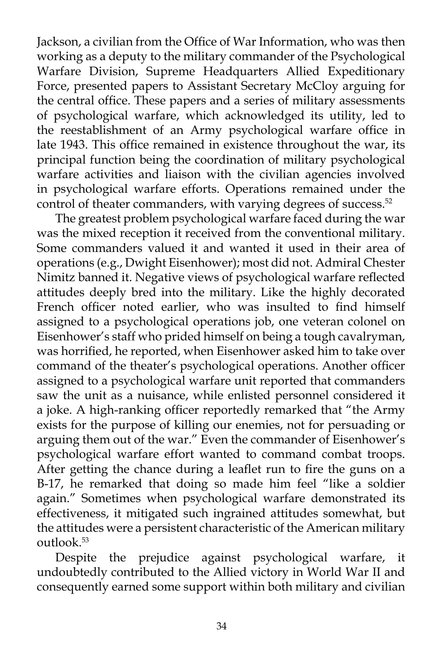Jackson, a civilian from the Office of War Information, who was then working as a deputy to the military commander of the Psychological Warfare Division, Supreme Headquarters Allied Expeditionary Force, presented papers to Assistant Secretary McCloy arguing for the central office. These papers and a series of military assessments of psychological warfare, which acknowledged its utility, led to the reestablishment of an Army psychological warfare office in late 1943. This office remained in existence throughout the war, its principal function being the coordination of military psychological warfare activities and liaison with the civilian agencies involved in psychological warfare efforts. Operations remained under the control of theater commanders, with varying degrees of success.<sup>52</sup>

The greatest problem psychological warfare faced during the war was the mixed reception it received from the conventional military. Some commanders valued it and wanted it used in their area of operations (e.g., Dwight Eisenhower); most did not. Admiral Chester Nimitz banned it. Negative views of psychological warfare reflected attitudes deeply bred into the military. Like the highly decorated French officer noted earlier, who was insulted to find himself assigned to a psychological operations job, one veteran colonel on Eisenhower's staff who prided himself on being a tough cavalryman, was horrified, he reported, when Eisenhower asked him to take over command of the theater's psychological operations. Another officer assigned to a psychological warfare unit reported that commanders saw the unit as a nuisance, while enlisted personnel considered it a joke. A high-ranking officer reportedly remarked that "the Army exists for the purpose of killing our enemies, not for persuading or arguing them out of the war." Even the commander of Eisenhower's psychological warfare effort wanted to command combat troops. After getting the chance during a leaflet run to fire the guns on a B-17, he remarked that doing so made him feel "like a soldier again." Sometimes when psychological warfare demonstrated its effectiveness, it mitigated such ingrained attitudes somewhat, but the attitudes were a persistent characteristic of the American military outlook.<sup>53</sup>

Despite the prejudice against psychological warfare, it undoubtedly contributed to the Allied victory in World War II and consequently earned some support within both military and civilian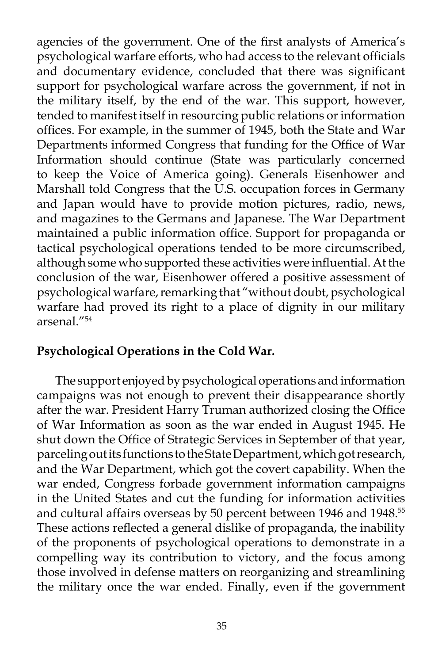agencies of the government. One of the first analysts of America's psychological warfare efforts, who had access to the relevant officials and documentary evidence, concluded that there was significant support for psychological warfare across the government, if not in the military itself, by the end of the war. This support, however, tended to manifest itself in resourcing public relations or information offices. For example, in the summer of 1945, both the State and War Departments informed Congress that funding for the Office of War Information should continue (State was particularly concerned to keep the Voice of America going). Generals Eisenhower and Marshall told Congress that the U.S. occupation forces in Germany and Japan would have to provide motion pictures, radio, news, and magazines to the Germans and Japanese. The War Department maintained a public information office. Support for propaganda or tactical psychological operations tended to be more circumscribed, although some who supported these activities were influential. At the conclusion of the war, Eisenhower offered a positive assessment of psychological warfare, remarking that "without doubt, psychological warfare had proved its right to a place of dignity in our military arsenal<sup>"54</sup>

### **Psychological Operations in the Cold War.**

The support enjoyed by psychological operations and information campaigns was not enough to prevent their disappearance shortly after the war. President Harry Truman authorized closing the Office of War Information as soon as the war ended in August 1945. He shut down the Office of Strategic Services in September of that year, parceling out its functions to the State Department, which got research, and the War Department, which got the covert capability. When the war ended, Congress forbade government information campaigns in the United States and cut the funding for information activities and cultural affairs overseas by 50 percent between 1946 and 1948.<sup>55</sup> These actions reflected a general dislike of propaganda, the inability of the proponents of psychological operations to demonstrate in a compelling way its contribution to victory, and the focus among those involved in defense matters on reorganizing and streamlining the military once the war ended. Finally, even if the government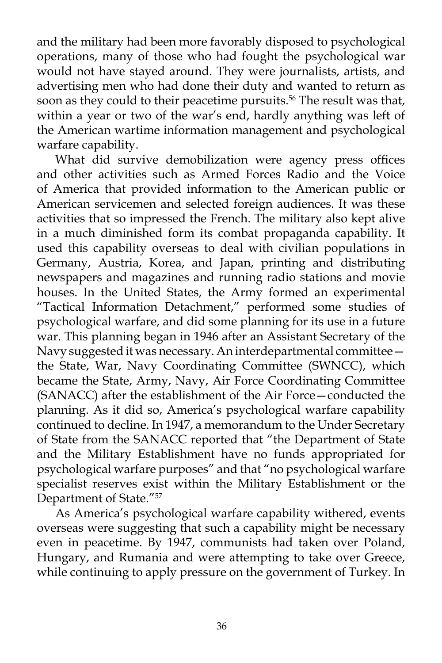and the military had been more favorably disposed to psychological operations, many of those who had fought the psychological war would not have stayed around. They were journalists, artists, and advertising men who had done their duty and wanted to return as soon as they could to their peacetime pursuits.<sup>56</sup> The result was that, within a year or two of the war's end, hardly anything was left of the American wartime information management and psychological warfare capability.

What did survive demobilization were agency press offices and other activities such as Armed Forces Radio and the Voice of America that provided information to the American public or American servicemen and selected foreign audiences. It was these activities that so impressed the French. The military also kept alive in a much diminished form its combat propaganda capability. It used this capability overseas to deal with civilian populations in Germany, Austria, Korea, and Japan, printing and distributing newspapers and magazines and running radio stations and movie houses. In the United States, the Army formed an experimental "Tactical Information Detachment," performed some studies of psychological warfare, and did some planning for its use in a future war. This planning began in 1946 after an Assistant Secretary of the Navy suggested it was necessary. An interdepartmental committee the State, War, Navy Coordinating Committee (SWNCC), which became the State, Army, Navy, Air Force Coordinating Committee (SANACC) after the establishment of the Air Force—conducted the planning. As it did so, America's psychological warfare capability continued to decline. In 1947, a memorandum to the Under Secretary of State from the SANACC reported that "the Department of State and the Military Establishment have no funds appropriated for psychological warfare purposes" and that "no psychological warfare specialist reserves exist within the Military Establishment or the Department of State."57

As America's psychological warfare capability withered, events overseas were suggesting that such a capability might be necessary even in peacetime. By 1947, communists had taken over Poland, Hungary, and Rumania and were attempting to take over Greece, while continuing to apply pressure on the government of Turkey. In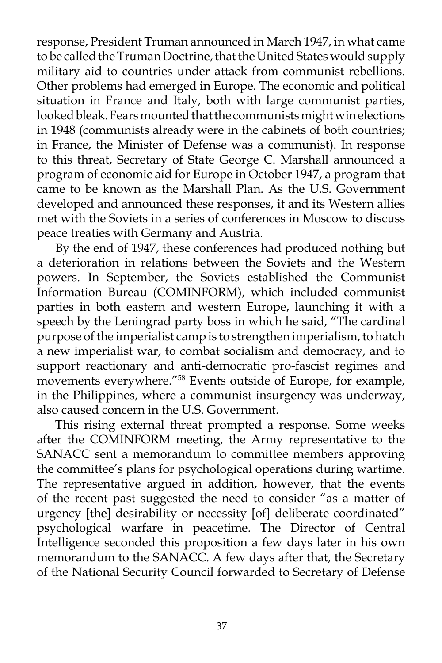response, President Truman announced in March 1947, in what came to be called the Truman Doctrine, that the United States would supply military aid to countries under attack from communist rebellions. Other problems had emerged in Europe. The economic and political situation in France and Italy, both with large communist parties, looked bleak. Fears mounted that the communists might win elections in 1948 (communists already were in the cabinets of both countries; in France, the Minister of Defense was a communist). In response to this threat, Secretary of State George C. Marshall announced a program of economic aid for Europe in October 1947, a program that came to be known as the Marshall Plan. As the U.S. Government developed and announced these responses, it and its Western allies met with the Soviets in a series of conferences in Moscow to discuss peace treaties with Germany and Austria.

By the end of 1947, these conferences had produced nothing but a deterioration in relations between the Soviets and the Western powers. In September, the Soviets established the Communist Information Bureau (COMINFORM), which included communist parties in both eastern and western Europe, launching it with a speech by the Leningrad party boss in which he said, "The cardinal purpose of the imperialist camp is to strengthen imperialism, to hatch a new imperialist war, to combat socialism and democracy, and to support reactionary and anti-democratic pro-fascist regimes and movements everywhere."58 Events outside of Europe, for example, in the Philippines, where a communist insurgency was underway, also caused concern in the U.S. Government.

This rising external threat prompted a response. Some weeks after the COMINFORM meeting, the Army representative to the SANACC sent a memorandum to committee members approving the committee's plans for psychological operations during wartime. The representative argued in addition, however, that the events of the recent past suggested the need to consider "as a matter of urgency [the] desirability or necessity [of] deliberate coordinated" psychological warfare in peacetime. The Director of Central Intelligence seconded this proposition a few days later in his own memorandum to the SANACC. A few days after that, the Secretary of the National Security Council forwarded to Secretary of Defense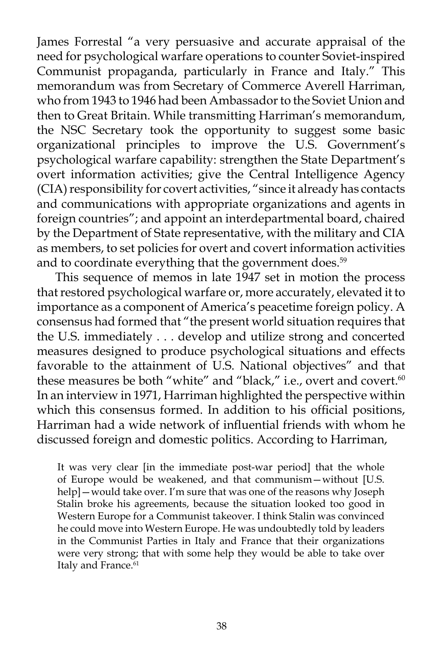James Forrestal "a very persuasive and accurate appraisal of the need for psychological warfare operations to counter Soviet-inspired Communist propaganda, particularly in France and Italy." This memorandum was from Secretary of Commerce Averell Harriman, who from 1943 to 1946 had been Ambassador to the Soviet Union and then to Great Britain. While transmitting Harriman's memorandum, the NSC Secretary took the opportunity to suggest some basic organizational principles to improve the U.S. Government's psychological warfare capability: strengthen the State Department's overt information activities; give the Central Intelligence Agency (CIA) responsibility for covert activities, "since it already has contacts and communications with appropriate organizations and agents in foreign countries"; and appoint an interdepartmental board, chaired by the Department of State representative, with the military and CIA as members, to set policies for overt and covert information activities and to coordinate everything that the government does.<sup>59</sup>

This sequence of memos in late 1947 set in motion the process that restored psychological warfare or, more accurately, elevated it to importance as a component of America's peacetime foreign policy. A consensus had formed that "the present world situation requires that the U.S. immediately . . . develop and utilize strong and concerted measures designed to produce psychological situations and effects favorable to the attainment of U.S. National objectives" and that these measures be both "white" and "black," i.e., overt and covert.<sup>60</sup> In an interview in 1971, Harriman highlighted the perspective within which this consensus formed. In addition to his official positions, Harriman had a wide network of influential friends with whom he discussed foreign and domestic politics. According to Harriman,

It was very clear [in the immediate post-war period] that the whole of Europe would be weakened, and that communism—without [U.S. help] — would take over. I'm sure that was one of the reasons why Joseph Stalin broke his agreements, because the situation looked too good in Western Europe for a Communist takeover. I think Stalin was convinced he could move into Western Europe. He was undoubtedly told by leaders in the Communist Parties in Italy and France that their organizations were very strong; that with some help they would be able to take over Italy and France.<sup>61</sup>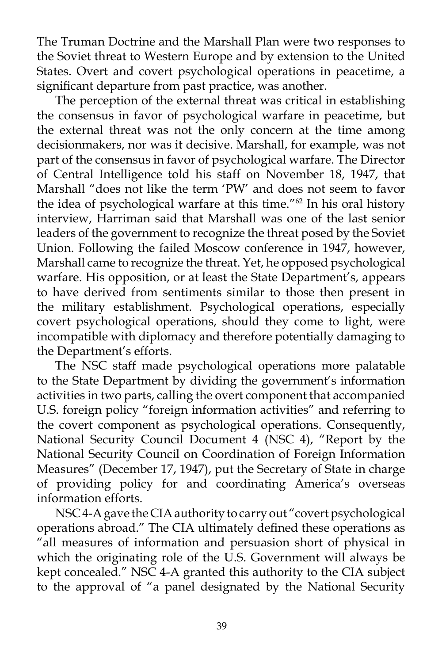The Truman Doctrine and the Marshall Plan were two responses to the Soviet threat to Western Europe and by extension to the United States. Overt and covert psychological operations in peacetime, a significant departure from past practice, was another.

The perception of the external threat was critical in establishing the consensus in favor of psychological warfare in peacetime, but the external threat was not the only concern at the time among decisionmakers, nor was it decisive. Marshall, for example, was not part of the consensus in favor of psychological warfare. The Director of Central Intelligence told his staff on November 18, 1947, that Marshall "does not like the term 'PW' and does not seem to favor the idea of psychological warfare at this time."62 In his oral history interview, Harriman said that Marshall was one of the last senior leaders of the government to recognize the threat posed by the Soviet Union. Following the failed Moscow conference in 1947, however, Marshall came to recognize the threat. Yet, he opposed psychological warfare. His opposition, or at least the State Department's, appears to have derived from sentiments similar to those then present in the military establishment. Psychological operations, especially covert psychological operations, should they come to light, were incompatible with diplomacy and therefore potentially damaging to the Department's efforts.

The NSC staff made psychological operations more palatable to the State Department by dividing the government's information activities in two parts, calling the overt component that accompanied U.S. foreign policy "foreign information activities" and referring to the covert component as psychological operations. Consequently, National Security Council Document 4 (NSC 4), "Report by the National Security Council on Coordination of Foreign Information Measures" (December 17, 1947), put the Secretary of State in charge of providing policy for and coordinating America's overseas information efforts.

NSC 4-A gave the CIA authority to carry out "covert psychological operations abroad." The CIA ultimately defined these operations as "all measures of information and persuasion short of physical in which the originating role of the U.S. Government will always be kept concealed." NSC 4-A granted this authority to the CIA subject to the approval of "a panel designated by the National Security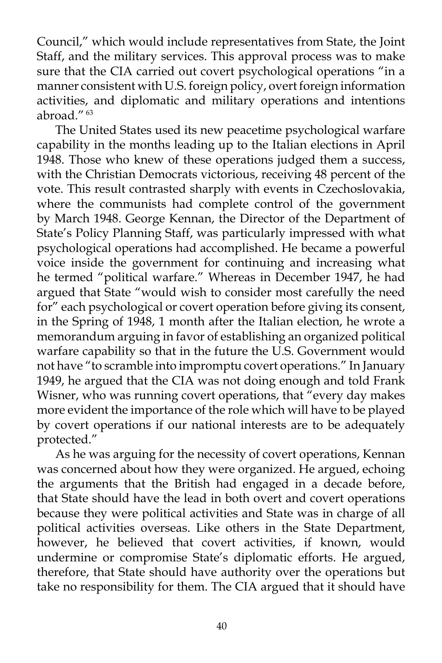Council," which would include representatives from State, the Joint Staff, and the military services. This approval process was to make sure that the CIA carried out covert psychological operations "in a manner consistent with U.S. foreign policy, overt foreign information activities, and diplomatic and military operations and intentions abroad." 63

The United States used its new peacetime psychological warfare capability in the months leading up to the Italian elections in April 1948. Those who knew of these operations judged them a success, with the Christian Democrats victorious, receiving 48 percent of the vote. This result contrasted sharply with events in Czechoslovakia, where the communists had complete control of the government by March 1948. George Kennan, the Director of the Department of State's Policy Planning Staff, was particularly impressed with what psychological operations had accomplished. He became a powerful voice inside the government for continuing and increasing what he termed "political warfare." Whereas in December 1947, he had argued that State "would wish to consider most carefully the need for" each psychological or covert operation before giving its consent, in the Spring of 1948, 1 month after the Italian election, he wrote a memorandum arguing in favor of establishing an organized political warfare capability so that in the future the U.S. Government would not have "to scramble into impromptu covert operations." In January 1949, he argued that the CIA was not doing enough and told Frank Wisner, who was running covert operations, that "every day makes more evident the importance of the role which will have to be played by covert operations if our national interests are to be adequately protected."

As he was arguing for the necessity of covert operations, Kennan was concerned about how they were organized. He argued, echoing the arguments that the British had engaged in a decade before, that State should have the lead in both overt and covert operations because they were political activities and State was in charge of all political activities overseas. Like others in the State Department, however, he believed that covert activities, if known, would undermine or compromise State's diplomatic efforts. He argued, therefore, that State should have authority over the operations but take no responsibility for them. The CIA argued that it should have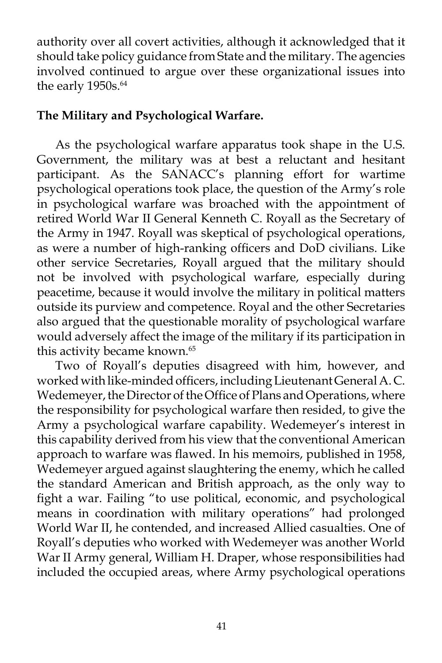authority over all covert activities, although it acknowledged that it should take policy guidance from State and the military. The agencies involved continued to argue over these organizational issues into the early 1950s.<sup>64</sup>

# **The Military and Psychological Warfare.**

As the psychological warfare apparatus took shape in the U.S. Government, the military was at best a reluctant and hesitant participant. As the SANACC's planning effort for wartime psychological operations took place, the question of the Army's role in psychological warfare was broached with the appointment of retired World War II General Kenneth C. Royall as the Secretary of the Army in 1947. Royall was skeptical of psychological operations, as were a number of high-ranking officers and DoD civilians. Like other service Secretaries, Royall argued that the military should not be involved with psychological warfare, especially during peacetime, because it would involve the military in political matters outside its purview and competence. Royal and the other Secretaries also argued that the questionable morality of psychological warfare would adversely affect the image of the military if its participation in this activity became known.<sup>65</sup>

Two of Royall's deputies disagreed with him, however, and worked with like-minded officers, including Lieutenant General A. C. Wedemeyer, the Director of the Office of Plans and Operations, where the responsibility for psychological warfare then resided, to give the Army a psychological warfare capability. Wedemeyer's interest in this capability derived from his view that the conventional American approach to warfare was flawed. In his memoirs, published in 1958, Wedemeyer argued against slaughtering the enemy, which he called the standard American and British approach, as the only way to fight a war. Failing "to use political, economic, and psychological means in coordination with military operations" had prolonged World War II, he contended, and increased Allied casualties. One of Royall's deputies who worked with Wedemeyer was another World War II Army general, William H. Draper, whose responsibilities had included the occupied areas, where Army psychological operations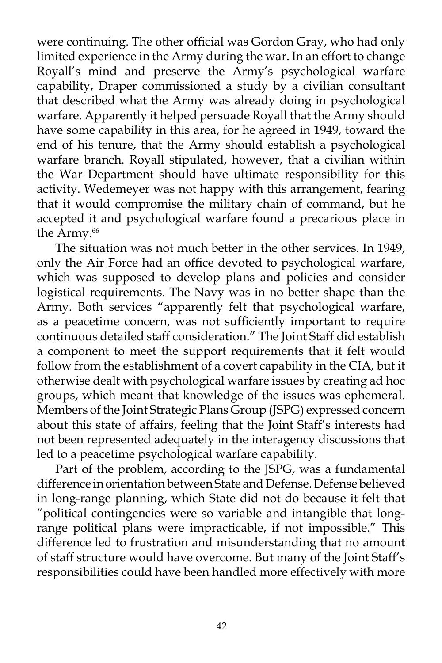were continuing. The other official was Gordon Gray, who had only limited experience in the Army during the war. In an effort to change Royall's mind and preserve the Army's psychological warfare capability, Draper commissioned a study by a civilian consultant that described what the Army was already doing in psychological warfare. Apparently it helped persuade Royall that the Army should have some capability in this area, for he agreed in 1949, toward the end of his tenure, that the Army should establish a psychological warfare branch. Royall stipulated, however, that a civilian within the War Department should have ultimate responsibility for this activity. Wedemeyer was not happy with this arrangement, fearing that it would compromise the military chain of command, but he accepted it and psychological warfare found a precarious place in the Army.<sup>66</sup>

The situation was not much better in the other services. In 1949, only the Air Force had an office devoted to psychological warfare, which was supposed to develop plans and policies and consider logistical requirements. The Navy was in no better shape than the Army. Both services "apparently felt that psychological warfare, as a peacetime concern, was not sufficiently important to require continuous detailed staff consideration." The Joint Staff did establish a component to meet the support requirements that it felt would follow from the establishment of a covert capability in the CIA, but it otherwise dealt with psychological warfare issues by creating ad hoc groups, which meant that knowledge of the issues was ephemeral. Members of the Joint Strategic Plans Group (JSPG) expressed concern about this state of affairs, feeling that the Joint Staff's interests had not been represented adequately in the interagency discussions that led to a peacetime psychological warfare capability.

Part of the problem, according to the JSPG, was a fundamental difference in orientation between State and Defense. Defense believed in long-range planning, which State did not do because it felt that "political contingencies were so variable and intangible that longrange political plans were impracticable, if not impossible." This difference led to frustration and misunderstanding that no amount of staff structure would have overcome. But many of the Joint Staff's responsibilities could have been handled more effectively with more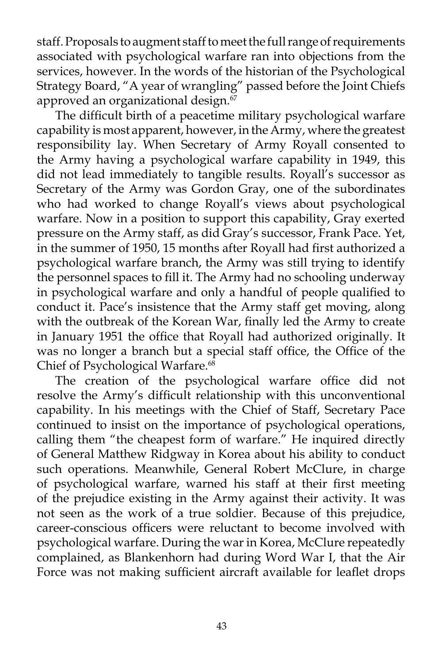staff. Proposals to augment staff to meet the full range of requirements associated with psychological warfare ran into objections from the services, however. In the words of the historian of the Psychological Strategy Board, "A year of wrangling" passed before the Joint Chiefs approved an organizational design.<sup>67</sup>

The difficult birth of a peacetime military psychological warfare capability is most apparent, however, in the Army, where the greatest responsibility lay. When Secretary of Army Royall consented to the Army having a psychological warfare capability in 1949, this did not lead immediately to tangible results. Royall's successor as Secretary of the Army was Gordon Gray, one of the subordinates who had worked to change Royall's views about psychological warfare. Now in a position to support this capability, Gray exerted pressure on the Army staff, as did Gray's successor, Frank Pace. Yet, in the summer of 1950, 15 months after Royall had first authorized a psychological warfare branch, the Army was still trying to identify the personnel spaces to fill it. The Army had no schooling underway in psychological warfare and only a handful of people qualified to conduct it. Pace's insistence that the Army staff get moving, along with the outbreak of the Korean War, finally led the Army to create in January 1951 the office that Royall had authorized originally. It was no longer a branch but a special staff office, the Office of the Chief of Psychological Warfare.<sup>68</sup>

The creation of the psychological warfare office did not resolve the Army's difficult relationship with this unconventional capability. In his meetings with the Chief of Staff, Secretary Pace continued to insist on the importance of psychological operations, calling them "the cheapest form of warfare." He inquired directly of General Matthew Ridgway in Korea about his ability to conduct such operations. Meanwhile, General Robert McClure, in charge of psychological warfare, warned his staff at their first meeting of the prejudice existing in the Army against their activity. It was not seen as the work of a true soldier. Because of this prejudice, career-conscious officers were reluctant to become involved with psychological warfare. During the war in Korea, McClure repeatedly complained, as Blankenhorn had during Word War I, that the Air Force was not making sufficient aircraft available for leaflet drops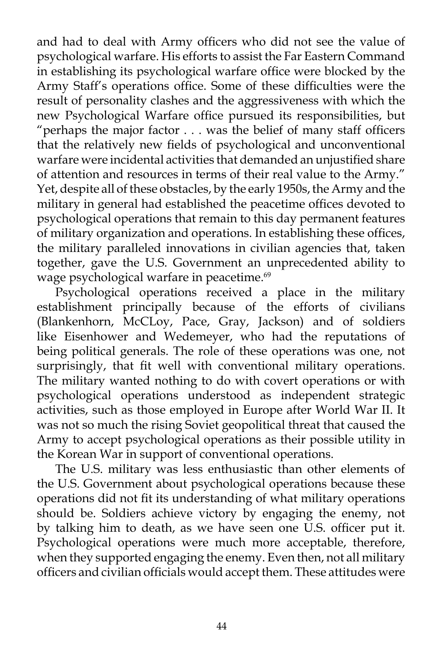and had to deal with Army officers who did not see the value of psychological warfare. His efforts to assist the Far Eastern Command in establishing its psychological warfare office were blocked by the Army Staff's operations office. Some of these difficulties were the result of personality clashes and the aggressiveness with which the new Psychological Warfare office pursued its responsibilities, but "perhaps the major factor . . . was the belief of many staff officers that the relatively new fields of psychological and unconventional warfare were incidental activities that demanded an unjustified share of attention and resources in terms of their real value to the Army." Yet, despite all of these obstacles, by the early 1950s, the Army and the military in general had established the peacetime offices devoted to psychological operations that remain to this day permanent features of military organization and operations. In establishing these offices, the military paralleled innovations in civilian agencies that, taken together, gave the U.S. Government an unprecedented ability to wage psychological warfare in peacetime.<sup>69</sup>

Psychological operations received a place in the military establishment principally because of the efforts of civilians (Blankenhorn, McCLoy, Pace, Gray, Jackson) and of soldiers like Eisenhower and Wedemeyer, who had the reputations of being political generals. The role of these operations was one, not surprisingly, that fit well with conventional military operations. The military wanted nothing to do with covert operations or with psychological operations understood as independent strategic activities, such as those employed in Europe after World War II. It was not so much the rising Soviet geopolitical threat that caused the Army to accept psychological operations as their possible utility in the Korean War in support of conventional operations.

The U.S. military was less enthusiastic than other elements of the U.S. Government about psychological operations because these operations did not fit its understanding of what military operations should be. Soldiers achieve victory by engaging the enemy, not by talking him to death, as we have seen one U.S. officer put it. Psychological operations were much more acceptable, therefore, when they supported engaging the enemy. Even then, not all military officers and civilian officials would accept them. These attitudes were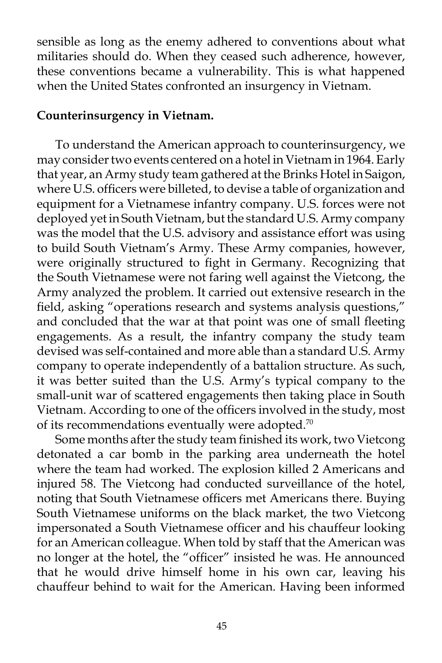sensible as long as the enemy adhered to conventions about what militaries should do. When they ceased such adherence, however, these conventions became a vulnerability. This is what happened when the United States confronted an insurgency in Vietnam.

## **Counterinsurgency in Vietnam.**

To understand the American approach to counterinsurgency, we may consider two events centered on a hotel in Vietnam in 1964. Early that year, an Army study team gathered at the Brinks Hotel in Saigon, where U.S. officers were billeted, to devise a table of organization and equipment for a Vietnamese infantry company. U.S. forces were not deployed yet in South Vietnam, but the standard U.S. Army company was the model that the U.S. advisory and assistance effort was using to build South Vietnam's Army. These Army companies, however, were originally structured to fight in Germany. Recognizing that the South Vietnamese were not faring well against the Vietcong, the Army analyzed the problem. It carried out extensive research in the field, asking "operations research and systems analysis questions," and concluded that the war at that point was one of small fleeting engagements. As a result, the infantry company the study team devised was self-contained and more able than a standard U.S. Army company to operate independently of a battalion structure. As such, it was better suited than the U.S. Army's typical company to the small-unit war of scattered engagements then taking place in South Vietnam. According to one of the officers involved in the study, most of its recommendations eventually were adopted.<sup>70</sup>

Some months after the study team finished its work, two Vietcong detonated a car bomb in the parking area underneath the hotel where the team had worked. The explosion killed 2 Americans and injured 58. The Vietcong had conducted surveillance of the hotel, noting that South Vietnamese officers met Americans there. Buying South Vietnamese uniforms on the black market, the two Vietcong impersonated a South Vietnamese officer and his chauffeur looking for an American colleague. When told by staff that the American was no longer at the hotel, the "officer" insisted he was. He announced that he would drive himself home in his own car, leaving his chauffeur behind to wait for the American. Having been informed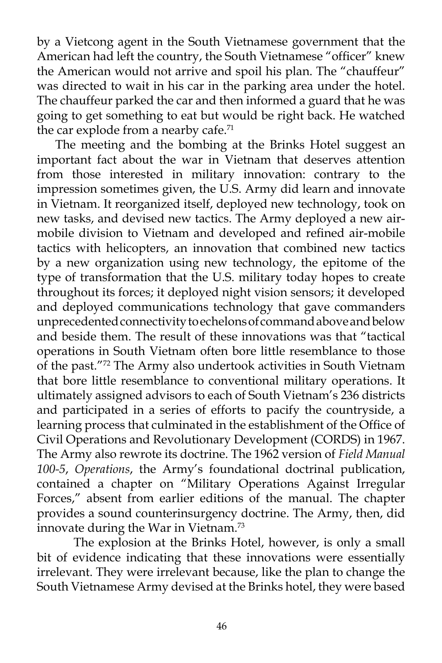by a Vietcong agent in the South Vietnamese government that the American had left the country, the South Vietnamese "officer" knew the American would not arrive and spoil his plan. The "chauffeur" was directed to wait in his car in the parking area under the hotel. The chauffeur parked the car and then informed a guard that he was going to get something to eat but would be right back. He watched the car explode from a nearby cafe.<sup>71</sup>

The meeting and the bombing at the Brinks Hotel suggest an important fact about the war in Vietnam that deserves attention from those interested in military innovation: contrary to the impression sometimes given, the U.S. Army did learn and innovate in Vietnam. It reorganized itself, deployed new technology, took on new tasks, and devised new tactics. The Army deployed a new airmobile division to Vietnam and developed and refined air-mobile tactics with helicopters, an innovation that combined new tactics by a new organization using new technology, the epitome of the type of transformation that the U.S. military today hopes to create throughout its forces; it deployed night vision sensors; it developed and deployed communications technology that gave commanders unprecedented connectivity to echelons of command above and below and beside them. The result of these innovations was that "tactical operations in South Vietnam often bore little resemblance to those of the past."72 The Army also undertook activities in South Vietnam that bore little resemblance to conventional military operations. It ultimately assigned advisors to each of South Vietnam's 236 districts and participated in a series of efforts to pacify the countryside, a learning process that culminated in the establishment of the Office of Civil Operations and Revolutionary Development (CORDS) in 1967. The Army also rewrote its doctrine. The 1962 version of *Field Manual 100-5*, *Operations*, the Army's foundational doctrinal publication, contained a chapter on "Military Operations Against Irregular Forces," absent from earlier editions of the manual. The chapter provides a sound counterinsurgency doctrine. The Army, then, did innovate during the War in Vietnam.<sup>73</sup>

The explosion at the Brinks Hotel, however, is only a small bit of evidence indicating that these innovations were essentially irrelevant. They were irrelevant because, like the plan to change the South Vietnamese Army devised at the Brinks hotel, they were based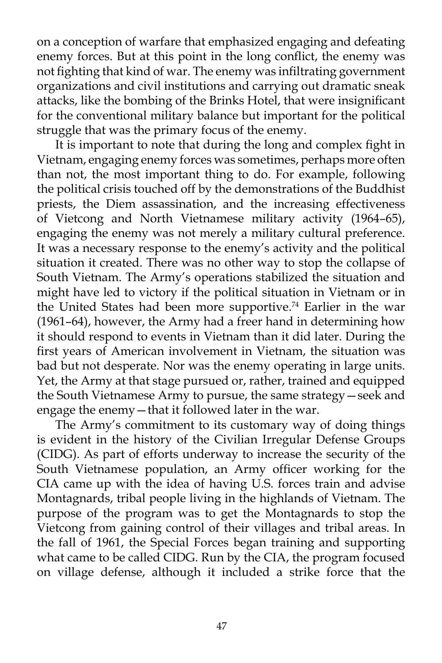on a conception of warfare that emphasized engaging and defeating enemy forces. But at this point in the long conflict, the enemy was not fighting that kind of war. The enemy was infiltrating government organizations and civil institutions and carrying out dramatic sneak attacks, like the bombing of the Brinks Hotel, that were insignificant for the conventional military balance but important for the political struggle that was the primary focus of the enemy.

It is important to note that during the long and complex fight in Vietnam, engaging enemy forces was sometimes, perhaps more often than not, the most important thing to do. For example, following the political crisis touched off by the demonstrations of the Buddhist priests, the Diem assassination, and the increasing effectiveness of Vietcong and North Vietnamese military activity (1964–65), engaging the enemy was not merely a military cultural preference. It was a necessary response to the enemy's activity and the political situation it created. There was no other way to stop the collapse of South Vietnam. The Army's operations stabilized the situation and might have led to victory if the political situation in Vietnam or in the United States had been more supportive.<sup>74</sup> Earlier in the war (1961–64), however, the Army had a freer hand in determining how it should respond to events in Vietnam than it did later. During the first years of American involvement in Vietnam, the situation was bad but not desperate. Nor was the enemy operating in large units. Yet, the Army at that stage pursued or, rather, trained and equipped the South Vietnamese Army to pursue, the same strategy—seek and engage the enemy—that it followed later in the war.

The Army's commitment to its customary way of doing things is evident in the history of the Civilian Irregular Defense Groups (CIDG). As part of efforts underway to increase the security of the South Vietnamese population, an Army officer working for the CIA came up with the idea of having U.S. forces train and advise Montagnards, tribal people living in the highlands of Vietnam. The purpose of the program was to get the Montagnards to stop the Vietcong from gaining control of their villages and tribal areas. In the fall of 1961, the Special Forces began training and supporting what came to be called CIDG. Run by the CIA, the program focused on village defense, although it included a strike force that the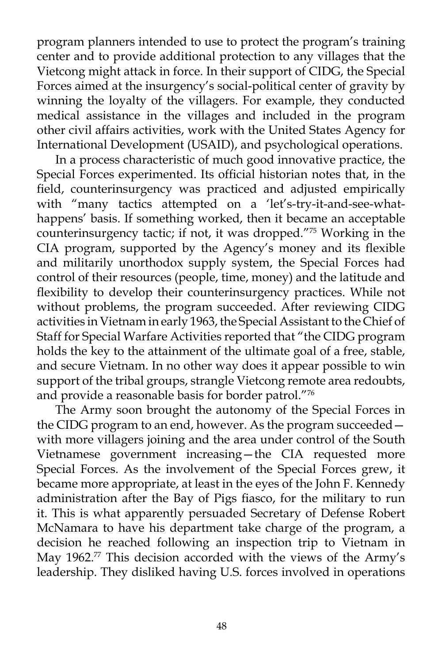program planners intended to use to protect the program's training center and to provide additional protection to any villages that the Vietcong might attack in force. In their support of CIDG, the Special Forces aimed at the insurgency's social-political center of gravity by winning the loyalty of the villagers. For example, they conducted medical assistance in the villages and included in the program other civil affairs activities, work with the United States Agency for International Development (USAID), and psychological operations.

In a process characteristic of much good innovative practice, the Special Forces experimented. Its official historian notes that, in the field, counterinsurgency was practiced and adjusted empirically with "many tactics attempted on a 'let's-try-it-and-see-whathappens' basis. If something worked, then it became an acceptable counterinsurgency tactic; if not, it was dropped."75 Working in the CIA program, supported by the Agency's money and its flexible and militarily unorthodox supply system, the Special Forces had control of their resources (people, time, money) and the latitude and flexibility to develop their counterinsurgency practices. While not without problems, the program succeeded. After reviewing CIDG activities in Vietnam in early 1963, the Special Assistant to the Chief of Staff for Special Warfare Activities reported that "the CIDG program holds the key to the attainment of the ultimate goal of a free, stable, and secure Vietnam. In no other way does it appear possible to win support of the tribal groups, strangle Vietcong remote area redoubts, and provide a reasonable basis for border patrol."76

The Army soon brought the autonomy of the Special Forces in the CIDG program to an end, however. As the program succeeded with more villagers joining and the area under control of the South Vietnamese government increasing—the CIA requested more Special Forces. As the involvement of the Special Forces grew, it became more appropriate, at least in the eyes of the John F. Kennedy administration after the Bay of Pigs fiasco, for the military to run it. This is what apparently persuaded Secretary of Defense Robert McNamara to have his department take charge of the program, a decision he reached following an inspection trip to Vietnam in May 1962.<sup>77</sup> This decision accorded with the views of the Army's leadership. They disliked having U.S. forces involved in operations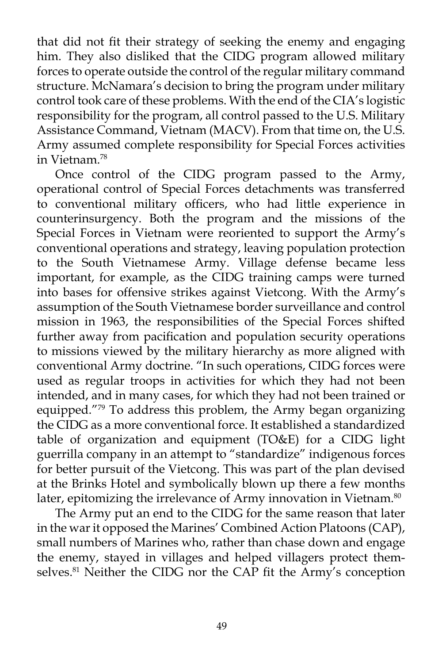that did not fit their strategy of seeking the enemy and engaging him. They also disliked that the CIDG program allowed military forces to operate outside the control of the regular military command structure. McNamara's decision to bring the program under military control took care of these problems. With the end of the CIA's logistic responsibility for the program, all control passed to the U.S. Military Assistance Command, Vietnam (MACV). From that time on, the U.S. Army assumed complete responsibility for Special Forces activities in Vietnam.<sup>78</sup>

Once control of the CIDG program passed to the Army, operational control of Special Forces detachments was transferred to conventional military officers, who had little experience in counterinsurgency. Both the program and the missions of the Special Forces in Vietnam were reoriented to support the Army's conventional operations and strategy, leaving population protection to the South Vietnamese Army. Village defense became less important, for example, as the CIDG training camps were turned into bases for offensive strikes against Vietcong. With the Army's assumption of the South Vietnamese border surveillance and control mission in 1963, the responsibilities of the Special Forces shifted further away from pacification and population security operations to missions viewed by the military hierarchy as more aligned with conventional Army doctrine. "In such operations, CIDG forces were used as regular troops in activities for which they had not been intended, and in many cases, for which they had not been trained or equipped."79 To address this problem, the Army began organizing the CIDG as a more conventional force. It established a standardized table of organization and equipment (TO&E) for a CIDG light guerrilla company in an attempt to "standardize" indigenous forces for better pursuit of the Vietcong. This was part of the plan devised at the Brinks Hotel and symbolically blown up there a few months later, epitomizing the irrelevance of Army innovation in Vietnam.<sup>80</sup>

The Army put an end to the CIDG for the same reason that later in the war it opposed the Marines' Combined Action Platoons (CAP), small numbers of Marines who, rather than chase down and engage the enemy, stayed in villages and helped villagers protect themselves.<sup>81</sup> Neither the CIDG nor the CAP fit the Army's conception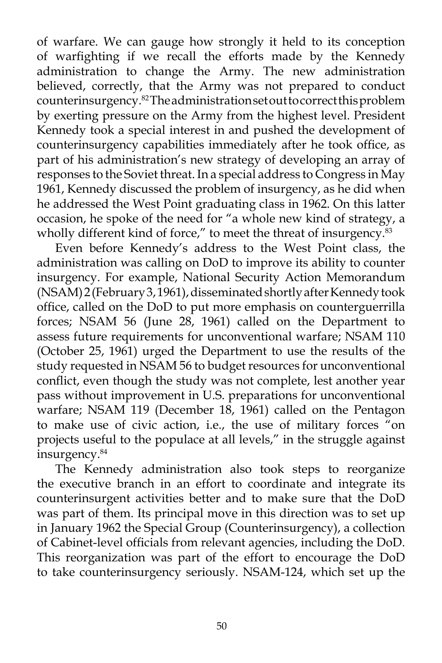of warfare. We can gauge how strongly it held to its conception of warfighting if we recall the efforts made by the Kennedy administration to change the Army. The new administration believed, correctly, that the Army was not prepared to conduct counterinsurgency.82 The administration set out to correct this problem by exerting pressure on the Army from the highest level. President Kennedy took a special interest in and pushed the development of counterinsurgency capabilities immediately after he took office, as part of his administration's new strategy of developing an array of responses to the Soviet threat. In a special address to Congress in May 1961, Kennedy discussed the problem of insurgency, as he did when he addressed the West Point graduating class in 1962. On this latter occasion, he spoke of the need for "a whole new kind of strategy, a wholly different kind of force," to meet the threat of insurgency.<sup>83</sup>

Even before Kennedy's address to the West Point class, the administration was calling on DoD to improve its ability to counter insurgency. For example, National Security Action Memorandum (NSAM) 2 (February 3, 1961), disseminated shortly after Kennedy took office, called on the DoD to put more emphasis on counterguerrilla forces; NSAM 56 (June 28, 1961) called on the Department to assess future requirements for unconventional warfare; NSAM 110 (October 25, 1961) urged the Department to use the results of the study requested in NSAM 56 to budget resources for unconventional conflict, even though the study was not complete, lest another year pass without improvement in U.S. preparations for unconventional warfare; NSAM 119 (December 18, 1961) called on the Pentagon to make use of civic action, i.e., the use of military forces "on projects useful to the populace at all levels," in the struggle against insurgency.<sup>84</sup>

The Kennedy administration also took steps to reorganize the executive branch in an effort to coordinate and integrate its counterinsurgent activities better and to make sure that the DoD was part of them. Its principal move in this direction was to set up in January 1962 the Special Group (Counterinsurgency), a collection of Cabinet-level officials from relevant agencies, including the DoD. This reorganization was part of the effort to encourage the DoD to take counterinsurgency seriously. NSAM-124, which set up the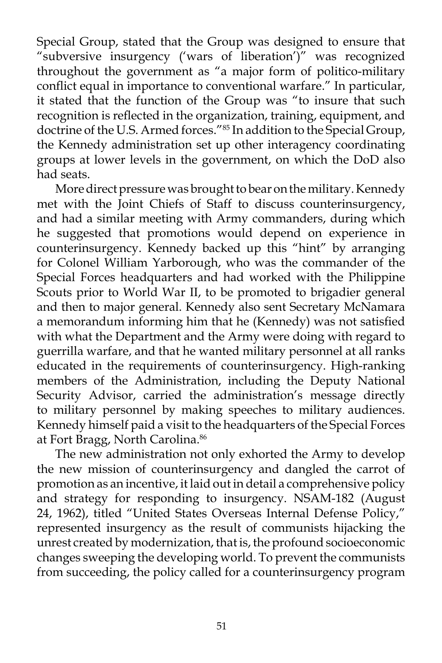Special Group, stated that the Group was designed to ensure that "subversive insurgency ('wars of liberation')" was recognized throughout the government as "a major form of politico-military conflict equal in importance to conventional warfare." In particular, it stated that the function of the Group was "to insure that such recognition is reflected in the organization, training, equipment, and doctrine of the U.S. Armed forces."85 In addition to the Special Group, the Kennedy administration set up other interagency coordinating groups at lower levels in the government, on which the DoD also had seats.

More direct pressure was brought to bear on the military. Kennedy met with the Joint Chiefs of Staff to discuss counterinsurgency, and had a similar meeting with Army commanders, during which he suggested that promotions would depend on experience in counterinsurgency. Kennedy backed up this "hint" by arranging for Colonel William Yarborough, who was the commander of the Special Forces headquarters and had worked with the Philippine Scouts prior to World War II, to be promoted to brigadier general and then to major general. Kennedy also sent Secretary McNamara a memorandum informing him that he (Kennedy) was not satisfied with what the Department and the Army were doing with regard to guerrilla warfare, and that he wanted military personnel at all ranks educated in the requirements of counterinsurgency. High-ranking members of the Administration, including the Deputy National Security Advisor, carried the administration's message directly to military personnel by making speeches to military audiences. Kennedy himself paid a visit to the headquarters of the Special Forces at Fort Bragg, North Carolina.<sup>86</sup>

The new administration not only exhorted the Army to develop the new mission of counterinsurgency and dangled the carrot of promotion as an incentive, it laid out in detail a comprehensive policy and strategy for responding to insurgency. NSAM-182 (August 24, 1962), titled "United States Overseas Internal Defense Policy," represented insurgency as the result of communists hijacking the unrest created by modernization, that is, the profound socioeconomic changes sweeping the developing world. To prevent the communists from succeeding, the policy called for a counterinsurgency program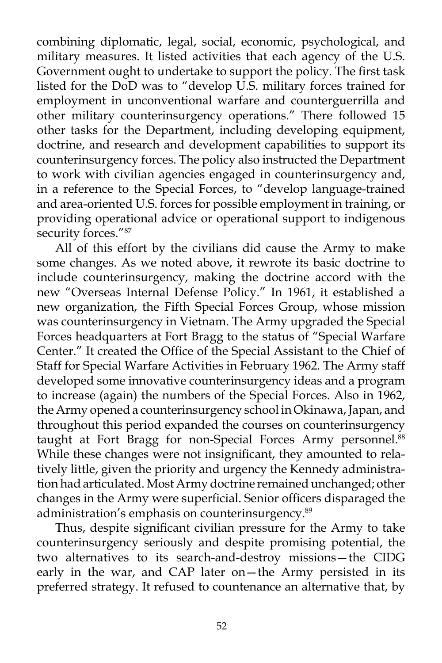combining diplomatic, legal, social, economic, psychological, and military measures. It listed activities that each agency of the U.S. Government ought to undertake to support the policy. The first task listed for the DoD was to "develop U.S. military forces trained for employment in unconventional warfare and counterguerrilla and other military counterinsurgency operations." There followed 15 other tasks for the Department, including developing equipment, doctrine, and research and development capabilities to support its counterinsurgency forces. The policy also instructed the Department to work with civilian agencies engaged in counterinsurgency and, in a reference to the Special Forces, to "develop language-trained and area-oriented U.S. forces for possible employment in training, or providing operational advice or operational support to indigenous security forces."87

All of this effort by the civilians did cause the Army to make some changes. As we noted above, it rewrote its basic doctrine to include counterinsurgency, making the doctrine accord with the new "Overseas Internal Defense Policy." In 1961, it established a new organization, the Fifth Special Forces Group, whose mission was counterinsurgency in Vietnam. The Army upgraded the Special Forces headquarters at Fort Bragg to the status of "Special Warfare Center." It created the Office of the Special Assistant to the Chief of Staff for Special Warfare Activities in February 1962. The Army staff developed some innovative counterinsurgency ideas and a program to increase (again) the numbers of the Special Forces. Also in 1962, the Army opened a counterinsurgency school in Okinawa, Japan, and throughout this period expanded the courses on counterinsurgency taught at Fort Bragg for non-Special Forces Army personnel.<sup>88</sup> While these changes were not insignificant, they amounted to relatively little, given the priority and urgency the Kennedy administration had articulated. Most Army doctrine remained unchanged; other changes in the Army were superficial. Senior officers disparaged the administration's emphasis on counterinsurgency.<sup>89</sup>

Thus, despite significant civilian pressure for the Army to take counterinsurgency seriously and despite promising potential, the two alternatives to its search-and-destroy missions—the CIDG early in the war, and CAP later on—the Army persisted in its preferred strategy. It refused to countenance an alternative that, by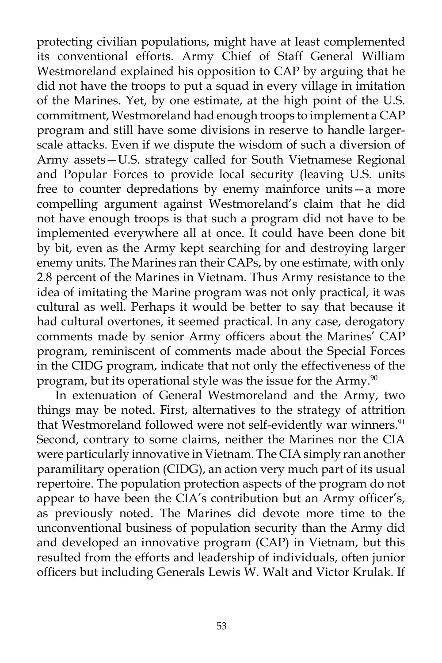protecting civilian populations, might have at least complemented its conventional efforts. Army Chief of Staff General William Westmoreland explained his opposition to CAP by arguing that he did not have the troops to put a squad in every village in imitation of the Marines. Yet, by one estimate, at the high point of the U.S. commitment, Westmoreland had enough troops to implement a CAP program and still have some divisions in reserve to handle largerscale attacks. Even if we dispute the wisdom of such a diversion of Army assets—U.S. strategy called for South Vietnamese Regional and Popular Forces to provide local security (leaving U.S. units free to counter depredations by enemy mainforce units—a more compelling argument against Westmoreland's claim that he did not have enough troops is that such a program did not have to be implemented everywhere all at once. It could have been done bit by bit, even as the Army kept searching for and destroying larger enemy units. The Marines ran their CAPs, by one estimate, with only 2.8 percent of the Marines in Vietnam. Thus Army resistance to the idea of imitating the Marine program was not only practical, it was cultural as well. Perhaps it would be better to say that because it had cultural overtones, it seemed practical. In any case, derogatory comments made by senior Army officers about the Marines' CAP program, reminiscent of comments made about the Special Forces in the CIDG program, indicate that not only the effectiveness of the program, but its operational style was the issue for the Army.<sup>90</sup>

In extenuation of General Westmoreland and the Army, two things may be noted. First, alternatives to the strategy of attrition that Westmoreland followed were not self-evidently war winners.<sup>91</sup> Second, contrary to some claims, neither the Marines nor the CIA were particularly innovative in Vietnam. The CIA simply ran another paramilitary operation (CIDG), an action very much part of its usual repertoire. The population protection aspects of the program do not appear to have been the CIA's contribution but an Army officer's, as previously noted. The Marines did devote more time to the unconventional business of population security than the Army did and developed an innovative program (CAP) in Vietnam, but this resulted from the efforts and leadership of individuals, often junior officers but including Generals Lewis W. Walt and Victor Krulak. If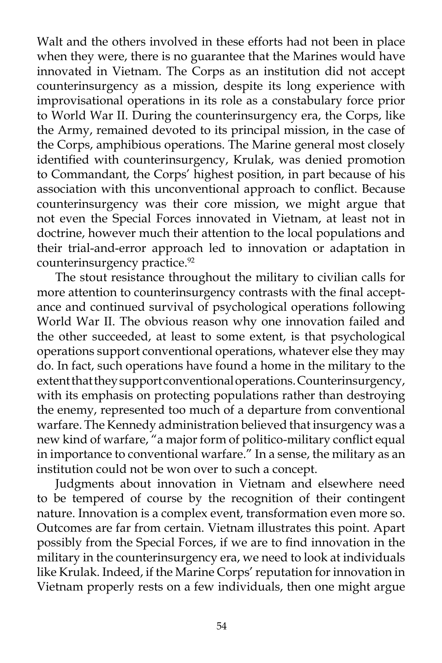Walt and the others involved in these efforts had not been in place when they were, there is no guarantee that the Marines would have innovated in Vietnam. The Corps as an institution did not accept counterinsurgency as a mission, despite its long experience with improvisational operations in its role as a constabulary force prior to World War II. During the counterinsurgency era, the Corps, like the Army, remained devoted to its principal mission, in the case of the Corps, amphibious operations. The Marine general most closely identified with counterinsurgency, Krulak, was denied promotion to Commandant, the Corps' highest position, in part because of his association with this unconventional approach to conflict. Because counterinsurgency was their core mission, we might argue that not even the Special Forces innovated in Vietnam, at least not in doctrine, however much their attention to the local populations and their trial-and-error approach led to innovation or adaptation in counterinsurgency practice.<sup>92</sup>

The stout resistance throughout the military to civilian calls for more attention to counterinsurgency contrasts with the final acceptance and continued survival of psychological operations following World War II. The obvious reason why one innovation failed and the other succeeded, at least to some extent, is that psychological operations support conventional operations, whatever else they may do. In fact, such operations have found a home in the military to the extent that they support conventional operations. Counterinsurgency, with its emphasis on protecting populations rather than destroying the enemy, represented too much of a departure from conventional warfare. The Kennedy administration believed that insurgency was a new kind of warfare, "a major form of politico-military conflict equal in importance to conventional warfare." In a sense, the military as an institution could not be won over to such a concept.

Judgments about innovation in Vietnam and elsewhere need to be tempered of course by the recognition of their contingent nature. Innovation is a complex event, transformation even more so. Outcomes are far from certain. Vietnam illustrates this point. Apart possibly from the Special Forces, if we are to find innovation in the military in the counterinsurgency era, we need to look at individuals like Krulak. Indeed, if the Marine Corps' reputation for innovation in Vietnam properly rests on a few individuals, then one might argue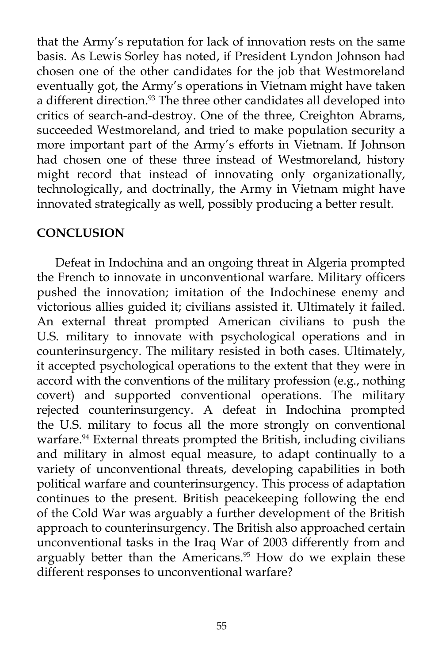that the Army's reputation for lack of innovation rests on the same basis. As Lewis Sorley has noted, if President Lyndon Johnson had chosen one of the other candidates for the job that Westmoreland eventually got, the Army's operations in Vietnam might have taken a different direction.<sup>93</sup> The three other candidates all developed into critics of search-and-destroy. One of the three, Creighton Abrams, succeeded Westmoreland, and tried to make population security a more important part of the Army's efforts in Vietnam. If Johnson had chosen one of these three instead of Westmoreland, history might record that instead of innovating only organizationally, technologically, and doctrinally, the Army in Vietnam might have innovated strategically as well, possibly producing a better result.

## **CONCLUSION**

Defeat in Indochina and an ongoing threat in Algeria prompted the French to innovate in unconventional warfare. Military officers pushed the innovation; imitation of the Indochinese enemy and victorious allies guided it; civilians assisted it. Ultimately it failed. An external threat prompted American civilians to push the U.S. military to innovate with psychological operations and in counterinsurgency. The military resisted in both cases. Ultimately, it accepted psychological operations to the extent that they were in accord with the conventions of the military profession (e.g., nothing covert) and supported conventional operations. The military rejected counterinsurgency. A defeat in Indochina prompted the U.S. military to focus all the more strongly on conventional warfare.<sup>94</sup> External threats prompted the British, including civilians and military in almost equal measure, to adapt continually to a variety of unconventional threats, developing capabilities in both political warfare and counterinsurgency. This process of adaptation continues to the present. British peacekeeping following the end of the Cold War was arguably a further development of the British approach to counterinsurgency. The British also approached certain unconventional tasks in the Iraq War of 2003 differently from and arguably better than the Americans.<sup>95</sup> How do we explain these different responses to unconventional warfare?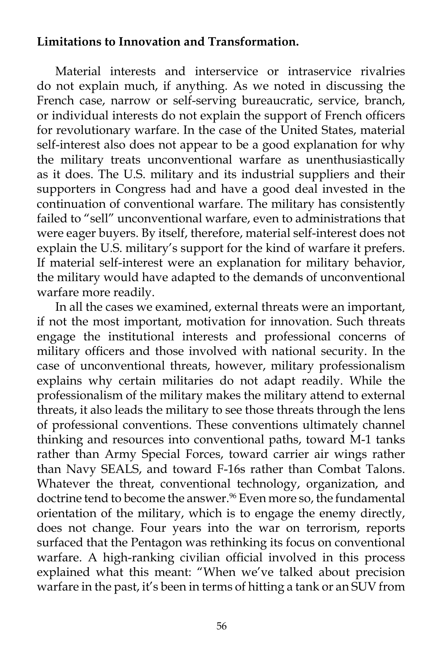# **Limitations to Innovation and Transformation.**

Material interests and interservice or intraservice rivalries do not explain much, if anything. As we noted in discussing the French case, narrow or self-serving bureaucratic, service, branch, or individual interests do not explain the support of French officers for revolutionary warfare. In the case of the United States, material self-interest also does not appear to be a good explanation for why the military treats unconventional warfare as unenthusiastically as it does. The U.S. military and its industrial suppliers and their supporters in Congress had and have a good deal invested in the continuation of conventional warfare. The military has consistently failed to "sell" unconventional warfare, even to administrations that were eager buyers. By itself, therefore, material self-interest does not explain the U.S. military's support for the kind of warfare it prefers. If material self-interest were an explanation for military behavior, the military would have adapted to the demands of unconventional warfare more readily.

In all the cases we examined, external threats were an important, if not the most important, motivation for innovation. Such threats engage the institutional interests and professional concerns of military officers and those involved with national security. In the case of unconventional threats, however, military professionalism explains why certain militaries do not adapt readily. While the professionalism of the military makes the military attend to external threats, it also leads the military to see those threats through the lens of professional conventions. These conventions ultimately channel thinking and resources into conventional paths, toward M-1 tanks rather than Army Special Forces, toward carrier air wings rather than Navy SEALS, and toward F-16s rather than Combat Talons. Whatever the threat, conventional technology, organization, and doctrine tend to become the answer.<sup>96</sup> Even more so, the fundamental orientation of the military, which is to engage the enemy directly, does not change. Four years into the war on terrorism, reports surfaced that the Pentagon was rethinking its focus on conventional warfare. A high-ranking civilian official involved in this process explained what this meant: "When we've talked about precision warfare in the past, it's been in terms of hitting a tank or an SUV from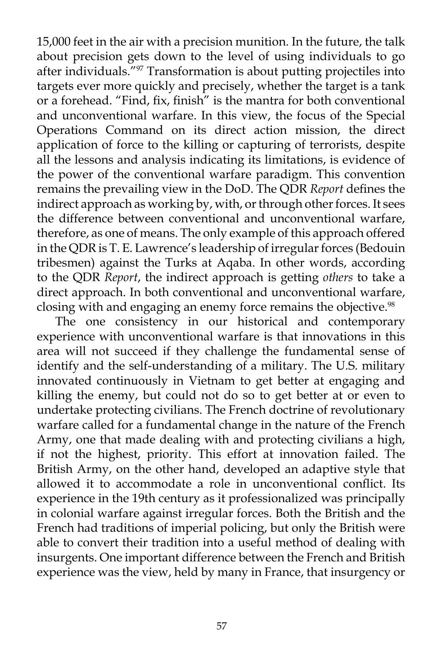15,000 feet in the air with a precision munition. In the future, the talk about precision gets down to the level of using individuals to go after individuals."97 Transformation is about putting projectiles into targets ever more quickly and precisely, whether the target is a tank or a forehead. "Find, fix, finish" is the mantra for both conventional and unconventional warfare. In this view, the focus of the Special Operations Command on its direct action mission, the direct application of force to the killing or capturing of terrorists, despite all the lessons and analysis indicating its limitations, is evidence of the power of the conventional warfare paradigm. This convention remains the prevailing view in the DoD. The QDR *Report* defines the indirect approach as working by, with, or through other forces. It sees the difference between conventional and unconventional warfare, therefore, as one of means. The only example of this approach offered in the QDR is T. E. Lawrence's leadership of irregular forces (Bedouin tribesmen) against the Turks at Aqaba. In other words, according to the QDR *Report*, the indirect approach is getting *others* to take a direct approach. In both conventional and unconventional warfare, closing with and engaging an enemy force remains the objective.<sup>98</sup>

The one consistency in our historical and contemporary experience with unconventional warfare is that innovations in this area will not succeed if they challenge the fundamental sense of identify and the self-understanding of a military. The U.S. military innovated continuously in Vietnam to get better at engaging and killing the enemy, but could not do so to get better at or even to undertake protecting civilians. The French doctrine of revolutionary warfare called for a fundamental change in the nature of the French Army, one that made dealing with and protecting civilians a high, if not the highest, priority. This effort at innovation failed. The British Army, on the other hand, developed an adaptive style that allowed it to accommodate a role in unconventional conflict. Its experience in the 19th century as it professionalized was principally in colonial warfare against irregular forces. Both the British and the French had traditions of imperial policing, but only the British were able to convert their tradition into a useful method of dealing with insurgents. One important difference between the French and British experience was the view, held by many in France, that insurgency or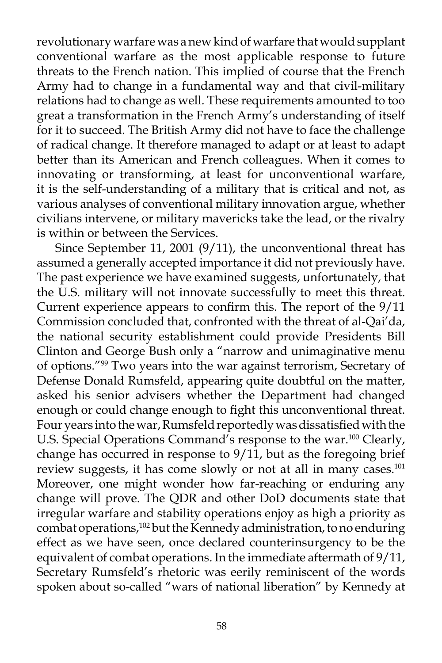revolutionary warfare was a new kind of warfare that would supplant conventional warfare as the most applicable response to future threats to the French nation. This implied of course that the French Army had to change in a fundamental way and that civil-military relations had to change as well. These requirements amounted to too great a transformation in the French Army's understanding of itself for it to succeed. The British Army did not have to face the challenge of radical change. It therefore managed to adapt or at least to adapt better than its American and French colleagues. When it comes to innovating or transforming, at least for unconventional warfare, it is the self-understanding of a military that is critical and not, as various analyses of conventional military innovation argue, whether civilians intervene, or military mavericks take the lead, or the rivalry is within or between the Services.

Since September 11, 2001 (9/11), the unconventional threat has assumed a generally accepted importance it did not previously have. The past experience we have examined suggests, unfortunately, that the U.S. military will not innovate successfully to meet this threat. Current experience appears to confirm this. The report of the 9/11 Commission concluded that, confronted with the threat of al-Qai'da, the national security establishment could provide Presidents Bill Clinton and George Bush only a "narrow and unimaginative menu of options."99 Two years into the war against terrorism, Secretary of Defense Donald Rumsfeld, appearing quite doubtful on the matter, asked his senior advisers whether the Department had changed enough or could change enough to fight this unconventional threat. Four years into the war, Rumsfeld reportedly was dissatisfied with the U.S. Special Operations Command's response to the war.<sup>100</sup> Clearly, change has occurred in response to  $9/11$ , but as the foregoing brief review suggests, it has come slowly or not at all in many cases.<sup>101</sup> Moreover, one might wonder how far-reaching or enduring any change will prove. The QDR and other DoD documents state that irregular warfare and stability operations enjoy as high a priority as combat operations,<sup>102</sup> but the Kennedy administration, to no enduring effect as we have seen, once declared counterinsurgency to be the equivalent of combat operations. In the immediate aftermath of 9/11, Secretary Rumsfeld's rhetoric was eerily reminiscent of the words spoken about so-called "wars of national liberation" by Kennedy at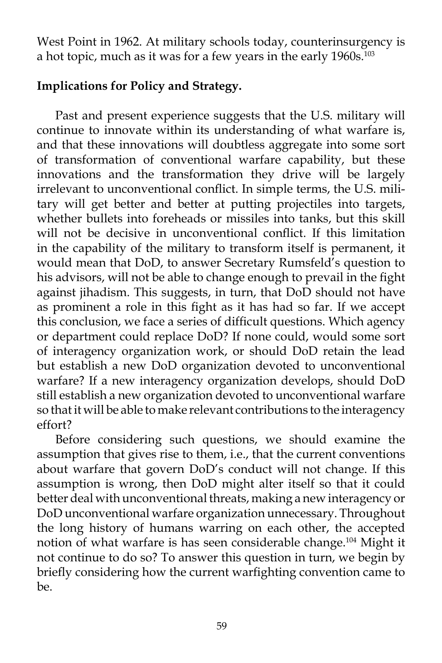West Point in 1962. At military schools today, counterinsurgency is a hot topic, much as it was for a few years in the early 1960s.<sup>103</sup>

# **Implications for Policy and Strategy.**

Past and present experience suggests that the U.S. military will continue to innovate within its understanding of what warfare is, and that these innovations will doubtless aggregate into some sort of transformation of conventional warfare capability, but these innovations and the transformation they drive will be largely irrelevant to unconventional conflict. In simple terms, the U.S. military will get better and better at putting projectiles into targets, whether bullets into foreheads or missiles into tanks, but this skill will not be decisive in unconventional conflict. If this limitation in the capability of the military to transform itself is permanent, it would mean that DoD, to answer Secretary Rumsfeld's question to his advisors, will not be able to change enough to prevail in the fight against jihadism. This suggests, in turn, that DoD should not have as prominent a role in this fight as it has had so far. If we accept this conclusion, we face a series of difficult questions. Which agency or department could replace DoD? If none could, would some sort of interagency organization work, or should DoD retain the lead but establish a new DoD organization devoted to unconventional warfare? If a new interagency organization develops, should DoD still establish a new organization devoted to unconventional warfare so that it will be able to make relevant contributions to the interagency effort?

Before considering such questions, we should examine the assumption that gives rise to them, i.e., that the current conventions about warfare that govern DoD's conduct will not change. If this assumption is wrong, then DoD might alter itself so that it could better deal with unconventional threats, making a new interagency or DoD unconventional warfare organization unnecessary. Throughout the long history of humans warring on each other, the accepted notion of what warfare is has seen considerable change.104 Might it not continue to do so? To answer this question in turn, we begin by briefly considering how the current warfighting convention came to be.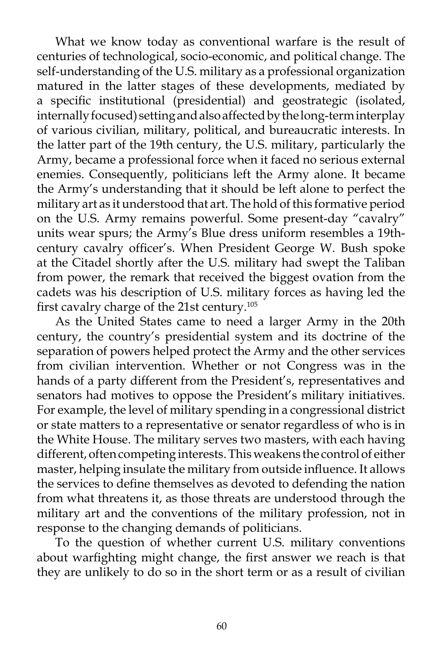What we know today as conventional warfare is the result of centuries of technological, socio-economic, and political change. The self-understanding of the U.S. military as a professional organization matured in the latter stages of these developments, mediated by a specific institutional (presidential) and geostrategic (isolated, internally focused) setting and also affected by the long-term interplay of various civilian, military, political, and bureaucratic interests. In the latter part of the 19th century, the U.S. military, particularly the Army, became a professional force when it faced no serious external enemies. Consequently, politicians left the Army alone. It became the Army's understanding that it should be left alone to perfect the military art as it understood that art. The hold of this formative period on the U.S. Army remains powerful. Some present-day "cavalry" units wear spurs; the Army's Blue dress uniform resembles a 19thcentury cavalry officer's. When President George W. Bush spoke at the Citadel shortly after the U.S. military had swept the Taliban from power, the remark that received the biggest ovation from the cadets was his description of U.S. military forces as having led the first cavalry charge of the 21st century.105

As the United States came to need a larger Army in the 20th century, the country's presidential system and its doctrine of the separation of powers helped protect the Army and the other services from civilian intervention. Whether or not Congress was in the hands of a party different from the President's, representatives and senators had motives to oppose the President's military initiatives. For example, the level of military spending in a congressional district or state matters to a representative or senator regardless of who is in the White House. The military serves two masters, with each having different, often competing interests. This weakens the control of either master, helping insulate the military from outside influence. It allows the services to define themselves as devoted to defending the nation from what threatens it, as those threats are understood through the military art and the conventions of the military profession, not in response to the changing demands of politicians.

To the question of whether current U.S. military conventions about warfighting might change, the first answer we reach is that they are unlikely to do so in the short term or as a result of civilian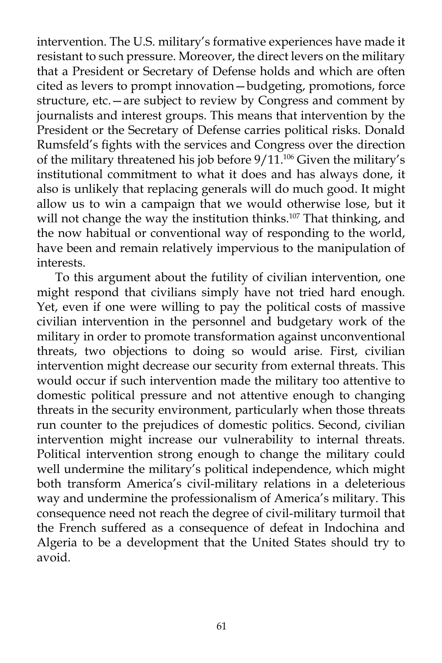intervention. The U.S. military's formative experiences have made it resistant to such pressure. Moreover, the direct levers on the military that a President or Secretary of Defense holds and which are often cited as levers to prompt innovation—budgeting, promotions, force structure, etc.—are subject to review by Congress and comment by journalists and interest groups. This means that intervention by the President or the Secretary of Defense carries political risks. Donald Rumsfeld's fights with the services and Congress over the direction of the military threatened his job before  $9/11$ .<sup>106</sup> Given the military's institutional commitment to what it does and has always done, it also is unlikely that replacing generals will do much good. It might allow us to win a campaign that we would otherwise lose, but it will not change the way the institution thinks.<sup>107</sup> That thinking, and the now habitual or conventional way of responding to the world, have been and remain relatively impervious to the manipulation of interests.

To this argument about the futility of civilian intervention, one might respond that civilians simply have not tried hard enough. Yet, even if one were willing to pay the political costs of massive civilian intervention in the personnel and budgetary work of the military in order to promote transformation against unconventional threats, two objections to doing so would arise. First, civilian intervention might decrease our security from external threats. This would occur if such intervention made the military too attentive to domestic political pressure and not attentive enough to changing threats in the security environment, particularly when those threats run counter to the prejudices of domestic politics. Second, civilian intervention might increase our vulnerability to internal threats. Political intervention strong enough to change the military could well undermine the military's political independence, which might both transform America's civil-military relations in a deleterious way and undermine the professionalism of America's military. This consequence need not reach the degree of civil-military turmoil that the French suffered as a consequence of defeat in Indochina and Algeria to be a development that the United States should try to avoid.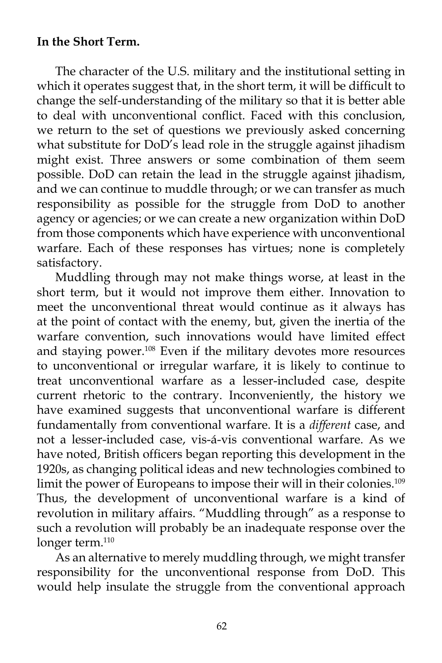## **In the Short Term.**

The character of the U.S. military and the institutional setting in which it operates suggest that, in the short term, it will be difficult to change the self-understanding of the military so that it is better able to deal with unconventional conflict. Faced with this conclusion, we return to the set of questions we previously asked concerning what substitute for DoD's lead role in the struggle against jihadism might exist. Three answers or some combination of them seem possible. DoD can retain the lead in the struggle against jihadism, and we can continue to muddle through; or we can transfer as much responsibility as possible for the struggle from DoD to another agency or agencies; or we can create a new organization within DoD from those components which have experience with unconventional warfare. Each of these responses has virtues; none is completely satisfactory.

Muddling through may not make things worse, at least in the short term, but it would not improve them either. Innovation to meet the unconventional threat would continue as it always has at the point of contact with the enemy, but, given the inertia of the warfare convention, such innovations would have limited effect and staying power.108 Even if the military devotes more resources to unconventional or irregular warfare, it is likely to continue to treat unconventional warfare as a lesser-included case, despite current rhetoric to the contrary. Inconveniently, the history we have examined suggests that unconventional warfare is different fundamentally from conventional warfare. It is a *different* case, and not a lesser-included case, vis-á-vis conventional warfare. As we have noted, British officers began reporting this development in the 1920s, as changing political ideas and new technologies combined to limit the power of Europeans to impose their will in their colonies.<sup>109</sup> Thus, the development of unconventional warfare is a kind of revolution in military affairs. "Muddling through" as a response to such a revolution will probably be an inadequate response over the longer term.<sup>110</sup>

As an alternative to merely muddling through, we might transfer responsibility for the unconventional response from DoD. This would help insulate the struggle from the conventional approach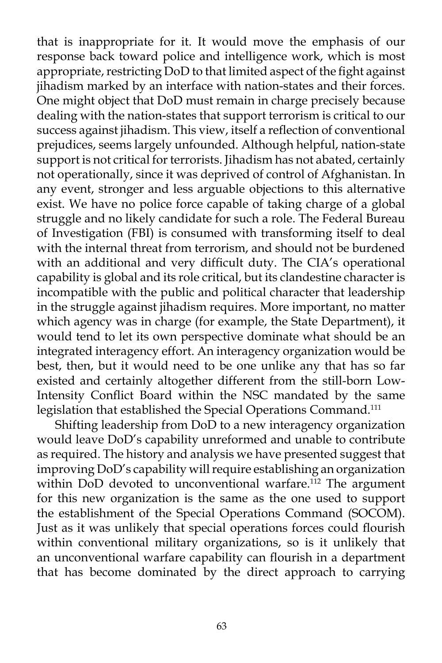that is inappropriate for it. It would move the emphasis of our response back toward police and intelligence work, which is most appropriate, restricting DoD to that limited aspect of the fight against jihadism marked by an interface with nation-states and their forces. One might object that DoD must remain in charge precisely because dealing with the nation-states that support terrorism is critical to our success against jihadism. This view, itself a reflection of conventional prejudices, seems largely unfounded. Although helpful, nation-state support is not critical for terrorists. Jihadism has not abated, certainly not operationally, since it was deprived of control of Afghanistan. In any event, stronger and less arguable objections to this alternative exist. We have no police force capable of taking charge of a global struggle and no likely candidate for such a role. The Federal Bureau of Investigation (FBI) is consumed with transforming itself to deal with the internal threat from terrorism, and should not be burdened with an additional and very difficult duty. The CIA's operational capability is global and its role critical, but its clandestine character is incompatible with the public and political character that leadership in the struggle against jihadism requires. More important, no matter which agency was in charge (for example, the State Department), it would tend to let its own perspective dominate what should be an integrated interagency effort. An interagency organization would be best, then, but it would need to be one unlike any that has so far existed and certainly altogether different from the still-born Low-Intensity Conflict Board within the NSC mandated by the same legislation that established the Special Operations Command.111

Shifting leadership from DoD to a new interagency organization would leave DoD's capability unreformed and unable to contribute as required. The history and analysis we have presented suggest that improving DoD's capability will require establishing an organization within DoD devoted to unconventional warfare.<sup>112</sup> The argument for this new organization is the same as the one used to support the establishment of the Special Operations Command (SOCOM). Just as it was unlikely that special operations forces could flourish within conventional military organizations, so is it unlikely that an unconventional warfare capability can flourish in a department that has become dominated by the direct approach to carrying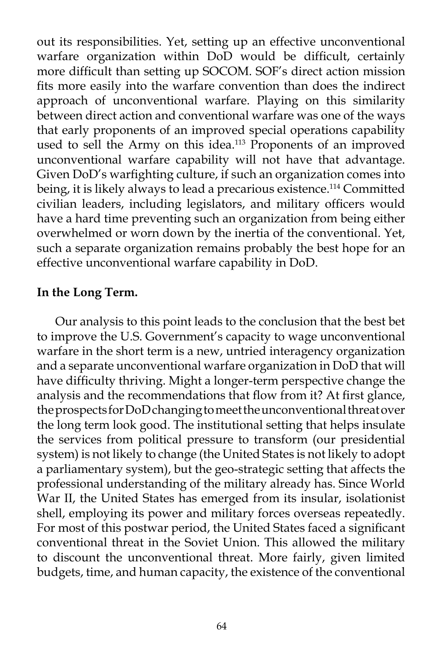out its responsibilities. Yet, setting up an effective unconventional warfare organization within DoD would be difficult, certainly more difficult than setting up SOCOM. SOF's direct action mission fits more easily into the warfare convention than does the indirect approach of unconventional warfare. Playing on this similarity between direct action and conventional warfare was one of the ways that early proponents of an improved special operations capability used to sell the Army on this idea.<sup>113</sup> Proponents of an improved unconventional warfare capability will not have that advantage. Given DoD's warfighting culture, if such an organization comes into being, it is likely always to lead a precarious existence.<sup>114</sup> Committed civilian leaders, including legislators, and military officers would have a hard time preventing such an organization from being either overwhelmed or worn down by the inertia of the conventional. Yet, such a separate organization remains probably the best hope for an effective unconventional warfare capability in DoD.

### **In the Long Term.**

Our analysis to this point leads to the conclusion that the best bet to improve the U.S. Government's capacity to wage unconventional warfare in the short term is a new, untried interagency organization and a separate unconventional warfare organization in DoD that will have difficulty thriving. Might a longer-term perspective change the analysis and the recommendations that flow from it? At first glance, the prospects for DoD changing to meet the unconventional threat over the long term look good. The institutional setting that helps insulate the services from political pressure to transform (our presidential system) is not likely to change (the United States is not likely to adopt a parliamentary system), but the geo-strategic setting that affects the professional understanding of the military already has. Since World War II, the United States has emerged from its insular, isolationist shell, employing its power and military forces overseas repeatedly. For most of this postwar period, the United States faced a significant conventional threat in the Soviet Union. This allowed the military to discount the unconventional threat. More fairly, given limited budgets, time, and human capacity, the existence of the conventional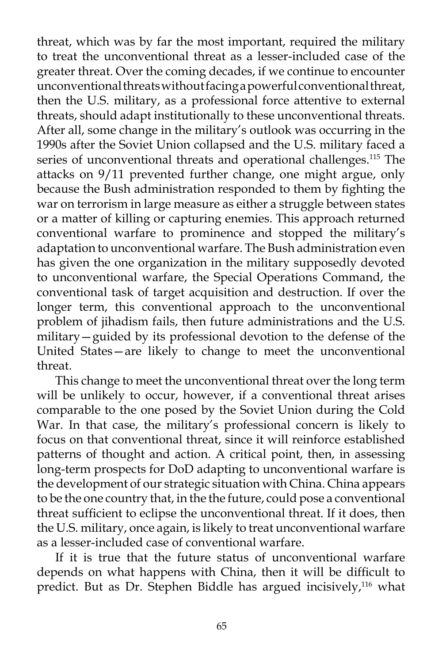threat, which was by far the most important, required the military to treat the unconventional threat as a lesser-included case of the greater threat. Over the coming decades, if we continue to encounter unconventional threats without facing a powerful conventional threat, then the U.S. military, as a professional force attentive to external threats, should adapt institutionally to these unconventional threats. After all, some change in the military's outlook was occurring in the 1990s after the Soviet Union collapsed and the U.S. military faced a series of unconventional threats and operational challenges.<sup>115</sup> The attacks on 9/11 prevented further change, one might argue, only because the Bush administration responded to them by fighting the war on terrorism in large measure as either a struggle between states or a matter of killing or capturing enemies. This approach returned conventional warfare to prominence and stopped the military's adaptation to unconventional warfare. The Bush administration even has given the one organization in the military supposedly devoted to unconventional warfare, the Special Operations Command, the conventional task of target acquisition and destruction. If over the longer term, this conventional approach to the unconventional problem of jihadism fails, then future administrations and the U.S. military—guided by its professional devotion to the defense of the United States—are likely to change to meet the unconventional threat.

This change to meet the unconventional threat over the long term will be unlikely to occur, however, if a conventional threat arises comparable to the one posed by the Soviet Union during the Cold War. In that case, the military's professional concern is likely to focus on that conventional threat, since it will reinforce established patterns of thought and action. A critical point, then, in assessing long-term prospects for DoD adapting to unconventional warfare is the development of our strategic situation with China. China appears to be the one country that, in the the future, could pose a conventional threat sufficient to eclipse the unconventional threat. If it does, then the U.S. military, once again, is likely to treat unconventional warfare as a lesser-included case of conventional warfare.

If it is true that the future status of unconventional warfare depends on what happens with China, then it will be difficult to predict. But as Dr. Stephen Biddle has argued incisively,<sup>116</sup> what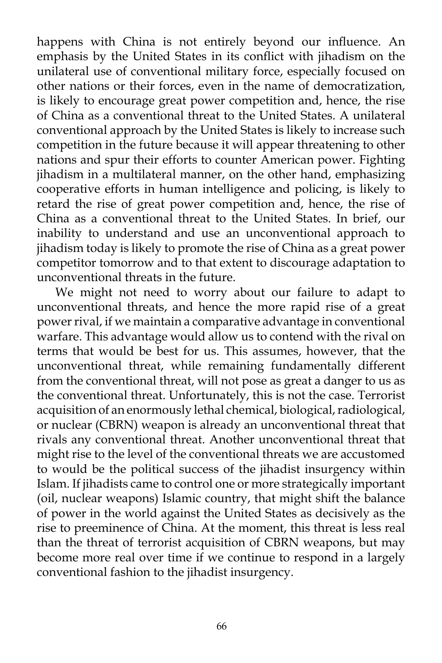happens with China is not entirely beyond our influence. An emphasis by the United States in its conflict with jihadism on the unilateral use of conventional military force, especially focused on other nations or their forces, even in the name of democratization, is likely to encourage great power competition and, hence, the rise of China as a conventional threat to the United States. A unilateral conventional approach by the United States is likely to increase such competition in the future because it will appear threatening to other nations and spur their efforts to counter American power. Fighting jihadism in a multilateral manner, on the other hand, emphasizing cooperative efforts in human intelligence and policing, is likely to retard the rise of great power competition and, hence, the rise of China as a conventional threat to the United States. In brief, our inability to understand and use an unconventional approach to jihadism today is likely to promote the rise of China as a great power competitor tomorrow and to that extent to discourage adaptation to unconventional threats in the future.

We might not need to worry about our failure to adapt to unconventional threats, and hence the more rapid rise of a great power rival, if we maintain a comparative advantage in conventional warfare. This advantage would allow us to contend with the rival on terms that would be best for us. This assumes, however, that the unconventional threat, while remaining fundamentally different from the conventional threat, will not pose as great a danger to us as the conventional threat. Unfortunately, this is not the case. Terrorist acquisition of an enormously lethal chemical, biological, radiological, or nuclear (CBRN) weapon is already an unconventional threat that rivals any conventional threat. Another unconventional threat that might rise to the level of the conventional threats we are accustomed to would be the political success of the jihadist insurgency within Islam. If jihadists came to control one or more strategically important (oil, nuclear weapons) Islamic country, that might shift the balance of power in the world against the United States as decisively as the rise to preeminence of China. At the moment, this threat is less real than the threat of terrorist acquisition of CBRN weapons, but may become more real over time if we continue to respond in a largely conventional fashion to the jihadist insurgency.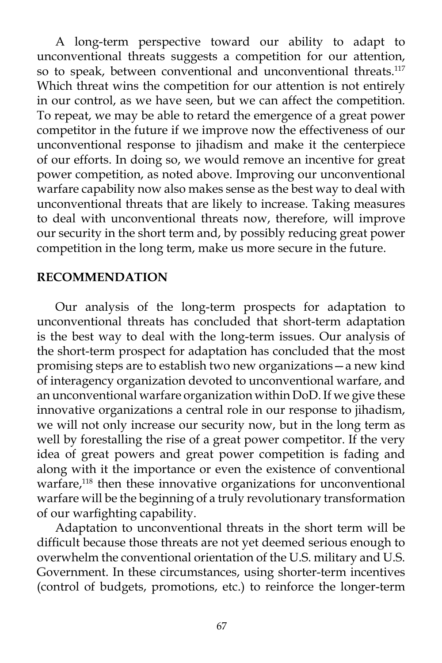A long-term perspective toward our ability to adapt to unconventional threats suggests a competition for our attention, so to speak, between conventional and unconventional threats.<sup>117</sup> Which threat wins the competition for our attention is not entirely in our control, as we have seen, but we can affect the competition. To repeat, we may be able to retard the emergence of a great power competitor in the future if we improve now the effectiveness of our unconventional response to jihadism and make it the centerpiece of our efforts. In doing so, we would remove an incentive for great power competition, as noted above. Improving our unconventional warfare capability now also makes sense as the best way to deal with unconventional threats that are likely to increase. Taking measures to deal with unconventional threats now, therefore, will improve our security in the short term and, by possibly reducing great power competition in the long term, make us more secure in the future.

## **RECOMMENDATION**

Our analysis of the long-term prospects for adaptation to unconventional threats has concluded that short-term adaptation is the best way to deal with the long-term issues. Our analysis of the short-term prospect for adaptation has concluded that the most promising steps are to establish two new organizations—a new kind of interagency organization devoted to unconventional warfare, and an unconventional warfare organization within DoD. If we give these innovative organizations a central role in our response to jihadism, we will not only increase our security now, but in the long term as well by forestalling the rise of a great power competitor. If the very idea of great powers and great power competition is fading and along with it the importance or even the existence of conventional warfare,<sup>118</sup> then these innovative organizations for unconventional warfare will be the beginning of a truly revolutionary transformation of our warfighting capability.

Adaptation to unconventional threats in the short term will be difficult because those threats are not yet deemed serious enough to overwhelm the conventional orientation of the U.S. military and U.S. Government. In these circumstances, using shorter-term incentives (control of budgets, promotions, etc.) to reinforce the longer-term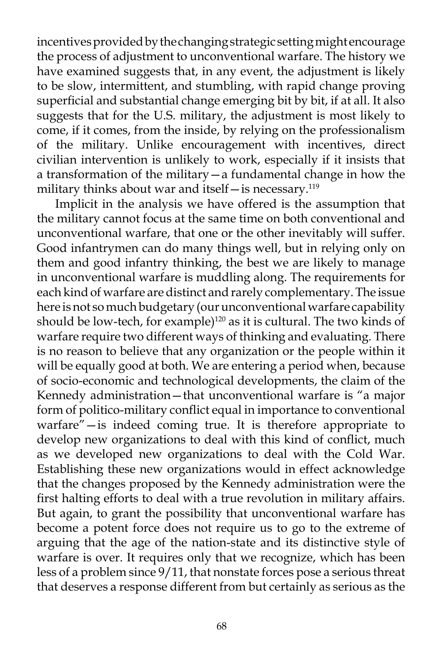incentives provided by the changing strategic setting might encourage the process of adjustment to unconventional warfare. The history we have examined suggests that, in any event, the adjustment is likely to be slow, intermittent, and stumbling, with rapid change proving superficial and substantial change emerging bit by bit, if at all. It also suggests that for the U.S. military, the adjustment is most likely to come, if it comes, from the inside, by relying on the professionalism of the military. Unlike encouragement with incentives, direct civilian intervention is unlikely to work, especially if it insists that a transformation of the military—a fundamental change in how the military thinks about war and itself - is necessary.<sup>119</sup>

Implicit in the analysis we have offered is the assumption that the military cannot focus at the same time on both conventional and unconventional warfare, that one or the other inevitably will suffer. Good infantrymen can do many things well, but in relying only on them and good infantry thinking, the best we are likely to manage in unconventional warfare is muddling along. The requirements for each kind of warfare are distinct and rarely complementary. The issue here is not so much budgetary (our unconventional warfare capability should be low-tech, for example)<sup>120</sup> as it is cultural. The two kinds of warfare require two different ways of thinking and evaluating. There is no reason to believe that any organization or the people within it will be equally good at both. We are entering a period when, because of socio-economic and technological developments, the claim of the Kennedy administration—that unconventional warfare is "a major form of politico-military conflict equal in importance to conventional warfare"—is indeed coming true. It is therefore appropriate to develop new organizations to deal with this kind of conflict, much as we developed new organizations to deal with the Cold War. Establishing these new organizations would in effect acknowledge that the changes proposed by the Kennedy administration were the first halting efforts to deal with a true revolution in military affairs. But again, to grant the possibility that unconventional warfare has become a potent force does not require us to go to the extreme of arguing that the age of the nation-state and its distinctive style of warfare is over. It requires only that we recognize, which has been less of a problem since 9/11, that nonstate forces pose a serious threat that deserves a response different from but certainly as serious as the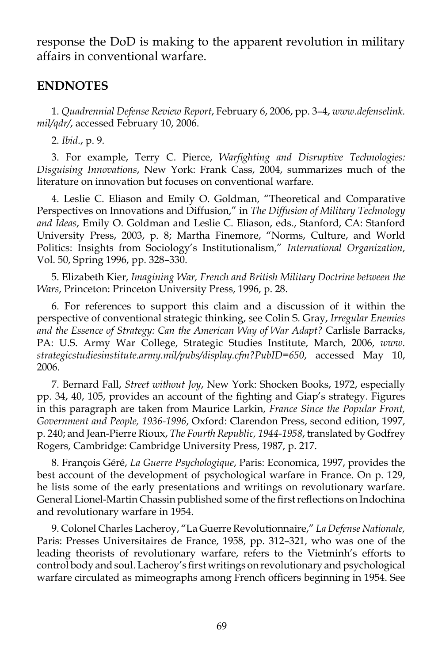response the DoD is making to the apparent revolution in military affairs in conventional warfare.

## **ENDNOTES**

1. *Quadrennial Defense Review Report*, February 6, 2006, pp. 3–4, *www.defenselink. mil/qdr/*, accessed February 10, 2006.

2. *Ibid*., p. 9.

3. For example, Terry C. Pierce, *Warfighting and Disruptive Technologies: Disguising Innovations*, New York: Frank Cass, 2004, summarizes much of the literature on innovation but focuses on conventional warfare.

4. Leslie C. Eliason and Emily O. Goldman, "Theoretical and Comparative Perspectives on Innovations and Diffusion," in *The Diffusion of Military Technology and Ideas*, Emily O. Goldman and Leslie C. Eliason, eds., Stanford, CA: Stanford University Press, 2003, p. 8; Martha Finemore, "Norms, Culture, and World Politics: Insights from Sociology's Institutionalism," *International Organization*, Vol. 50, Spring 1996, pp. 328–330.

5. Elizabeth Kier, *Imagining War, French and British Military Doctrine between the Wars*, Princeton: Princeton University Press, 1996, p. 28.

6. For references to support this claim and a discussion of it within the perspective of conventional strategic thinking, see Colin S. Gray, *Irregular Enemies and the Essence of Strategy: Can the American Way of War Adapt?* Carlisle Barracks, PA: U.S. Army War College, Strategic Studies Institute, March, 2006, *www. strategicstudiesinstitute.army.mil/pubs/display.cfm?PubID=650*, accessed May 10, 2006.

7. Bernard Fall, *Street without Joy*, New York: Shocken Books, 1972, especially pp. 34, 40, 105, provides an account of the fighting and Giap's strategy. Figures in this paragraph are taken from Maurice Larkin, *France Since the Popular Front, Government and People, 1936-1996*, Oxford: Clarendon Press, second edition, 1997, p. 240; and Jean-Pierre Rioux, *The Fourth Republic, 1944-1958*, translated by Godfrey Rogers, Cambridge: Cambridge University Press, 1987, p. 217.

8. François Géré, *La Guerre Psychologique*, Paris: Economica, 1997, provides the best account of the development of psychological warfare in France. On p. 129, he lists some of the early presentations and writings on revolutionary warfare. General Lionel-Martin Chassin published some of the first reflections on Indochina and revolutionary warfare in 1954.

9. Colonel Charles Lacheroy, "La Guerre Revolutionnaire," *La Defense Nationale,*  Paris: Presses Universitaires de France, 1958, pp. 312–321, who was one of the leading theorists of revolutionary warfare, refers to the Vietminh's efforts to control body and soul. Lacheroy's first writings on revolutionary and psychological warfare circulated as mimeographs among French officers beginning in 1954. See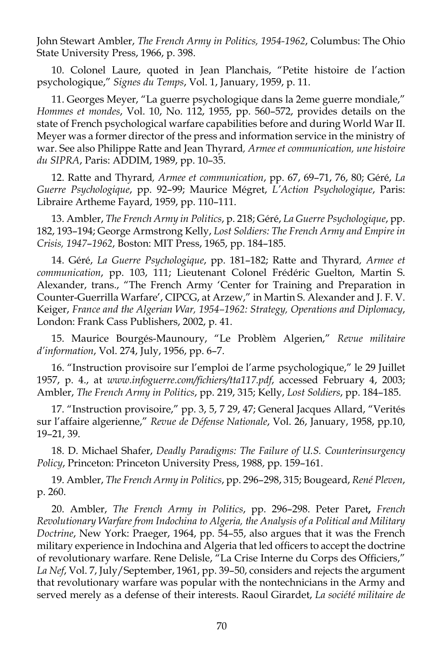John Stewart Ambler, *The French Army in Politics, 1954-1962*, Columbus: The Ohio State University Press, 1966, p. 398.

10. Colonel Laure, quoted in Jean Planchais, "Petite histoire de l'action psychologique," *Signes du Temps*, Vol. 1, January, 1959, p. 11.

11. Georges Meyer, "La guerre psychologique dans la 2eme guerre mondiale," *Hommes et mondes*, Vol. 10, No. 112, 1955, pp. 560–572, provides details on the state of French psychological warfare capabilities before and during World War II. Meyer was a former director of the press and information service in the ministry of war. See also Philippe Ratte and Jean Thyrard*, Armee et communication, une histoire du SIPRA*, Paris: ADDIM, 1989, pp. 10–35.

12. Ratte and Thyrard*, Armee et communication*, pp. 67, 69–71, 76, 80; Géré, *La Guerre Psychologique*, pp. 92–99; Maurice Mégret, *L'Action Psychologique*, Paris: Libraire Artheme Fayard, 1959, pp. 110–111.

13. Ambler, *The French Army in Politics*, p. 218; Géré, *La Guerre Psychologique*, pp. 182, 193–194; George Armstrong Kelly, *Lost Soldiers: The French Army and Empire in Crisis, 1947*–*1962*, Boston: MIT Press, 1965, pp. 184–185.

14. Géré, *La Guerre Psychologique*, pp. 181–182; Ratte and Thyrard*, Armee et communication*, pp. 103, 111; Lieutenant Colonel Frédéric Guelton, Martin S. Alexander, trans., "The French Army 'Center for Training and Preparation in Counter-Guerrilla Warfare', CIPCG, at Arzew," in Martin S. Alexander and J. F. V. Keiger, *France and the Algerian War, 1954–1962: Strategy, Operations and Diplomacy*, London: Frank Cass Publishers, 2002, p. 41.

15. Maurice Bourgés-Maunoury, "Le Problèm Algerien," *Revue militaire d'information*, Vol. 274, July, 1956, pp. 6–7.

16. "Instruction provisoire sur l'emploi de l'arme psychologique," le 29 Juillet 1957, p. 4., at *www.infoguerre.com/fichiers/tta117.pdf*, accessed February 4, 2003; Ambler, *The French Army in Politics*, pp. 219, 315; Kelly, *Lost Soldiers*, pp. 184–185.

17. "Instruction provisoire," pp. 3, 5, 7 29, 47; General Jacques Allard, "Verités sur l'affaire algerienne," *Revue de Défense Nationale*, Vol. 26, January, 1958, pp.10, 19–21, 39.

18. D. Michael Shafer, *Deadly Paradigms: The Failure of U.S. Counterinsurgency Policy*, Princeton: Princeton University Press, 1988, pp. 159–161.

19. Ambler, *The French Army in Politics*, pp. 296–298, 315; Bougeard, *René Pleven*, p. 260.

20. Ambler, *The French Army in Politics*, pp. 296–298. Peter Paret**,** *French Revolutionary Warfare from Indochina to Algeria, the Analysis of a Political and Military Doctrine*, New York: Praeger, 1964, pp. 54–55, also argues that it was the French military experience in Indochina and Algeria that led officers to accept the doctrine of revolutionary warfare. Rene Delisle, "La Crise Interne du Corps des Officiers," *La Nef*, Vol. 7, July/September, 1961, pp. 39–50, considers and rejects the argument that revolutionary warfare was popular with the nontechnicians in the Army and served merely as a defense of their interests. Raoul Girardet, *La société militaire de*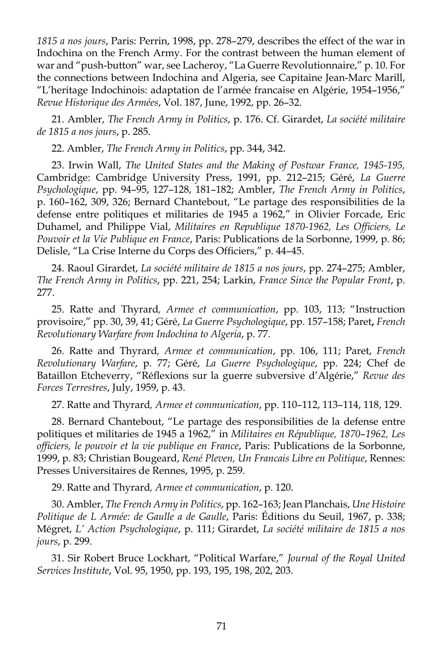*1815 a nos jours*, Paris: Perrin, 1998, pp. 278–279, describes the effect of the war in Indochina on the French Army. For the contrast between the human element of war and "push-button" war, see Lacheroy, "La Guerre Revolutionnaire," p. 10. For the connections between Indochina and Algeria, see Capitaine Jean-Marc Marill, "L'heritage Indochinois: adaptation de l'armée francaise en Algérie, 1954–1956," *Revue Historique des Armées*, Vol. 187, June, 1992, pp. 26–32.

21. Ambler, *The French Army in Politics*, p. 176. Cf. Girardet, *La société militaire de 1815 a nos jours*, p. 285.

22. Ambler, *The French Army in Politics*, pp. 344, 342.

23. Irwin Wall, *The United States and the Making of Postwar France, 1945-195,*  Cambridge: Cambridge University Press, 1991, pp. 212–215; Géré, *La Guerre Psychologique*, pp. 94–95, 127–128, 181–182; Ambler, *The French Army in Politics*, p. 160–162, 309, 326; Bernard Chantebout, "Le partage des responsibilities de la defense entre politiques et militaries de 1945 a 1962," in Olivier Forcade, Eric Duhamel, and Philippe Vial, *Militaires en Republique 1870-1962, Les Officiers, Le Pouvoir et la Vie Publique en France*, Paris: Publications de la Sorbonne, 1999, p. 86; Delisle, "La Crise Interne du Corps des Officiers," p. 44–45.

24. Raoul Girardet, *La société militaire de 1815 a nos jours*, pp. 274–275; Ambler, *The French Army in Politics*, pp. 221, 254; Larkin, *France Since the Popular Front*, p. 277.

25. Ratte and Thyrard*, Armee et communication*, pp. 103, 113; "Instruction provisoire," pp. 30, 39, 41; Géré, *La Guerre Psychologique*, pp. 157–158; Paret**,** *French Revolutionary Warfare from Indochina to Algeria*, p. 77.

26. Ratte and Thyrard*, Armee et communication*, pp. 106, 111; Paret, *French Revolutionary Warfare*, p. 77; Géré, *La Guerre Psychologique*, pp. 224; Chef de Bataillon Etcheverry, "Réflexions sur la guerre subversive d'Algérie," *Revue des Forces Terrestres*, July, 1959, p. 43.

27. Ratte and Thyrard*, Armee et communication*, pp. 110–112, 113–114, 118, 129.

28. Bernard Chantebout, "Le partage des responsibilities de la defense entre politiques et militaries de 1945 a 1962," in *Militaires en République, 1870*–*1962, Les officiers, le pouvoir et la vie publique en France*, Paris: Publications de la Sorbonne, 1999, p. 83; Christian Bougeard, *René Pleven, Un Francais Libre en Politique*, Rennes: Presses Universitaires de Rennes, 1995, p. 259.

29. Ratte and Thyrard*, Armee et communication*, p. 120.

30. Ambler, *The French Army in Politics*, pp. 162–163; Jean Planchais, *Une Histoire Politique de L Armée: de Gaulle a de Gaulle*, Paris: Éditions du Seuil, 1967, p. 338; Mégret, *L' Action Psychologique*, p. 111; Girardet, *La société militaire de 1815 a nos jours*, p. 299.

31. Sir Robert Bruce Lockhart, "Political Warfare," *Journal of the Royal United Services Institute*, Vol. 95, 1950, pp. 193, 195, 198, 202, 203.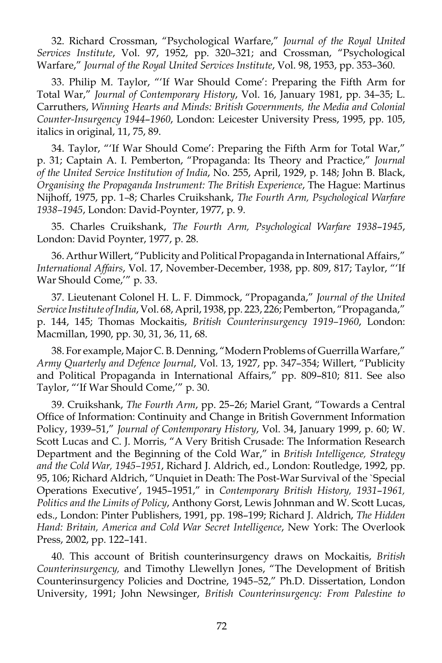32. Richard Crossman, "Psychological Warfare," *Journal of the Royal United Services Institute*, Vol. 97, 1952, pp. 320–321; and Crossman, "Psychological Warfare," *Journal of the Royal United Services Institute*, Vol. 98, 1953, pp. 353–360.

33. Philip M. Taylor, "'If War Should Come': Preparing the Fifth Arm for Total War," *Journal of Contemporary History*, Vol. 16, January 1981, pp. 34–35; L. Carruthers, *Winning Hearts and Minds: British Governments, the Media and Colonial Counter-Insurgency 1944*–*1960*, London: Leicester University Press, 1995, pp. 105, italics in original, 11, 75, 89.

34. Taylor, "'If War Should Come': Preparing the Fifth Arm for Total War," p. 31; Captain A. I. Pemberton, "Propaganda: Its Theory and Practice," *Journal of the United Service Institution of India*, No. 255, April, 1929, p. 148; John B. Black, *Organising the Propaganda Instrument: The British Experience*, The Hague: Martinus Nijhoff, 1975, pp. 1*–*8; Charles Cruikshank, *The Fourth Arm, Psychological Warfare 1938–1945*, London: David-Poynter, 1977, p. 9.

35. Charles Cruikshank, *The Fourth Arm, Psychological Warfare 1938*–*1945*, London: David Poynter, 1977, p. 28.

36. Arthur Willert, "Publicity and Political Propaganda in International Affairs," *International Affairs*, Vol. 17, November-December, 1938, pp. 809, 817; Taylor, "'If War Should Come,'" p. 33.

37. Lieutenant Colonel H. L. F. Dimmock, "Propaganda," *Journal of the United Service Institute of India*, Vol. 68, April, 1938, pp. 223, 226; Pemberton, "Propaganda," p. 144, 145; Thomas Mockaitis, *British Counterinsurgency 1919–1960*, London: Macmillan, 1990, pp. 30, 31, 36, 11, 68.

38. For example, Major C. B. Denning, "Modern Problems of Guerrilla Warfare," *Army Quarterly and Defence Journal*, Vol. 13, 1927, pp. 347–354; Willert, "Publicity and Political Propaganda in International Affairs," pp. 809–810; 811. See also Taylor, "'If War Should Come,'" p. 30.

39. Cruikshank, *The Fourth Arm*, pp. 25–26; Mariel Grant, "Towards a Central Office of Information: Continuity and Change in British Government Information Policy, 1939–51," *Journal of Contemporary History*, Vol. 34, January 1999, p. 60; W. Scott Lucas and C. J. Morris, "A Very British Crusade: The Information Research Department and the Beginning of the Cold War," in *British Intelligence, Strategy and the Cold War, 1945–1951*, Richard J. Aldrich, ed., London: Routledge, 1992, pp. 95, 106; Richard Aldrich, "Unquiet in Death: The Post-War Survival of the `Special Operations Executive', 1945–1951," in *Contemporary British History, 1931*–*1961, Politics and the Limits of Policy*, Anthony Gorst, Lewis Johnman and W. Scott Lucas, eds., London: Pinter Publishers, 1991, pp. 198–199; Richard J. Aldrich, *The Hidden Hand: Britain, America and Cold War Secret Intelligence*, New York: The Overlook Press, 2002, pp. 122–141.

40. This account of British counterinsurgency draws on Mockaitis, *British Counterinsurgency,* and Timothy Llewellyn Jones, "The Development of British Counterinsurgency Policies and Doctrine, 1945*–*52," Ph.D. Dissertation, London University, 1991; John Newsinger, *British Counterinsurgency: From Palestine to*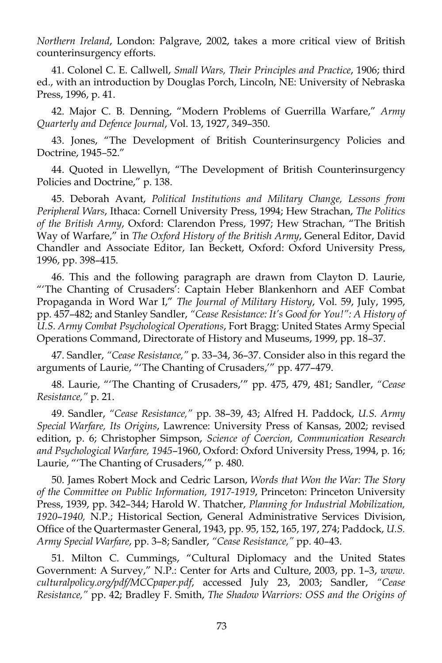*Northern Ireland*, London: Palgrave, 2002, takes a more critical view of British counterinsurgency efforts.

41. Colonel C. E. Callwell, *Small Wars, Their Principles and Practice*, 1906; third ed., with an introduction by Douglas Porch, Lincoln, NE: University of Nebraska Press, 1996, p. 41.

42. Major C. B. Denning, "Modern Problems of Guerrilla Warfare," *Army Quarterly and Defence Journal*, Vol. 13, 1927, 349–350.

43. Jones, "The Development of British Counterinsurgency Policies and Doctrine, 1945*–*52."

44. Quoted in Llewellyn, "The Development of British Counterinsurgency Policies and Doctrine," p. 138.

45. Deborah Avant, *Political Institutions and Military Change, Lessons from Peripheral Wars*, Ithaca: Cornell University Press, 1994; Hew Strachan, *The Politics of the British Army*, Oxford: Clarendon Press, 1997; Hew Strachan, "The British Way of Warfare," in *The Oxford History of the British Army*, General Editor, David Chandler and Associate Editor, Ian Beckett, Oxford: Oxford University Press, 1996, pp. 398–415.

46. This and the following paragraph are drawn from Clayton D. Laurie, "'The Chanting of Crusaders': Captain Heber Blankenhorn and AEF Combat Propaganda in Word War I," *The Journal of Military History*, Vol. 59, July, 1995, pp. 457–482; and Stanley Sandler, *"Cease Resistance: It's Good for You!": A History of U.S. Army Combat Psychological Operations*, Fort Bragg: United States Army Special Operations Command, Directorate of History and Museums, 1999, pp. 18–37.

47. Sandler, *"Cease Resistance,"* p. 33–34, 36–37. Consider also in this regard the arguments of Laurie, "'The Chanting of Crusaders,'" pp. 477–479.

48. Laurie, "'The Chanting of Crusaders,'" pp. 475, 479, 481; Sandler, *"Cease Resistance,"* p. 21.

49. Sandler, *"Cease Resistance,"* pp. 38–39, 43; Alfred H. Paddock, *U.S. Army Special Warfare, Its Origins*, Lawrence: University Press of Kansas, 2002; revised edition, p. 6; Christopher Simpson, *Science of Coercion, Communication Research and Psychological Warfare, 1945*–1960, Oxford: Oxford University Press, 1994, p. 16; Laurie, "'The Chanting of Crusaders,'" p. 480.

50. James Robert Mock and Cedric Larson, *Words that Won the War: The Story of the Committee on Public Information, 1917-1919*, Princeton: Princeton University Press, 1939, pp. 342–344; Harold W. Thatcher, *Planning for Industrial Mobilization, 1920*–*1940,* N.P.; Historical Section, General Administrative Services Division, Office of the Quartermaster General, 1943, pp. 95, 152, 165, 197, 274; Paddock, *U.S. Army Special Warfare*, pp. 3–8; Sandler, *"Cease Resistance,"* pp. 40–43.

51. Milton C. Cummings, "Cultural Diplomacy and the United States Government: A Survey," N.P.: Center for Arts and Culture, 2003, pp. 1–3, *www. culturalpolicy.org/pdf/MCCpaper.pdf*, accessed July 23, 2003; Sandler, *"Cease Resistance,"* pp. 42; Bradley F. Smith, *The Shadow Warriors: OSS and the Origins of*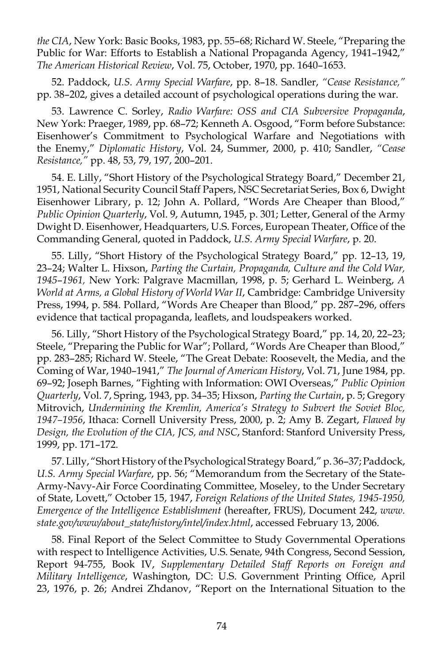*the CIA*, New York: Basic Books, 1983, pp. 55–68; Richard W. Steele, "Preparing the Public for War: Efforts to Establish a National Propaganda Agency, 1941–1942," *The American Historical Review*, Vol. 75, October, 1970, pp. 1640–1653.

52. Paddock, *U.S. Army Special Warfare*, pp. 8–18. Sandler, *"Cease Resistance,"* pp. 38–202, gives a detailed account of psychological operations during the war.

53. Lawrence C. Sorley, *Radio Warfare: OSS and CIA Subversive Propaganda*, New York: Praeger, 1989, pp. 68–72; Kenneth A. Osgood, "Form before Substance: Eisenhower's Commitment to Psychological Warfare and Negotiations with the Enemy," *Diplomatic History*, Vol. 24, Summer, 2000, p. 410; Sandler, *"Cease Resistance,"* pp. 48, 53, 79, 197, 200–201.

54. E. Lilly, "Short History of the Psychological Strategy Board," December 21, 1951, National Security Council Staff Papers, NSC Secretariat Series, Box 6, Dwight Eisenhower Library, p. 12; John A. Pollard, "Words Are Cheaper than Blood," *Public Opinion Quarterly*, Vol. 9, Autumn, 1945, p. 301; Letter, General of the Army Dwight D. Eisenhower, Headquarters, U.S. Forces, European Theater, Office of the Commanding General, quoted in Paddock, *U.S. Army Special Warfare*, p. 20.

55. Lilly, "Short History of the Psychological Strategy Board," pp. 12–13, 19, 23–24; Walter L. Hixson, *Parting the Curtain, Propaganda, Culture and the Cold War, 1945*–*1961,* New York: Palgrave Macmillan, 1998, p. 5; Gerhard L. Weinberg, *A World at Arms, a Global History of World War II*, Cambridge: Cambridge University Press, 1994, p. 584. Pollard, "Words Are Cheaper than Blood," pp. 287–296, offers evidence that tactical propaganda, leaflets, and loudspeakers worked.

56. Lilly, "Short History of the Psychological Strategy Board," pp. 14, 20, 22–23; Steele, "Preparing the Public for War"; Pollard, "Words Are Cheaper than Blood," pp. 283–285; Richard W. Steele, "The Great Debate: Roosevelt, the Media, and the Coming of War, 1940–1941," *The Journal of American History*, Vol. 71, June 1984, pp. 69–92; Joseph Barnes, "Fighting with Information: OWI Overseas," *Public Opinion Quarterly*, Vol. 7, Spring, 1943, pp. 34–35; Hixson, *Parting the Curtain*, p. 5; Gregory Mitrovich, *Undermining the Kremlin, America's Strategy to Subvert the Soviet Bloc, 1947–1956*, Ithaca: Cornell University Press, 2000, p. 2; Amy B. Zegart, *Flawed by Design, the Evolution of the CIA, JCS, and NSC*, Stanford: Stanford University Press, 1999, pp. 171–172.

57. Lilly, "Short History of the Psychological Strategy Board," p. 36–37; Paddock, *U.S. Army Special Warfare*, pp. 56; "Memorandum from the Secretary of the State-Army-Navy-Air Force Coordinating Committee, Moseley, to the Under Secretary of State, Lovett," October 15, 1947, *Foreign Relations of the United States, 1945-1950, Emergence of the Intelligence Establishment* (hereafter, FRUS), Document 242, *www. state.gov/www/about\_state/history/intel/index.html*, accessed February 13, 2006.

58. Final Report of the Select Committee to Study Governmental Operations with respect to Intelligence Activities, U.S. Senate, 94th Congress, Second Session, Report 94-755, Book IV, *Supplementary Detailed Staff Reports on Foreign and Military Intelligence*, Washington, DC: U.S. Government Printing Office, April 23, 1976, p. 26; Andrei Zhdanov, "Report on the International Situation to the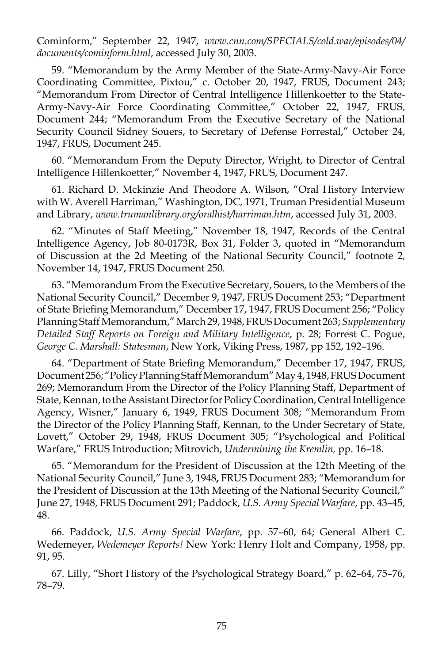Cominform," September 22, 1947, *www.cnn.com/SPECIALS/cold.war/episodes/04/ documents/cominform.html*, accessed July 30, 2003.

59. "Memorandum by the Army Member of the State-Army-Navy-Air Force Coordinating Committee, Pixtou," c. October 20, 1947, FRUS, Document 243; "Memorandum From Director of Central Intelligence Hillenkoetter to the State-Army-Navy-Air Force Coordinating Committee," October 22, 1947, FRUS, Document 244; "Memorandum From the Executive Secretary of the National Security Council Sidney Souers, to Secretary of Defense Forrestal," October 24, 1947, FRUS, Document 245.

60. "Memorandum From the Deputy Director, Wright, to Director of Central Intelligence Hillenkoetter," November 4, 1947, FRUS, Document 247.

61. Richard D. Mckinzie And Theodore A. Wilson, "Oral History Interview with W. Averell Harriman," Washington, DC, 1971, Truman Presidential Museum and Library, *www.trumanlibrary.org/oralhist/harriman.htm*, accessed July 31, 2003.

62. "Minutes of Staff Meeting," November 18, 1947, Records of the Central Intelligence Agency, Job 80-0173R, Box 31, Folder 3, quoted in "Memorandum of Discussion at the 2d Meeting of the National Security Council," footnote 2, November 14, 1947, FRUS Document 250.

63. "Memorandum From the Executive Secretary, Souers, to the Members of the National Security Council," December 9, 1947, FRUS Document 253; "Department of State Briefing Memorandum," December 17, 1947, FRUS Document 256; "Policy Planning Staff Memorandum," March 29, 1948, FRUS Document 263; *Supplementary Detailed Staff Reports on Foreign and Military Intelligence*, p. 28; Forrest C. Pogue, *George C. Marshall: Statesman*, New York, Viking Press, 1987, pp 152, 192–196.

64. "Department of State Briefing Memorandum," December 17, 1947, FRUS, Document 256; "Policy Planning Staff Memorandum" May 4, 1948, FRUS Document 269; Memorandum From the Director of the Policy Planning Staff, Department of State, Kennan, to the Assistant Director for Policy Coordination, Central Intelligence Agency, Wisner," January 6, 1949, FRUS Document 308; "Memorandum From the Director of the Policy Planning Staff, Kennan, to the Under Secretary of State, Lovett," October 29, 1948, FRUS Document 305; "Psychological and Political Warfare," FRUS Introduction; Mitrovich, *Undermining the Kremlin,* pp. 16–18.

65. "Memorandum for the President of Discussion at the 12th Meeting of the National Security Council," June 3, 1948**,** FRUS Document 283; "Memorandum for the President of Discussion at the 13th Meeting of the National Security Council," June 27, 1948, FRUS Document 291; Paddock, *U.S. Army Special Warfare*, pp. 43–45, 48.

66. Paddock, *U.S. Army Special Warfare*, pp. 57–60, 64; General Albert C. Wedemeyer, *Wedemeyer Reports!* New York: Henry Holt and Company, 1958, pp. 91, 95.

67. Lilly, "Short History of the Psychological Strategy Board," p. 62–64, 75–76, 78–79.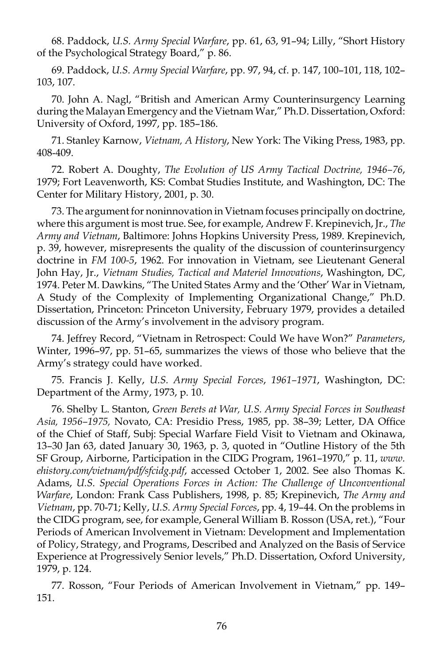68. Paddock, *U.S. Army Special Warfare*, pp. 61, 63, 91–94; Lilly, "Short History of the Psychological Strategy Board," p. 86.

69. Paddock, *U.S. Army Special Warfare*, pp. 97, 94, cf. p. 147, 100–101, 118, 102– 103, 107.

70. John A. Nagl, "British and American Army Counterinsurgency Learning during the Malayan Emergency and the Vietnam War," Ph.D. Dissertation, Oxford: University of Oxford, 1997, pp. 185–186.

71. Stanley Karnow, *Vietnam, A History*, New York: The Viking Press, 1983, pp. 408-409.

72. Robert A. Doughty, *The Evolution of US Army Tactical Doctrine, 1946–76*, 1979; Fort Leavenworth, KS: Combat Studies Institute, and Washington, DC: The Center for Military History, 2001, p. 30.

73. The argument for noninnovation in Vietnam focuses principally on doctrine, where this argument is most true. See, for example, Andrew F. Krepinevich, Jr., *The Army and Vietnam*, Baltimore: Johns Hopkins University Press, 1989. Krepinevich, p. 39, however, misrepresents the quality of the discussion of counterinsurgency doctrine in *FM 100-5*, 1962. For innovation in Vietnam, see Lieutenant General John Hay, Jr., *Vietnam Studies, Tactical and Materiel Innovations*, Washington, DC, 1974. Peter M. Dawkins, "The United States Army and the 'Other' War in Vietnam, A Study of the Complexity of Implementing Organizational Change," Ph.D. Dissertation, Princeton: Princeton University, February 1979, provides a detailed discussion of the Army's involvement in the advisory program.

74. Jeffrey Record, "Vietnam in Retrospect: Could We have Won?" *Parameters*, Winter, 1996–97, pp. 51–65, summarizes the views of those who believe that the Army's strategy could have worked.

75. Francis J. Kelly, *U.S. Army Special Forces*, *1961–1971*, Washington, DC: Department of the Army, 1973, p. 10.

76. Shelby L. Stanton, *Green Berets at War, U.S. Army Special Forces in Southeast Asia, 1956–1975,* Novato, CA: Presidio Press, 1985, pp. 38–39; Letter, DA Office of the Chief of Staff, Subj: Special Warfare Field Visit to Vietnam and Okinawa, 13–30 Jan 63, dated January 30, 1963, p. 3, quoted in "Outline History of the 5th SF Group, Airborne, Participation in the CIDG Program, 1961–1970," p. 11, *www. ehistory.com/vietnam/pdf/sfcidg.pdf*, accessed October 1, 2002. See also Thomas K. Adams, *U.S. Special Operations Forces in Action: The Challenge of Unconventional Warfare*, London: Frank Cass Publishers, 1998, p. 85; Krepinevich, *The Army and Vietnam*, pp. 70-71; Kelly, *U.S. Army Special Forces*, pp. 4, 19–44. On the problems in the CIDG program, see, for example, General William B. Rosson (USA, ret.), "Four Periods of American Involvement in Vietnam: Development and Implementation of Policy, Strategy, and Programs, Described and Analyzed on the Basis of Service Experience at Progressively Senior levels," Ph.D. Dissertation, Oxford University, 1979, p. 124.

77. Rosson, "Four Periods of American Involvement in Vietnam," pp. 149– 151.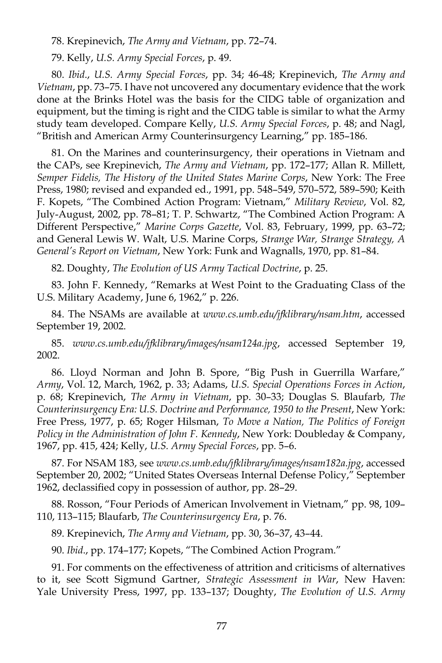78. Krepinevich, *The Army and Vietnam*, pp. 72–74.

79. Kelly, *U.S. Army Special Forces*, p. 49.

80. *Ibid*., *U.S. Army Special Forces*, pp. 34; 46-48; Krepinevich, *The Army and Vietnam*, pp. 73–75. I have not uncovered any documentary evidence that the work done at the Brinks Hotel was the basis for the CIDG table of organization and equipment, but the timing is right and the CIDG table is similar to what the Army study team developed. Compare Kelly, *U.S. Army Special Forces*, p. 48; and Nagl, "British and American Army Counterinsurgency Learning," pp. 185–186.

81. On the Marines and counterinsurgency, their operations in Vietnam and the CAPs, see Krepinevich, *The Army and Vietnam*, pp. 172–177; Allan R. Millett, *Semper Fidelis, The History of the United States Marine Corps*, New York: The Free Press, 1980; revised and expanded ed., 1991, pp. 548–549, 570–572, 589–590; Keith F. Kopets, "The Combined Action Program: Vietnam," *Military Review*, Vol. 82, July-August, 2002, pp. 78–81; T. P. Schwartz, "The Combined Action Program: A Different Perspective," *Marine Corps Gazette*, Vol. 83, February, 1999, pp. 63–72; and General Lewis W. Walt, U.S. Marine Corps, *Strange War, Strange Strategy, A General's Report on Vietnam*, New York: Funk and Wagnalls, 1970, pp. 81–84.

82. Doughty, *The Evolution of US Army Tactical Doctrine*, p. 25.

83. John F. Kennedy, "Remarks at West Point to the Graduating Class of the U.S. Military Academy, June 6, 1962," p. 226.

84. The NSAMs are available at *www.cs.umb.edu/jfklibrary/nsam.htm*, accessed September 19, 2002.

85. *www.cs.umb.edu/jfklibrary/images/nsam124a.jpg*, accessed September 19, 2002.

86. Lloyd Norman and John B. Spore, "Big Push in Guerrilla Warfare," *Army*, Vol. 12, March, 1962, p. 33; Adams, *U.S. Special Operations Forces in Action*, p. 68; Krepinevich, *The Army in Vietnam*, pp. 30–33; Douglas S. Blaufarb, *The Counterinsurgency Era: U.S. Doctrine and Performance, 1950 to the Present*, New York: Free Press, 1977, p. 65; Roger Hilsman, *To Move a Nation, The Politics of Foreign Policy in the Administration of John F. Kennedy*, New York: Doubleday & Company, 1967, pp. 415, 424; Kelly, *U.S. Army Special Forces*, pp. 5–6.

87. For NSAM 183, see *www.cs.umb.edu/jfklibrary/images/nsam182a.jpg*, accessed September 20, 2002; "United States Overseas Internal Defense Policy," September 1962, declassified copy in possession of author, pp. 28–29.

88. Rosson, "Four Periods of American Involvement in Vietnam," pp. 98, 109– 110, 113–115; Blaufarb, *The Counterinsurgency Era*, p. 76.

89. Krepinevich, *The Army and Vietnam*, pp. 30, 36–37, 43–44.

90. *Ibid*., pp. 174–177; Kopets, "The Combined Action Program."

91. For comments on the effectiveness of attrition and criticisms of alternatives to it, see Scott Sigmund Gartner, *Strategic Assessment in War*, New Haven: Yale University Press, 1997, pp. 133–137; Doughty, *The Evolution of U.S. Army*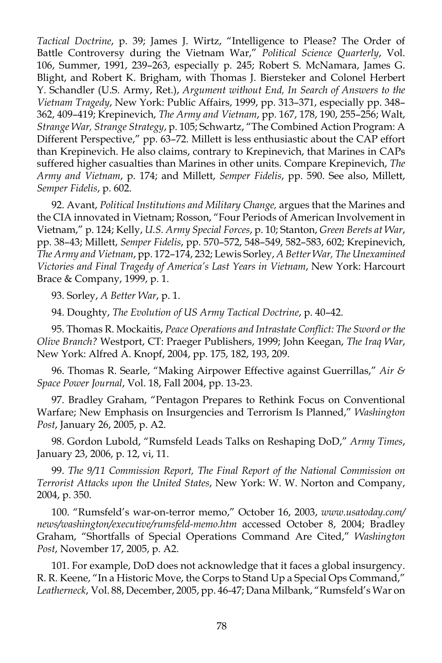*Tactical Doctrine*, p. 39; James J. Wirtz, "Intelligence to Please? The Order of Battle Controversy during the Vietnam War," *Political Science Quarterly*, Vol. 106, Summer, 1991, 239–263, especially p. 245; Robert S. McNamara, James G. Blight, and Robert K. Brigham, with Thomas J. Biersteker and Colonel Herbert Y. Schandler (U.S. Army, Ret.), *Argument without End, In Search of Answers to the Vietnam Tragedy*, New York: Public Affairs, 1999, pp. 313–371, especially pp. 348– 362, 409–419; Krepinevich, *The Army and Vietnam*, pp. 167, 178, 190, 255–256; Walt, *Strange War, Strange Strategy*, p. 105; Schwartz, "The Combined Action Program: A Different Perspective," pp. 63–72. Millett is less enthusiastic about the CAP effort than Krepinevich. He also claims, contrary to Krepinevich, that Marines in CAPs suffered higher casualties than Marines in other units. Compare Krepinevich, *The Army and Vietnam*, p. 174; and Millett, *Semper Fidelis*, pp. 590. See also, Millett, *Semper Fidelis*, p. 602.

92. Avant, *Political Institutions and Military Change,* argues that the Marines and the CIA innovated in Vietnam; Rosson, "Four Periods of American Involvement in Vietnam," p. 124; Kelly, *U.S. Army Special Forces*, p. 10; Stanton, *Green Berets at War*, pp. 38–43; Millett, *Semper Fidelis*, pp. 570–572, 548–549, 582–583, 602; Krepinevich, *The Army and Vietnam*, pp. 172–174, 232; Lewis Sorley, *A Better War, The Unexamined Victories and Final Tragedy of America's Last Years in Vietnam*, New York: Harcourt Brace & Company, 1999, p. 1.

93. Sorley, *A Better War*, p. 1.

94. Doughty, *The Evolution of US Army Tactical Doctrine*, p. 40–42.

95. Thomas R. Mockaitis, *Peace Operations and Intrastate Conflict: The Sword or the Olive Branch?* Westport, CT: Praeger Publishers, 1999; John Keegan, *The Iraq War*, New York: Alfred A. Knopf, 2004, pp. 175, 182, 193, 209.

96. Thomas R. Searle, "Making Airpower Effective against Guerrillas," *Air & Space Power Journal*, Vol. 18, Fall 2004, pp. 13-23.

97. Bradley Graham, "Pentagon Prepares to Rethink Focus on Conventional Warfare; New Emphasis on Insurgencies and Terrorism Is Planned," *Washington Post*, January 26, 2005, p. A2.

98. Gordon Lubold, "Rumsfeld Leads Talks on Reshaping DoD," *Army Times*, January 23, 2006, p. 12, vi, 11.

99. *The 9/11 Commission Report, The Final Report of the National Commission on Terrorist Attacks upon the United States*, New York: W. W. Norton and Company, 2004, p. 350.

100. "Rumsfeld's war-on-terror memo," October 16, 2003, *www.usatoday.com/ news/washington/executive/rumsfeld-memo.htm* accessed October 8, 2004; Bradley Graham, "Shortfalls of Special Operations Command Are Cited," *Washington Post*, November 17, 2005, p. A2.

101. For example, DoD does not acknowledge that it faces a global insurgency. R. R. Keene, "In a Historic Move, the Corps to Stand Up a Special Ops Command," *Leatherneck*, Vol. 88, December, 2005, pp. 46-47; Dana Milbank, "Rumsfeld's War on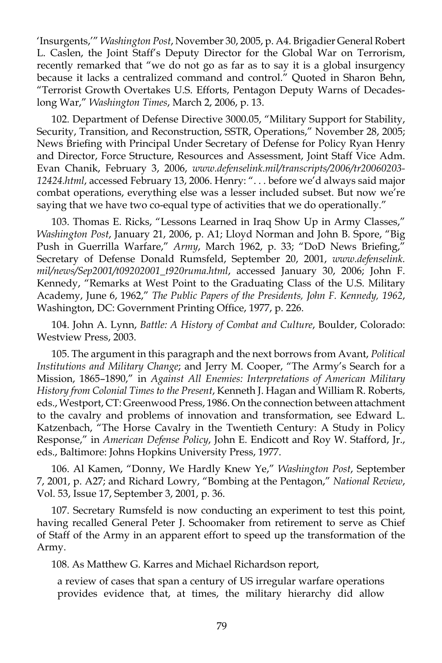'Insurgents,'" *Washington Post*, November 30, 2005, p. A4. Brigadier General Robert L. Caslen, the Joint Staff's Deputy Director for the Global War on Terrorism, recently remarked that "we do not go as far as to say it is a global insurgency because it lacks a centralized command and control." Quoted in Sharon Behn, "Terrorist Growth Overtakes U.S. Efforts, Pentagon Deputy Warns of Decadeslong War," *Washington Times*, March 2, 2006, p. 13.

102. Department of Defense Directive 3000.05, "Military Support for Stability, Security, Transition, and Reconstruction, SSTR, Operations," November 28, 2005; News Briefing with Principal Under Secretary of Defense for Policy Ryan Henry and Director, Force Structure, Resources and Assessment, Joint Staff Vice Adm. Evan Chanik, February 3, 2006, *www.defenselink.mil/transcripts/2006/tr20060203- 12424.html*, accessed February 13, 2006. Henry: ". . . before we'd always said major combat operations, everything else was a lesser included subset. But now we're saying that we have two co-equal type of activities that we do operationally."

103. Thomas E. Ricks, "Lessons Learned in Iraq Show Up in Army Classes," *Washington Post*, January 21, 2006, p. A1; Lloyd Norman and John B. Spore, "Big Push in Guerrilla Warfare," *Army*, March 1962, p. 33; "DoD News Briefing," Secretary of Defense Donald Rumsfeld, September 20, 2001, *www.defenselink. mil/news/Sep2001/t09202001\_t920ruma.html*, accessed January 30, 2006; John F. Kennedy, "Remarks at West Point to the Graduating Class of the U.S. Military Academy, June 6, 1962," *The Public Papers of the Presidents, John F. Kennedy, 1962*, Washington, DC: Government Printing Office, 1977, p. 226.

104. John A. Lynn, *Battle: A History of Combat and Culture*, Boulder, Colorado: Westview Press, 2003.

105. The argument in this paragraph and the next borrows from Avant, *Political Institutions and Military Change*; and Jerry M. Cooper, "The Army's Search for a Mission, 1865–1890," in *Against All Enemies: Interpretations of American Military History from Colonial Times to the Present*, Kenneth J. Hagan and William R. Roberts, eds., Westport, CT: Greenwood Press, 1986. On the connection between attachment to the cavalry and problems of innovation and transformation, see Edward L. Katzenbach, "The Horse Cavalry in the Twentieth Century: A Study in Policy Response," in *American Defense Policy*, John E. Endicott and Roy W. Stafford, Jr., eds., Baltimore: Johns Hopkins University Press, 1977.

106. Al Kamen, "Donny, We Hardly Knew Ye," *Washington Post*, September 7, 2001, p. A27; and Richard Lowry, "Bombing at the Pentagon," *National Review*, Vol. 53, Issue 17, September 3, 2001, p. 36.

107. Secretary Rumsfeld is now conducting an experiment to test this point, having recalled General Peter J. Schoomaker from retirement to serve as Chief of Staff of the Army in an apparent effort to speed up the transformation of the Army.

108. As Matthew G. Karres and Michael Richardson report,

a review of cases that span a century of US irregular warfare operations provides evidence that, at times, the military hierarchy did allow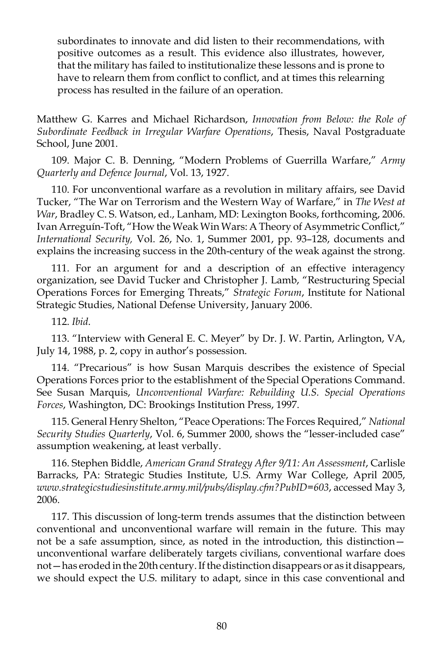subordinates to innovate and did listen to their recommendations, with positive outcomes as a result. This evidence also illustrates, however, that the military has failed to institutionalize these lessons and is prone to have to relearn them from conflict to conflict, and at times this relearning process has resulted in the failure of an operation.

Matthew G. Karres and Michael Richardson, *Innovation from Below: the Role of Subordinate Feedback in Irregular Warfare Operations*, Thesis, Naval Postgraduate School, June 2001.

109. Major C. B. Denning, "Modern Problems of Guerrilla Warfare," *Army Quarterly and Defence Journal*, Vol. 13, 1927.

110. For unconventional warfare as a revolution in military affairs, see David Tucker, "The War on Terrorism and the Western Way of Warfare," in *The West at War*, Bradley C. S. Watson, ed., Lanham, MD: Lexington Books, forthcoming, 2006. Ivan Arreguín-Toft, "How the Weak Win Wars: A Theory of Asymmetric Conflict," *International Security,* Vol. 26, No. 1, Summer 2001, pp. 93–128, documents and explains the increasing success in the 20th-century of the weak against the strong.

111. For an argument for and a description of an effective interagency organization, see David Tucker and Christopher J. Lamb, "Restructuring Special Operations Forces for Emerging Threats," *Strategic Forum*, Institute for National Strategic Studies, National Defense University, January 2006.

112. *Ibid*.

113. "Interview with General E. C. Meyer" by Dr. J. W. Partin, Arlington, VA, July 14, 1988, p. 2, copy in author's possession.

114. "Precarious" is how Susan Marquis describes the existence of Special Operations Forces prior to the establishment of the Special Operations Command. See Susan Marquis, *Unconventional Warfare: Rebuilding U.S. Special Operations Forces*, Washington, DC: Brookings Institution Press, 1997.

115. General Henry Shelton, "Peace Operations: The Forces Required," *National Security Studies Quarterly*, Vol. 6, Summer 2000, shows the "lesser-included case" assumption weakening, at least verbally.

116. Stephen Biddle, *American Grand Strategy After 9/11: An Assessment*, Carlisle Barracks, PA: Strategic Studies Institute, U.S. Army War College, April 2005, *www.strategicstudiesinstitute.army.mil/pubs/display.cfm?PubID=603*, accessed May 3, 2006.

117. This discussion of long-term trends assumes that the distinction between conventional and unconventional warfare will remain in the future. This may not be a safe assumption, since, as noted in the introduction, this distinction unconventional warfare deliberately targets civilians, conventional warfare does not—has eroded in the 20th century. If the distinction disappears or as it disappears, we should expect the U.S. military to adapt, since in this case conventional and